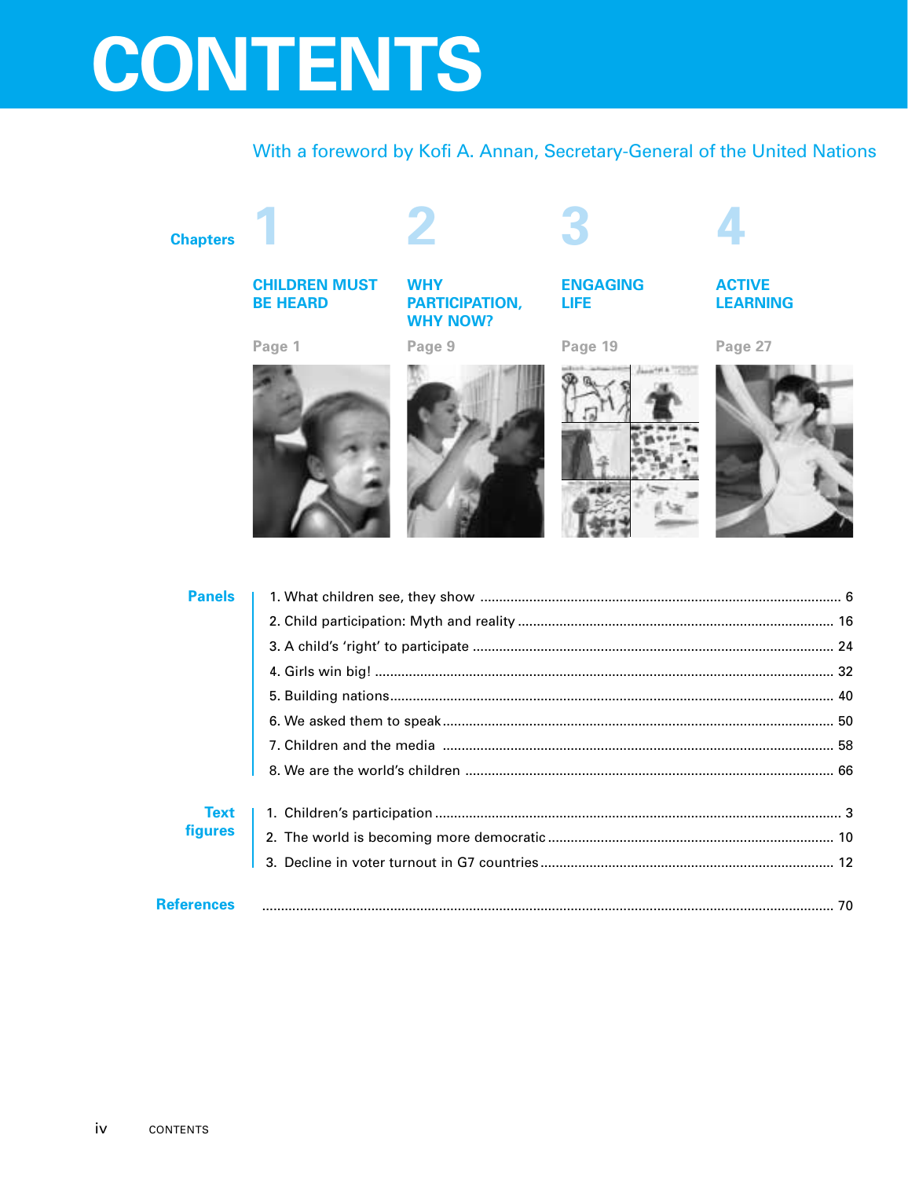# CONTENTS

#### With a foreword by Kofi A. Annan, Secretary-General of the United Nations

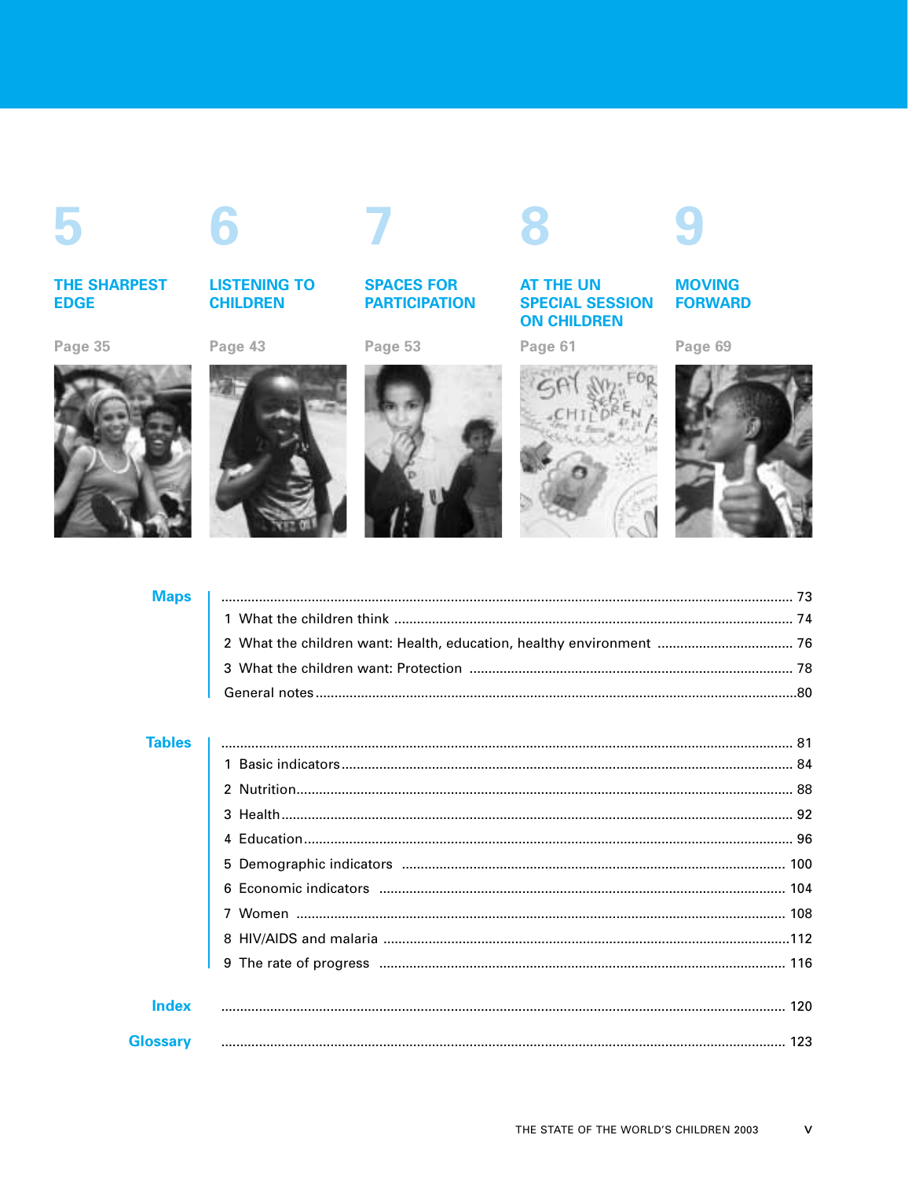### 5

#### **THE SHARPEST EDGE**

#### **LISTENING TO CHILDREN**

#### **SPACES FOR PARTICIPATION**

8

#### AT THE UN **SPECIAL SESSION ON CHILDREN**

Page 61

#### **MOVING FORWARD**

Page 69

Page 35

Page 43

Page 53







| - |
|---|
|---|

| 2 What the children want: Health, education, healthy environment  76 |  |
|----------------------------------------------------------------------|--|
|                                                                      |  |
|                                                                      |  |

#### **Tab**

| <b>Tables</b>   |  |
|-----------------|--|
|                 |  |
|                 |  |
|                 |  |
|                 |  |
|                 |  |
|                 |  |
|                 |  |
|                 |  |
|                 |  |
|                 |  |
| <b>Index</b>    |  |
| <b>Glossary</b> |  |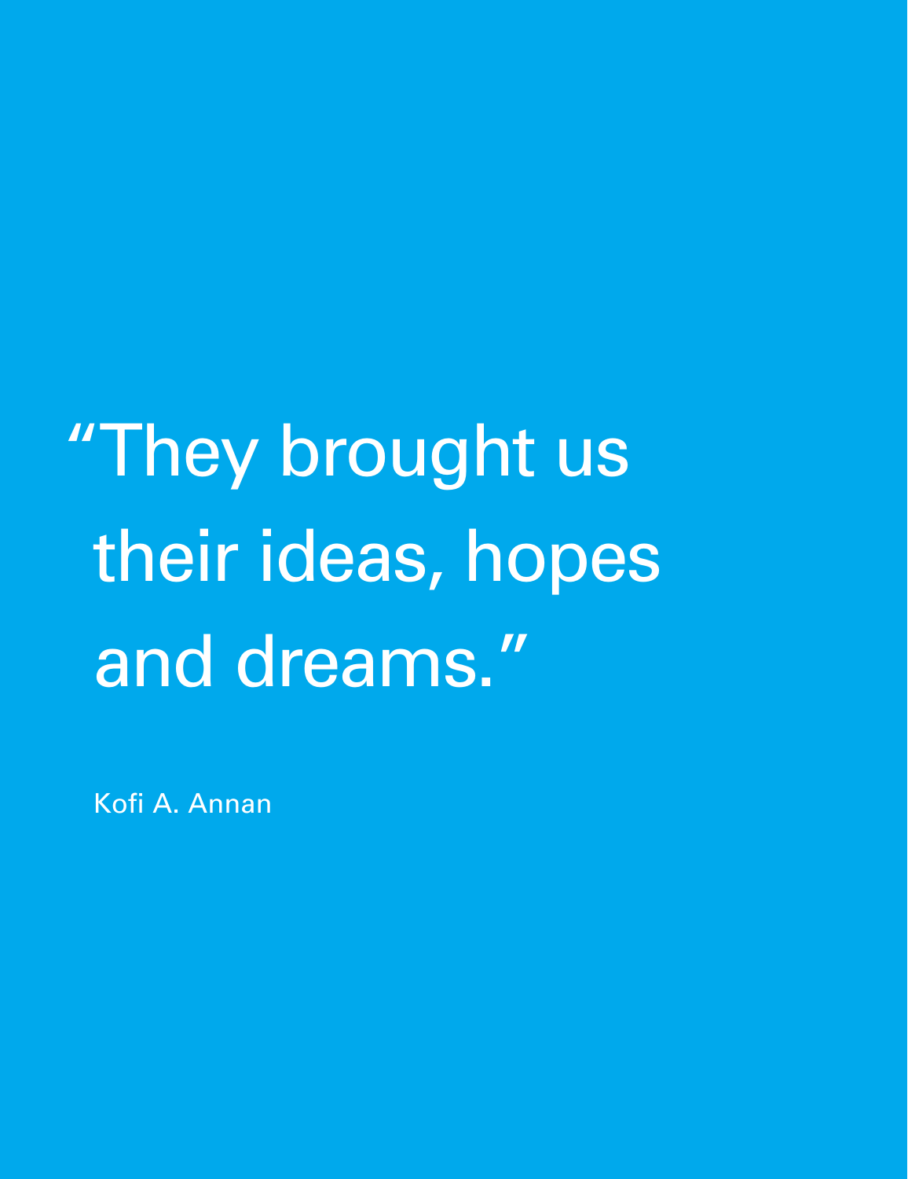"They brought us their ideas, hopes and dreams."

Kofi A. Annan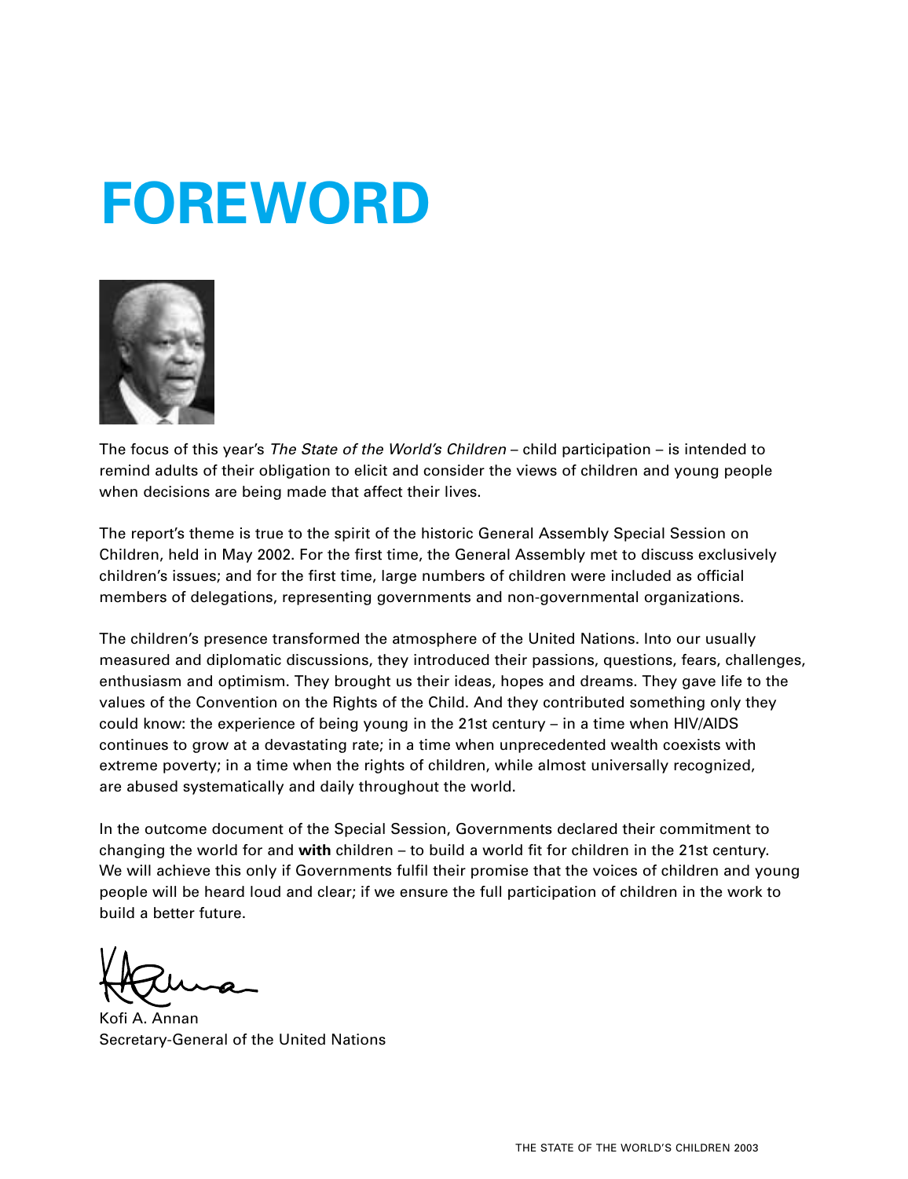### **FOREWORD**



The focus of this year's *The State of the World's Children* – child participation – is intended to remind adults of their obligation to elicit and consider the views of children and young people when decisions are being made that affect their lives.

The report's theme is true to the spirit of the historic General Assembly Special Session on Children, held in May 2002. For the first time, the General Assembly met to discuss exclusively children's issues; and for the first time, large numbers of children were included as official members of delegations, representing governments and non-governmental organizations.

The children's presence transformed the atmosphere of the United Nations. Into our usually measured and diplomatic discussions, they introduced their passions, questions, fears, challenges, enthusiasm and optimism. They brought us their ideas, hopes and dreams. They gave life to the values of the Convention on the Rights of the Child. And they contributed something only they could know: the experience of being young in the 21st century – in a time when HIV/AIDS continues to grow at a devastating rate; in a time when unprecedented wealth coexists with extreme poverty; in a time when the rights of children, while almost universally recognized, are abused systematically and daily throughout the world.

In the outcome document of the Special Session, Governments declared their commitment to changing the world for and **with** children – to build a world fit for children in the 21st century. We will achieve this only if Governments fulfil their promise that the voices of children and young people will be heard loud and clear; if we ensure the full participation of children in the work to build a better future.

Kofi A. Annan Secretary-General of the United Nations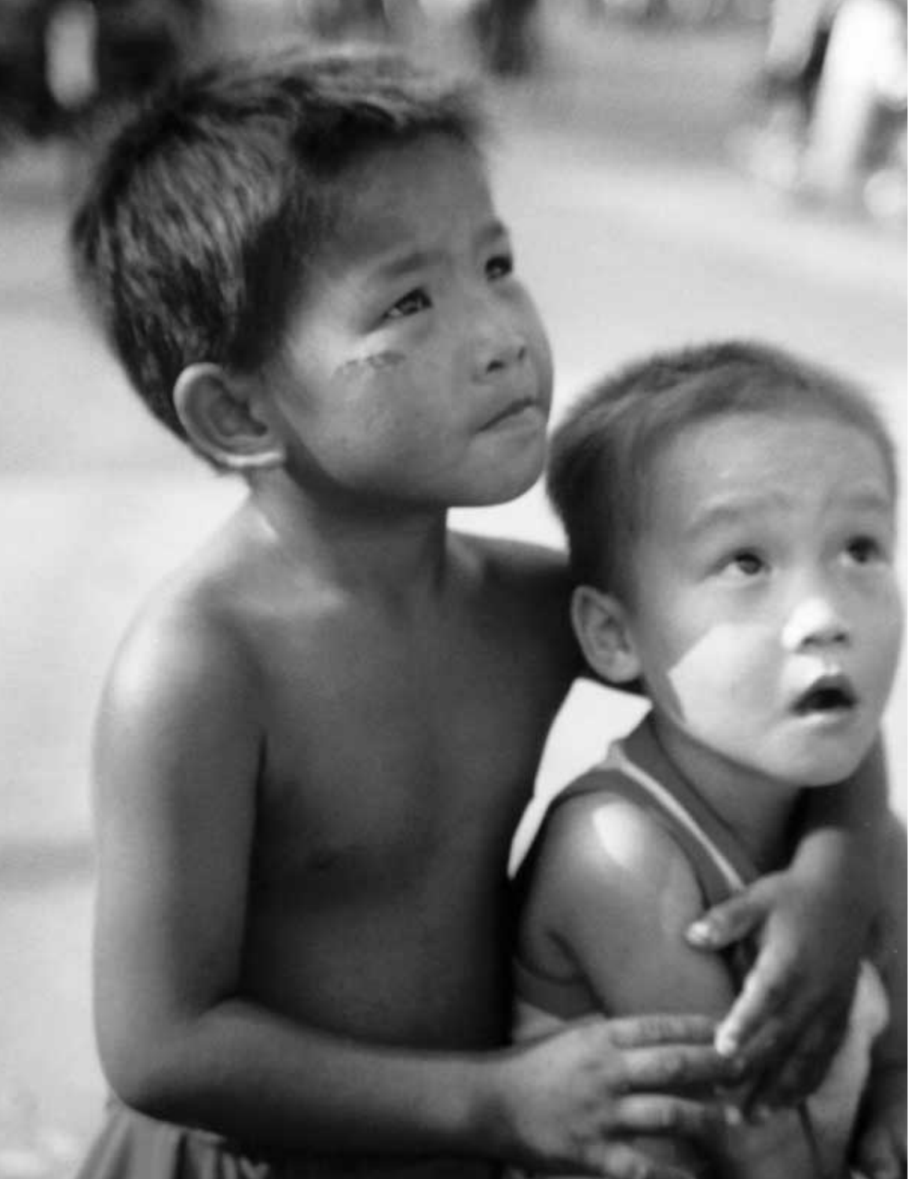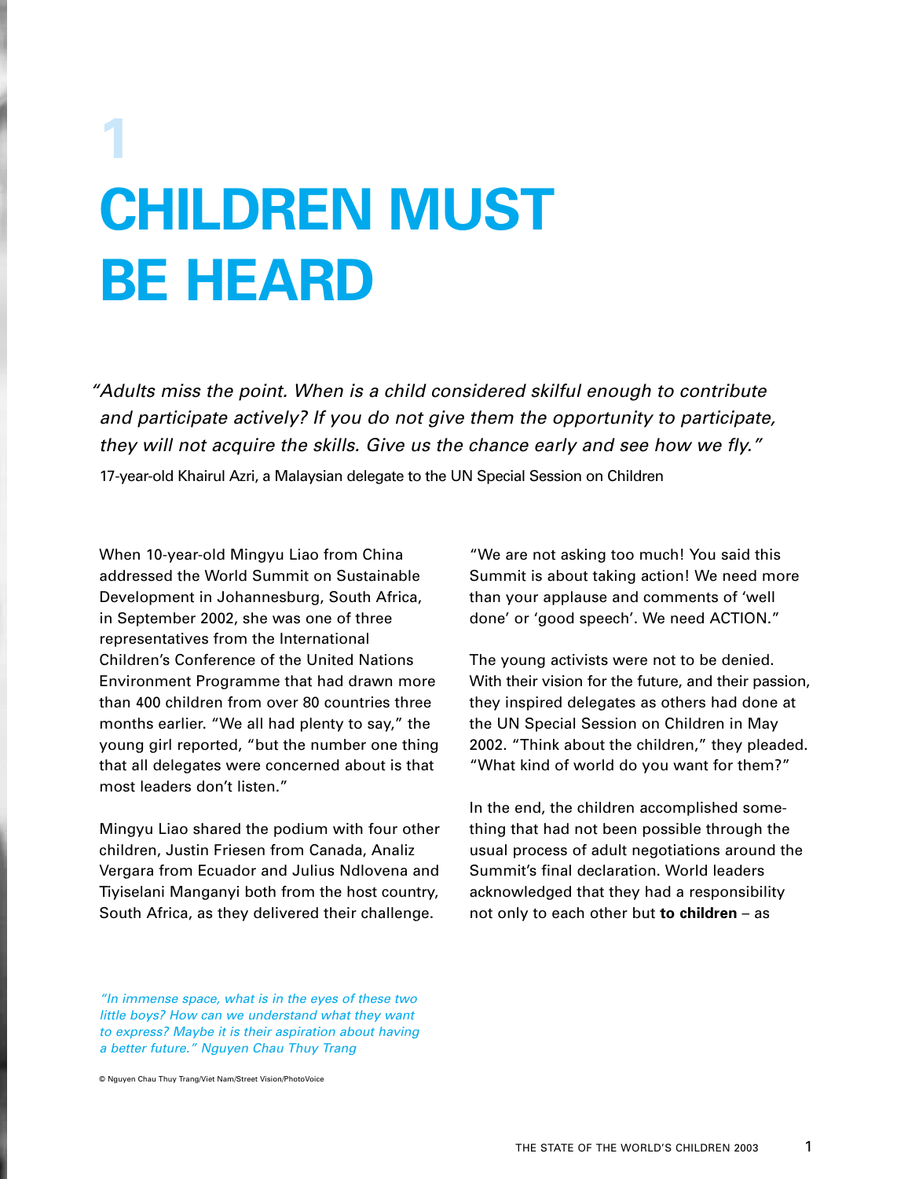### **1 CHILDREN MUST BE HEARD**

*"Adults miss the point. When is a child considered skilful enough to contribute and participate actively? If you do not give them the opportunity to participate, they will not acquire the skills. Give us the chance early and see how we fly."*

17-year-old Khairul Azri, a Malaysian delegate to the UN Special Session on Children

When 10-year-old Mingyu Liao from China addressed the World Summit on Sustainable Development in Johannesburg, South Africa, in September 2002, she was one of three representatives from the International Children's Conference of the United Nations Environment Programme that had drawn more than 400 children from over 80 countries three months earlier. "We all had plenty to say," the young girl reported, "but the number one thing that all delegates were concerned about is that most leaders don't listen."

Mingyu Liao shared the podium with four other children, Justin Friesen from Canada, Analiz Vergara from Ecuador and Julius Ndlovena and Tiyiselani Manganyi both from the host country, South Africa, as they delivered their challenge.

"We are not asking too much! You said this Summit is about taking action! We need more than your applause and comments of 'well done' or 'good speech'. We need ACTION."

The young activists were not to be denied. With their vision for the future, and their passion, they inspired delegates as others had done at the UN Special Session on Children in May 2002. "Think about the children," they pleaded. "What kind of world do you want for them?"

In the end, the children accomplished something that had not been possible through the usual process of adult negotiations around the Summit's final declaration. World leaders acknowledged that they had a responsibility not only to each other but **to children** – as

© Nguyen Chau Thuy Trang/Viet Nam/Street Vision/PhotoVoice

1

*<sup>&</sup>quot;In immense space, what is in the eyes of these two little boys? How can we understand what they want to express? Maybe it is their aspiration about having a better future." Nguyen Chau Thuy Trang*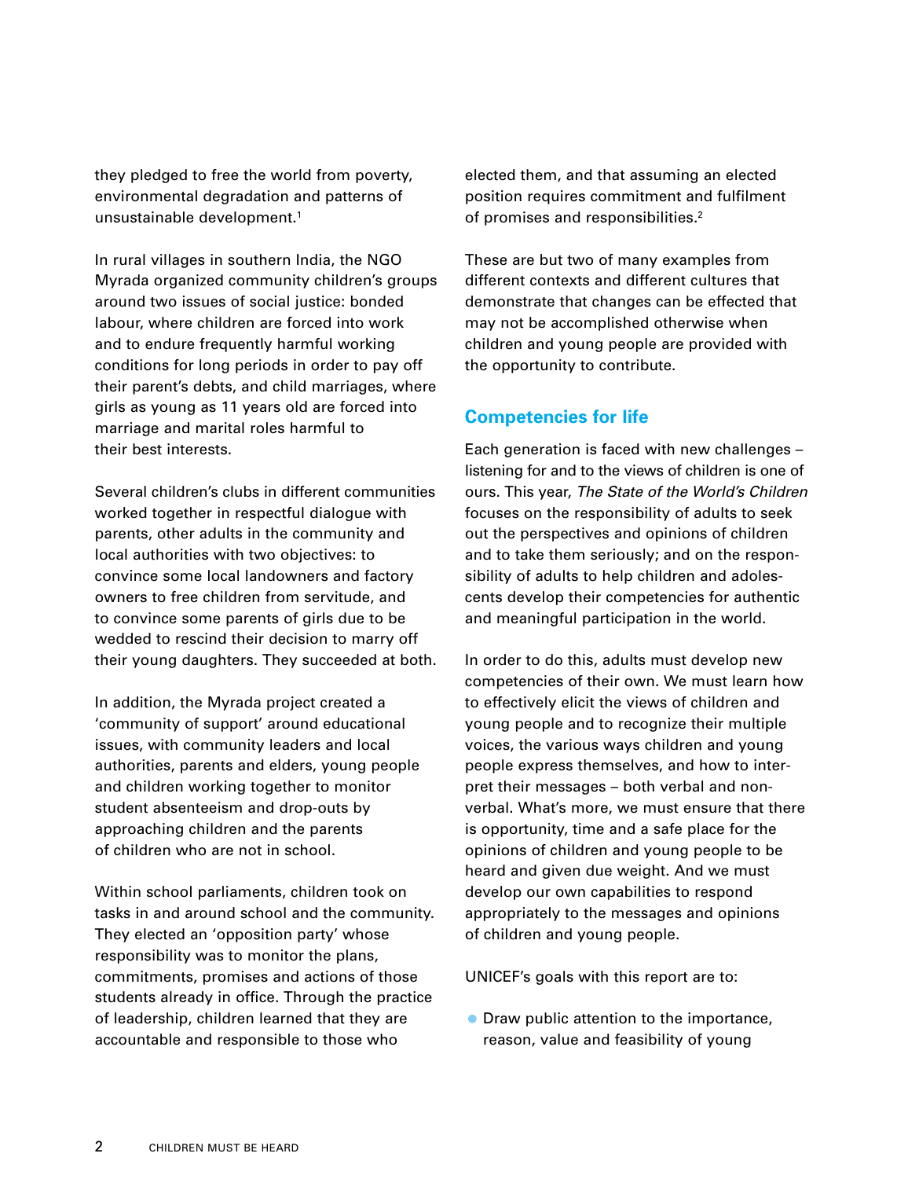they pledged to free the world from poverty, environmental degradation and patterns of unsustainable development.<sup>1</sup>

In rural villages in southern India, the NGO Myrada organized community children's groups around two issues of social justice: bonded labour, where children are forced into work and to endure frequently harmful working conditions for long periods in order to pay off their parent's debts, and child marriages, where girls as young as 11 years old are forced into marriage and marital roles harmful to their best interests.

Several children's clubs in different communities worked together in respectful dialogue with parents, other adults in the community and local authorities with two objectives: to convince some local landowners and factory owners to free children from servitude, and to convince some parents of girls due to be wedded to rescind their decision to marry off their young daughters. They succeeded at both.

In addition, the Myrada project created a 'community of support' around educational issues, with community leaders and local authorities, parents and elders, young people and children working together to monitor student absenteeism and drop-outs by approaching children and the parents of children who are not in school.

Within school parliaments, children took on tasks in and around school and the community. They elected an 'opposition party' whose responsibility was to monitor the plans, commitments, promises and actions of those students already in office. Through the practice of leadership, children learned that they are accountable and responsible to those who

elected them, and that assuming an elected position requires commitment and fulfilment of promises and responsibilities.<sup>2</sup>

These are but two of many examples from different contexts and different cultures that demonstrate that changes can be effected that may not be accomplished otherwise when children and young people are provided with the opportunity to contribute.

#### **Competencies for life**

Each generation is faced with new challenges – listening for and to the views of children is one of ours. This year, *The State of the World's Children* focuses on the responsibility of adults to seek out the perspectives and opinions of children and to take them seriously; and on the responsibility of adults to help children and adolescents develop their competencies for authentic and meaningful participation in the world.

In order to do this, adults must develop new competencies of their own. We must learn how to effectively elicit the views of children and young people and to recognize their multiple voices, the various ways children and young people express themselves, and how to interpret their messages – both verbal and nonverbal. What's more, we must ensure that there is opportunity, time and a safe place for the opinions of children and young people to be heard and given due weight. And we must develop our own capabilities to respond appropriately to the messages and opinions of children and young people.

UNICEF's goals with this report are to:

**• Draw public attention to the importance,** reason, value and feasibility of young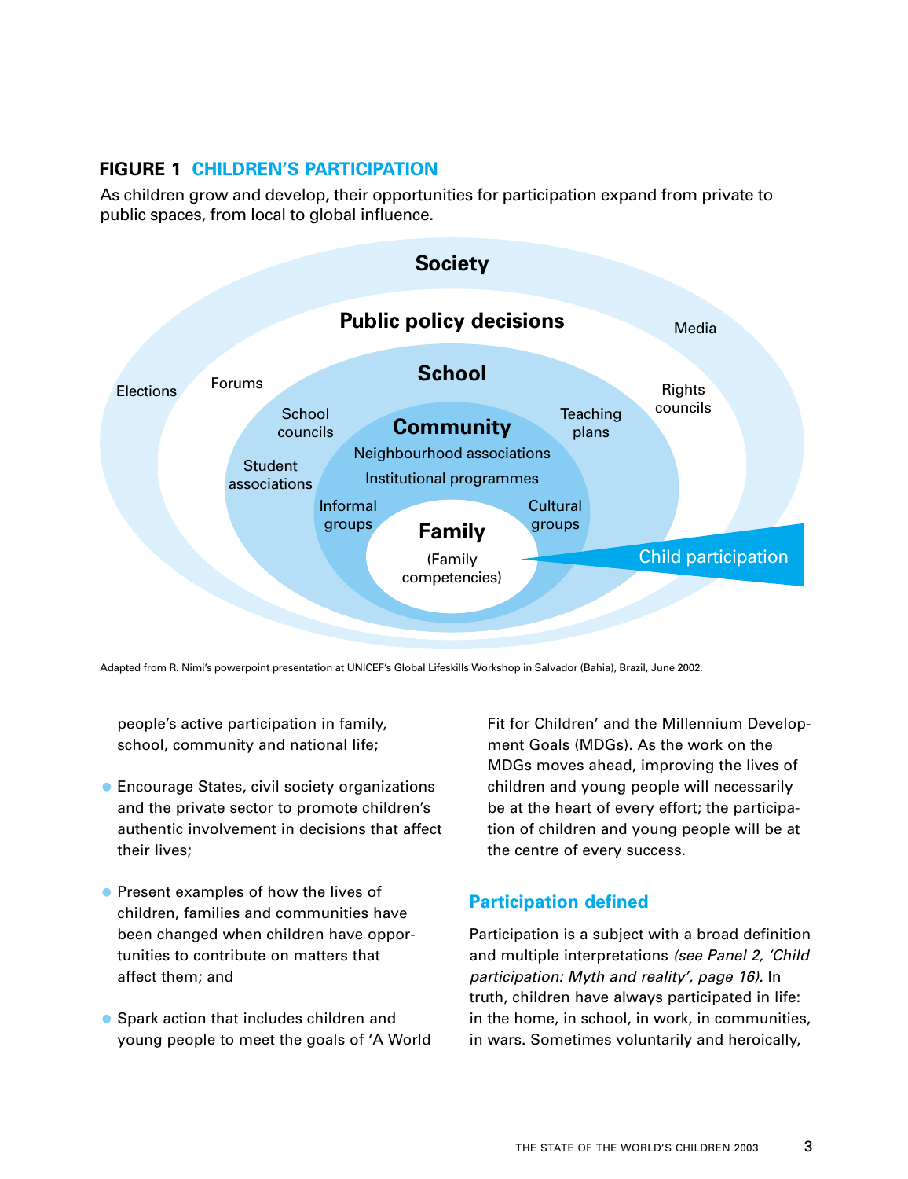#### **FIGURE 1 CHILDREN'S PARTICIPATION**

As children grow and develop, their opportunities for participation expand from private to public spaces, from local to global influence.



Adapted from R. Nimi's powerpoint presentation at UNICEF's Global Lifeskills Workshop in Salvador (Bahia), Brazil, June 2002.

people's active participation in family, school, community and national life;

- **Encourage States, civil society organizations** and the private sector to promote children's authentic involvement in decisions that affect their lives;
- **Present examples of how the lives of** children, families and communities have been changed when children have opportunities to contribute on matters that affect them; and
- **Spark action that includes children and** young people to meet the goals of 'A World

Fit for Children' and the Millennium Development Goals (MDGs). As the work on the MDGs moves ahead, improving the lives of children and young people will necessarily be at the heart of every effort; the participation of children and young people will be at the centre of every success.

#### **Participation defined**

Participation is a subject with a broad definition and multiple interpretations *(see Panel 2, 'Child participation: Myth and reality', page 16).* In truth, children have always participated in life: in the home, in school, in work, in communities, in wars. Sometimes voluntarily and heroically,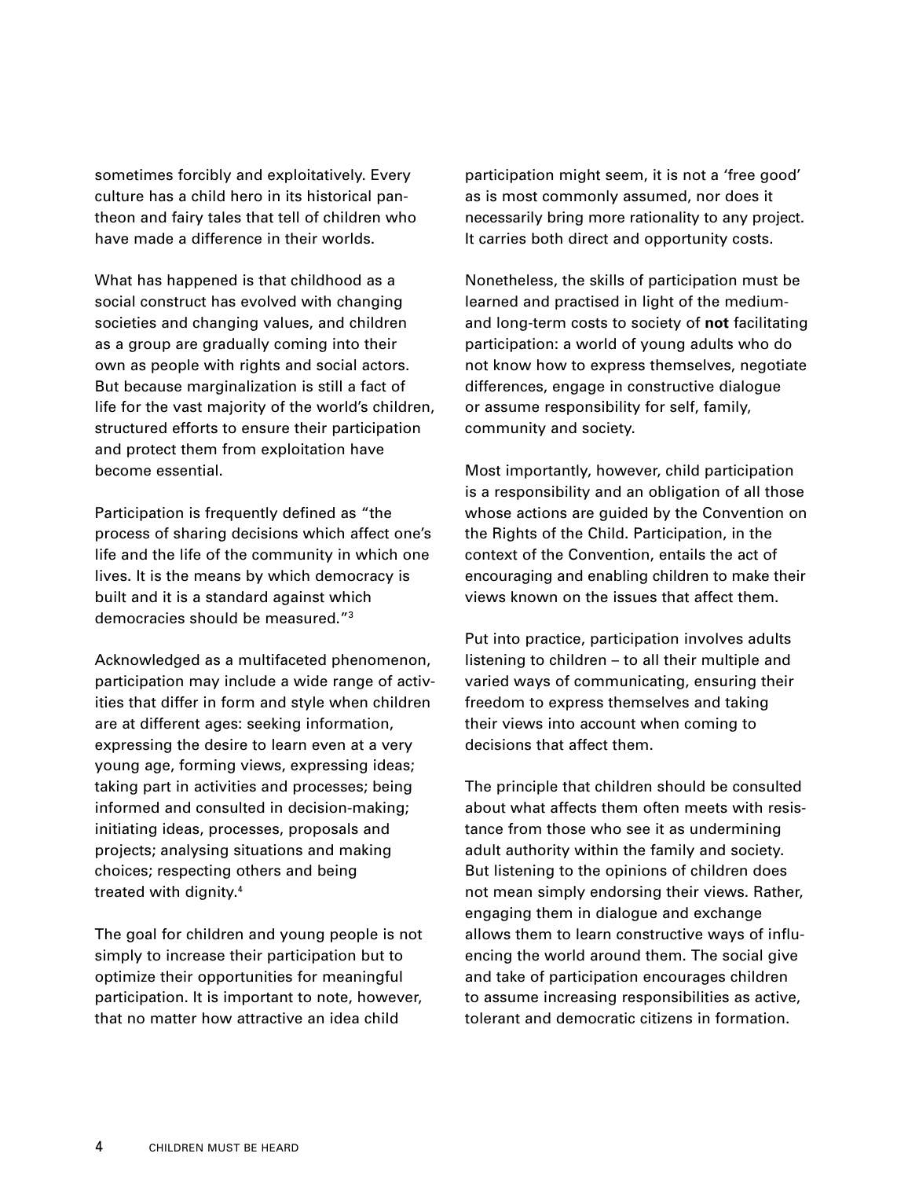sometimes forcibly and exploitatively. Every culture has a child hero in its historical pantheon and fairy tales that tell of children who have made a difference in their worlds.

What has happened is that childhood as a social construct has evolved with changing societies and changing values, and children as a group are gradually coming into their own as people with rights and social actors. But because marginalization is still a fact of life for the vast majority of the world's children, structured efforts to ensure their participation and protect them from exploitation have become essential.

Participation is frequently defined as "the process of sharing decisions which affect one's life and the life of the community in which one lives. It is the means by which democracy is built and it is a standard against which democracies should be measured."3

Acknowledged as a multifaceted phenomenon, participation may include a wide range of activities that differ in form and style when children are at different ages: seeking information, expressing the desire to learn even at a very young age, forming views, expressing ideas; taking part in activities and processes; being informed and consulted in decision-making; initiating ideas, processes, proposals and projects; analysing situations and making choices; respecting others and being treated with dignity.4

The goal for children and young people is not simply to increase their participation but to optimize their opportunities for meaningful participation. It is important to note, however, that no matter how attractive an idea child

participation might seem, it is not a 'free good' as is most commonly assumed, nor does it necessarily bring more rationality to any project. It carries both direct and opportunity costs.

Nonetheless, the skills of participation must be learned and practised in light of the mediumand long-term costs to society of **not** facilitating participation: a world of young adults who do not know how to express themselves, negotiate differences, engage in constructive dialogue or assume responsibility for self, family, community and society.

Most importantly, however, child participation is a responsibility and an obligation of all those whose actions are guided by the Convention on the Rights of the Child. Participation, in the context of the Convention, entails the act of encouraging and enabling children to make their views known on the issues that affect them.

Put into practice, participation involves adults listening to children – to all their multiple and varied ways of communicating, ensuring their freedom to express themselves and taking their views into account when coming to decisions that affect them.

The principle that children should be consulted about what affects them often meets with resistance from those who see it as undermining adult authority within the family and society. But listening to the opinions of children does not mean simply endorsing their views. Rather, engaging them in dialogue and exchange allows them to learn constructive ways of influencing the world around them. The social give and take of participation encourages children to assume increasing responsibilities as active, tolerant and democratic citizens in formation.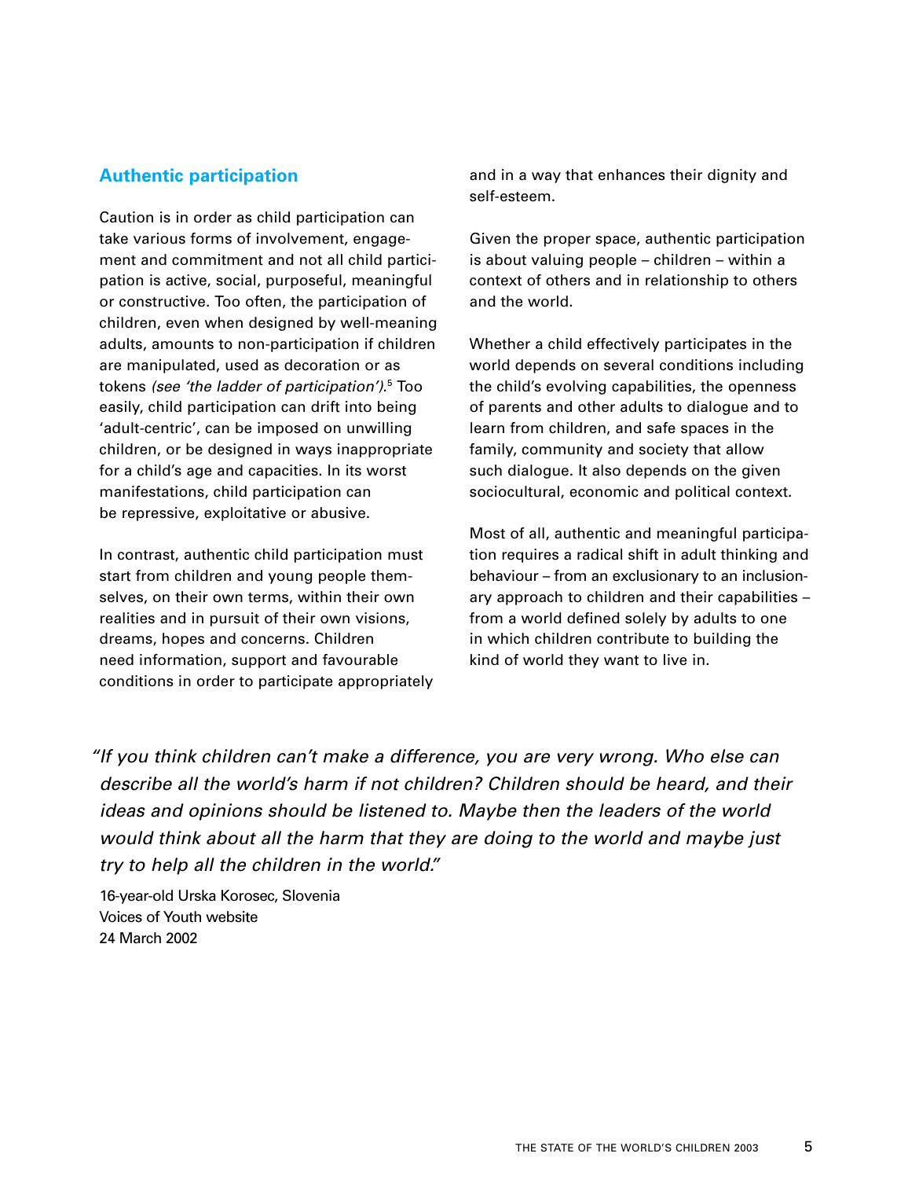#### **Authentic participation**

Caution is in order as child participation can take various forms of involvement, engagement and commitment and not all child participation is active, social, purposeful, meaningful or constructive. Too often, the participation of children, even when designed by well-meaning adults, amounts to non-participation if children are manipulated, used as decoration or as tokens *(see 'the ladder of participation')*. <sup>5</sup> Too easily, child participation can drift into being 'adult-centric', can be imposed on unwilling children, or be designed in ways inappropriate for a child's age and capacities. In its worst manifestations, child participation can be repressive, exploitative or abusive.

In contrast, authentic child participation must start from children and young people themselves, on their own terms, within their own realities and in pursuit of their own visions, dreams, hopes and concerns. Children need information, support and favourable conditions in order to participate appropriately and in a way that enhances their dignity and self-esteem.

Given the proper space, authentic participation is about valuing people – children – within a context of others and in relationship to others and the world.

Whether a child effectively participates in the world depends on several conditions including the child's evolving capabilities, the openness of parents and other adults to dialogue and to learn from children, and safe spaces in the family, community and society that allow such dialogue. It also depends on the given sociocultural, economic and political context.

Most of all, authentic and meaningful participation requires a radical shift in adult thinking and behaviour – from an exclusionary to an inclusionary approach to children and their capabilities – from a world defined solely by adults to one in which children contribute to building the kind of world they want to live in.

*"If you think children can't make a difference, you are very wrong. Who else can describe all the world's harm if not children? Children should be heard, and their ideas and opinions should be listened to. Maybe then the leaders of the world would think about all the harm that they are doing to the world and maybe just try to help all the children in the world."*

16-year-old Urska Korosec, Slovenia Voices of Youth website 24 March 2002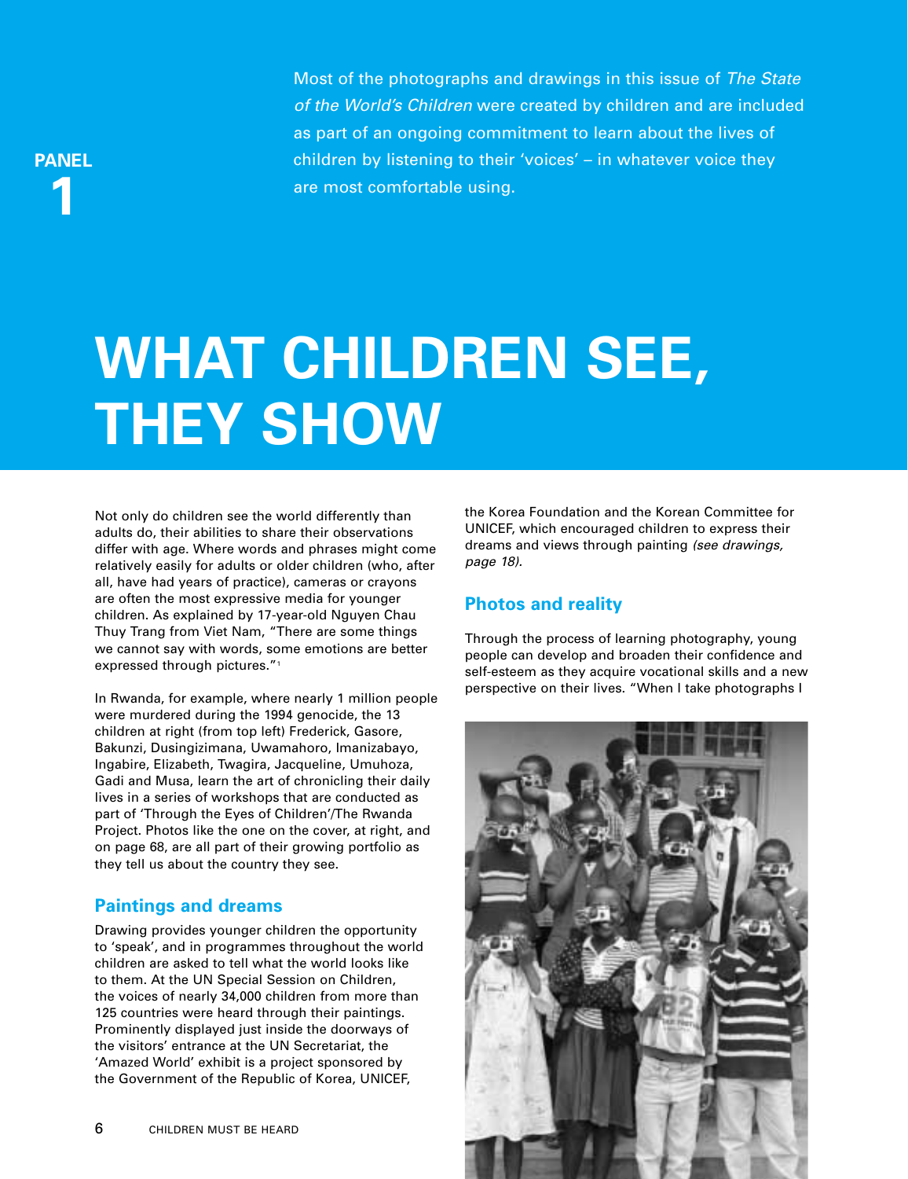**PANEL 1**

Most of the photographs and drawings in this issue of *The State of the World's Children* were created by children and are included as part of an ongoing commitment to learn about the lives of children by listening to their 'voices' – in whatever voice they are most comfortable using.

### **WHAT CHILDREN SEE, THEY SHOW**

Not only do children see the world differently than adults do, their abilities to share their observations differ with age. Where words and phrases might come relatively easily for adults or older children (who, after all, have had years of practice), cameras or crayons are often the most expressive media for younger children. As explained by 17-year-old Nguyen Chau Thuy Trang from Viet Nam, "There are some things we cannot say with words, some emotions are better expressed through pictures."1

In Rwanda, for example, where nearly 1 million people were murdered during the 1994 genocide, the 13 children at right (from top left) Frederick, Gasore, Bakunzi, Dusingizimana, Uwamahoro, Imanizabayo, Ingabire, Elizabeth, Twagira, Jacqueline, Umuhoza, Gadi and Musa, learn the art of chronicling their daily lives in a series of workshops that are conducted as part of 'Through the Eyes of Children'/The Rwanda Project. Photos like the one on the cover, at right, and on page 68, are all part of their growing portfolio as they tell us about the country they see.

#### **Paintings and dreams**

Drawing provides younger children the opportunity to 'speak', and in programmes throughout the world children are asked to tell what the world looks like to them. At the UN Special Session on Children, the voices of nearly 34,000 children from more than 125 countries were heard through their paintings. Prominently displayed just inside the doorways of the visitors' entrance at the UN Secretariat, the 'Amazed World' exhibit is a project sponsored by the Government of the Republic of Korea, UNICEF,

the Korea Foundation and the Korean Committee for UNICEF, which encouraged children to express their dreams and views through painting *(see drawings, page 18).*

#### **Photos and reality**

Through the process of learning photography, young people can develop and broaden their confidence and self-esteem as they acquire vocational skills and a new perspective on their lives. "When I take photographs I

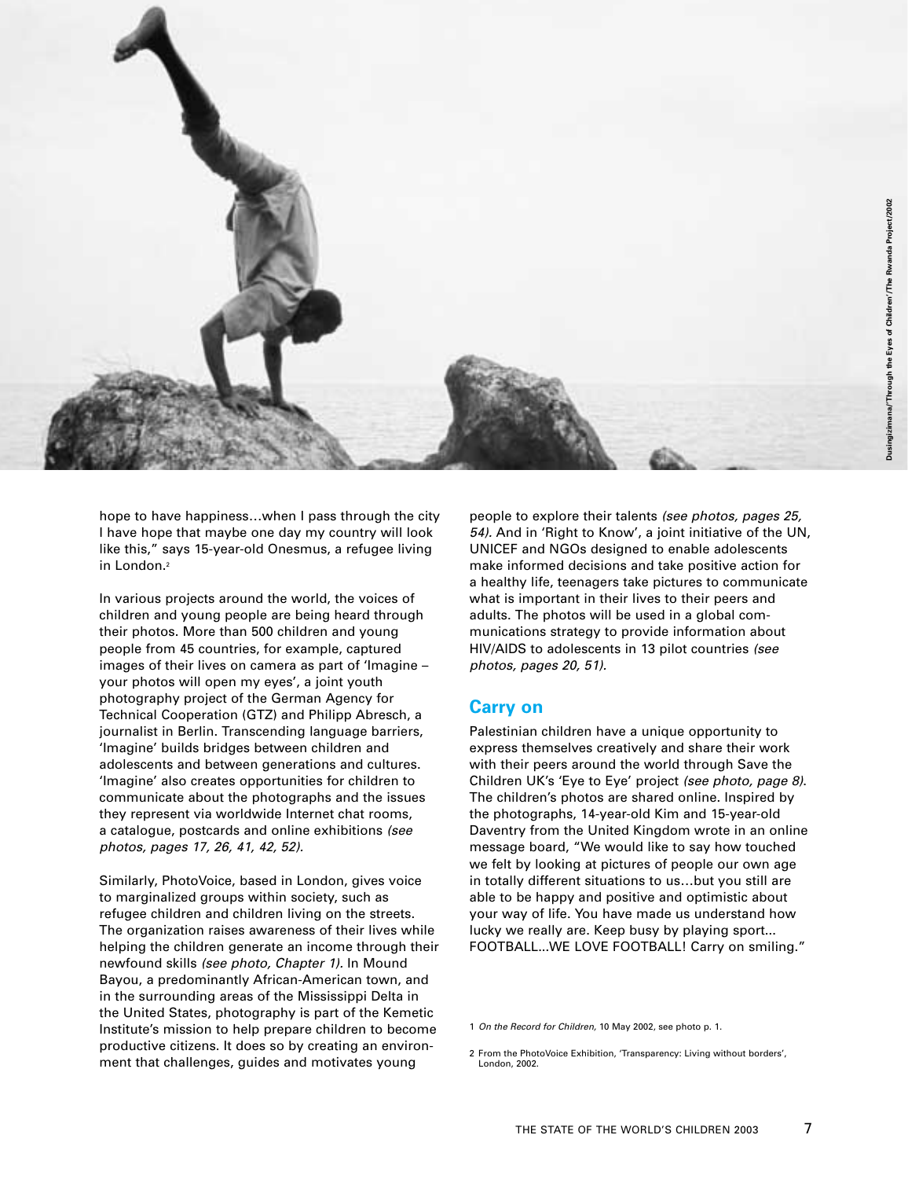hope to have happiness…when I pass through the city I have hope that maybe one day my country will look like this," says 15-year-old Onesmus, a refugee living in London.<sup>2</sup>

In various projects around the world, the voices of children and young people are being heard through their photos. More than 500 children and young people from 45 countries, for example, captured images of their lives on camera as part of 'Imagine – your photos will open my eyes', a joint youth photography project of the German Agency for Technical Cooperation (GTZ) and Philipp Abresch, a journalist in Berlin. Transcending language barriers, 'Imagine' builds bridges between children and adolescents and between generations and cultures. 'Imagine' also creates opportunities for children to communicate about the photographs and the issues they represent via worldwide Internet chat rooms, a catalogue, postcards and online exhibitions *(see photos, pages 17, 26, 41, 42, 52).*

Similarly, PhotoVoice, based in London, gives voice to marginalized groups within society, such as refugee children and children living on the streets. The organization raises awareness of their lives while helping the children generate an income through their newfound skills *(see photo, Chapter 1).* In Mound Bayou, a predominantly African-American town, and in the surrounding areas of the Mississippi Delta in the United States, photography is part of the Kemetic Institute's mission to help prepare children to become productive citizens. It does so by creating an environment that challenges, guides and motivates young

people to explore their talents *(see photos, pages 25, 54).* And in 'Right to Know', a joint initiative of the UN, UNICEF and NGOs designed to enable adolescents make informed decisions and take positive action for a healthy life, teenagers take pictures to communicate what is important in their lives to their peers and adults. The photos will be used in a global communications strategy to provide information about HIV/AIDS to adolescents in 13 pilot countries *(see photos, pages 20, 51).*

#### **Carry on**

Palestinian children have a unique opportunity to express themselves creatively and share their work with their peers around the world through Save the Children UK's 'Eye to Eye' project *(see photo, page 8)*. The children's photos are shared online. Inspired by the photographs, 14-year-old Kim and 15-year-old Daventry from the United Kingdom wrote in an online message board, "We would like to say how touched we felt by looking at pictures of people our own age in totally different situations to us…but you still are able to be happy and positive and optimistic about your way of life. You have made us understand how lucky we really are. Keep busy by playing sport... FOOTBALL...WE LOVE FOOTBALL! Carry on smiling."

1 *On the Record for Children,* 10 May 2002, see photo p. 1.

2 From the PhotoVoice Exhibition, 'Transparency: Living without borders', London, 2002.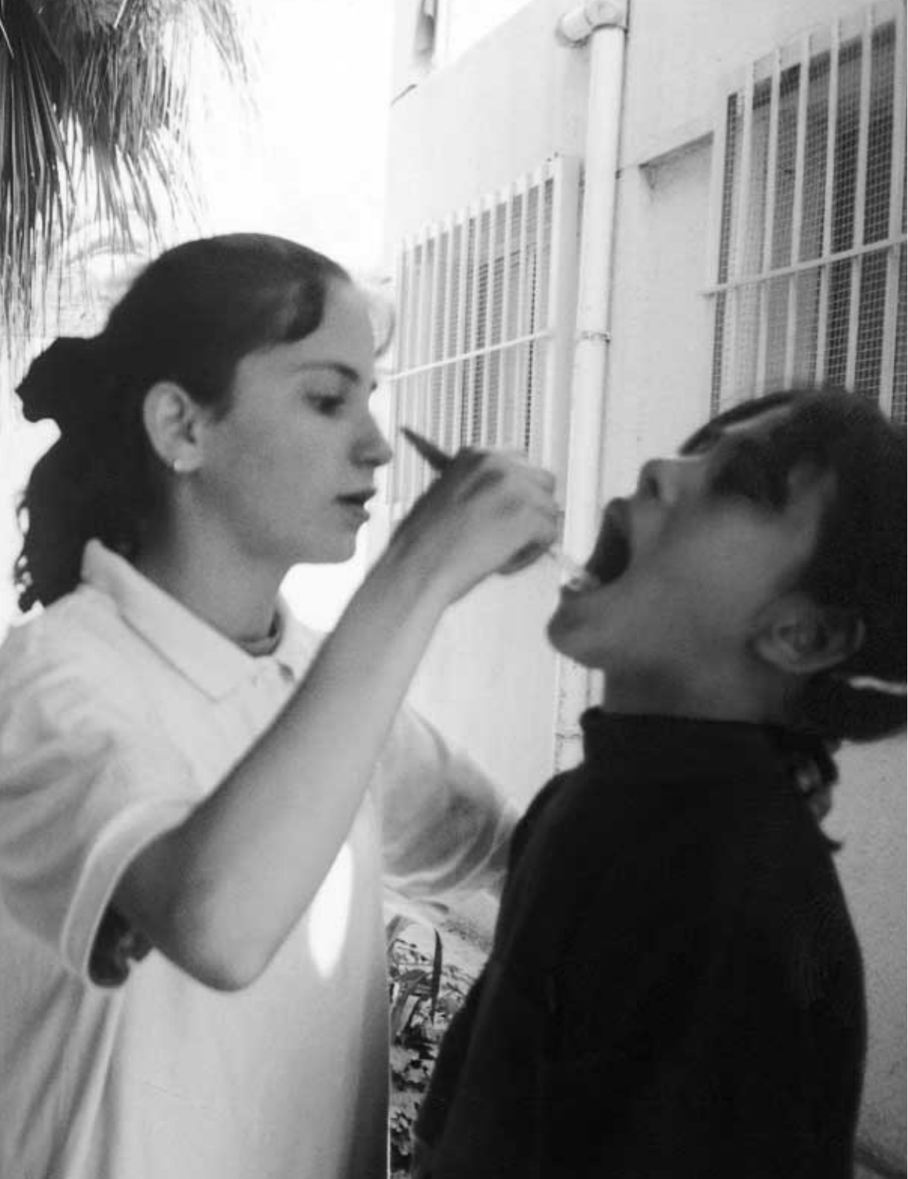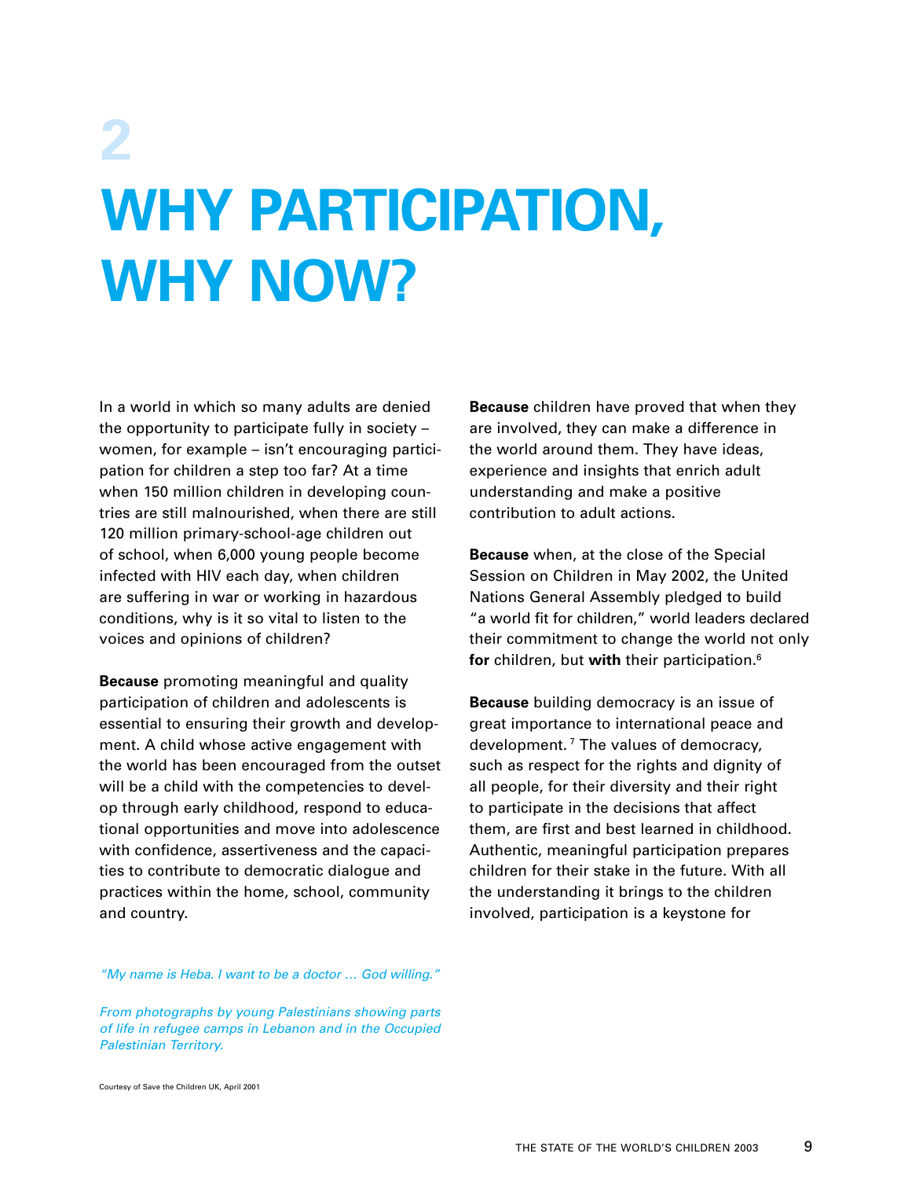## **2 WHY PARTICIPATION, WHY NOW?**

In a world in which so many adults are denied the opportunity to participate fully in society – women, for example – isn't encouraging participation for children a step too far? At a time when 150 million children in developing countries are still malnourished, when there are still 120 million primary-school-age children out of school, when 6,000 young people become infected with HIV each day, when children are suffering in war or working in hazardous conditions, why is it so vital to listen to the voices and opinions of children?

**Because** promoting meaningful and quality participation of children and adolescents is essential to ensuring their growth and development. A child whose active engagement with the world has been encouraged from the outset will be a child with the competencies to develop through early childhood, respond to educational opportunities and move into adolescence with confidence, assertiveness and the capacities to contribute to democratic dialogue and practices within the home, school, community and country.

**Because** children have proved that when they are involved, they can make a difference in the world around them. They have ideas, experience and insights that enrich adult understanding and make a positive contribution to adult actions.

**Because** when, at the close of the Special Session on Children in May 2002, the United Nations General Assembly pledged to build "a world fit for children," world leaders declared their commitment to change the world not only **for** children, but **with** their participation.6

**Because** building democracy is an issue of great importance to international peace and development. <sup>7</sup> The values of democracy, such as respect for the rights and dignity of all people, for their diversity and their right to participate in the decisions that affect them, are first and best learned in childhood. Authentic, meaningful participation prepares children for their stake in the future. With all the understanding it brings to the children involved, participation is a keystone for

*"My name is Heba. I want to be a doctor … God willing."*

*From photographs by young Palestinians showing parts of life in refugee camps in Lebanon and in the Occupied Palestinian Territory.*

Courtesy of Save the Children UK, April 2001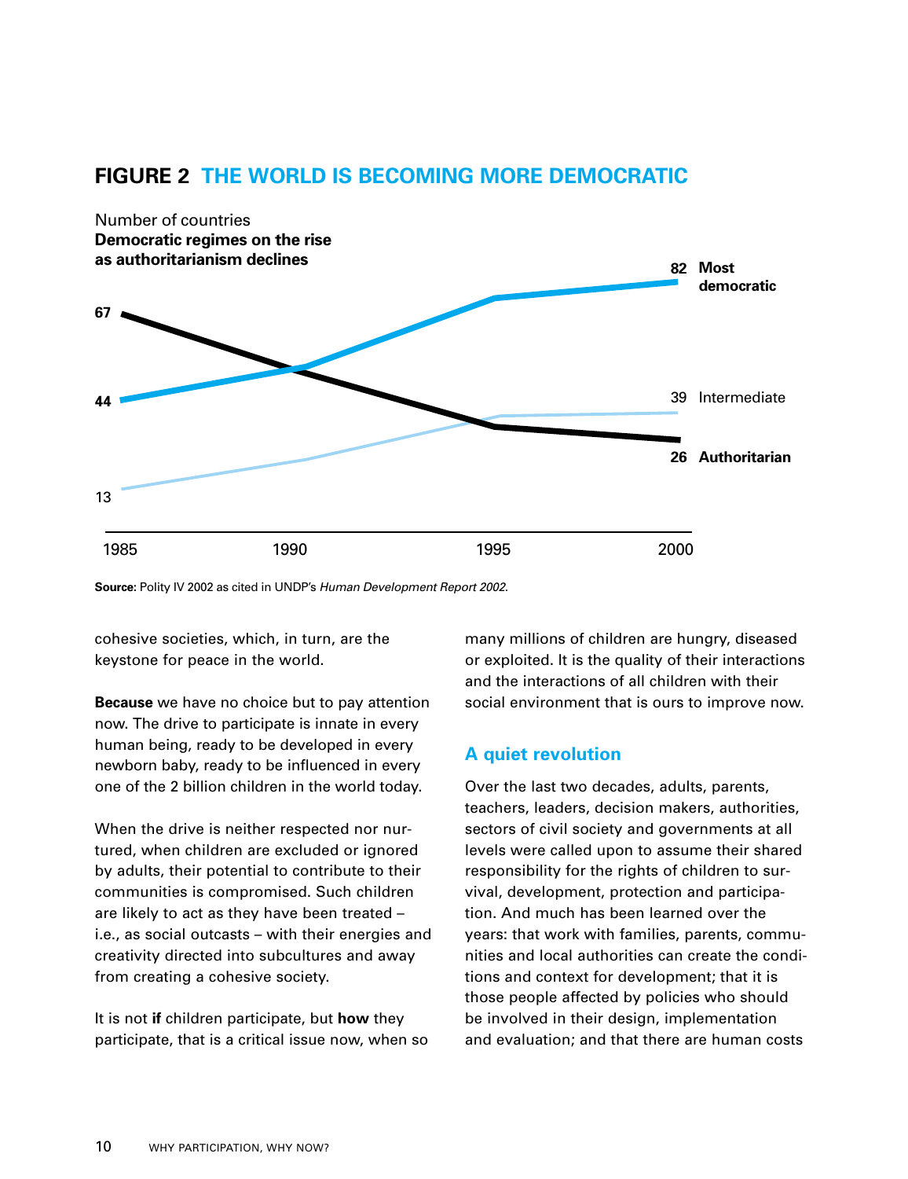#### **FIGURE 2 THE WORLD IS BECOMING MORE DEMOCRATIC**



**Source:** Polity IV 2002 as cited in UNDP's Human Development Report 2002.

cohesive societies, which, in turn, are the keystone for peace in the world.

**Because** we have no choice but to pay attention now. The drive to participate is innate in every human being, ready to be developed in every newborn baby, ready to be influenced in every one of the 2 billion children in the world today.

When the drive is neither respected nor nurtured, when children are excluded or ignored by adults, their potential to contribute to their communities is compromised. Such children are likely to act as they have been treated – i.e., as social outcasts – with their energies and creativity directed into subcultures and away from creating a cohesive society.

It is not **if** children participate, but **how** they participate, that is a critical issue now, when so many millions of children are hungry, diseased or exploited. It is the quality of their interactions and the interactions of all children with their social environment that is ours to improve now.

#### **A quiet revolution**

Over the last two decades, adults, parents, teachers, leaders, decision makers, authorities, sectors of civil society and governments at all levels were called upon to assume their shared responsibility for the rights of children to survival, development, protection and participation. And much has been learned over the years: that work with families, parents, communities and local authorities can create the conditions and context for development; that it is those people affected by policies who should be involved in their design, implementation and evaluation; and that there are human costs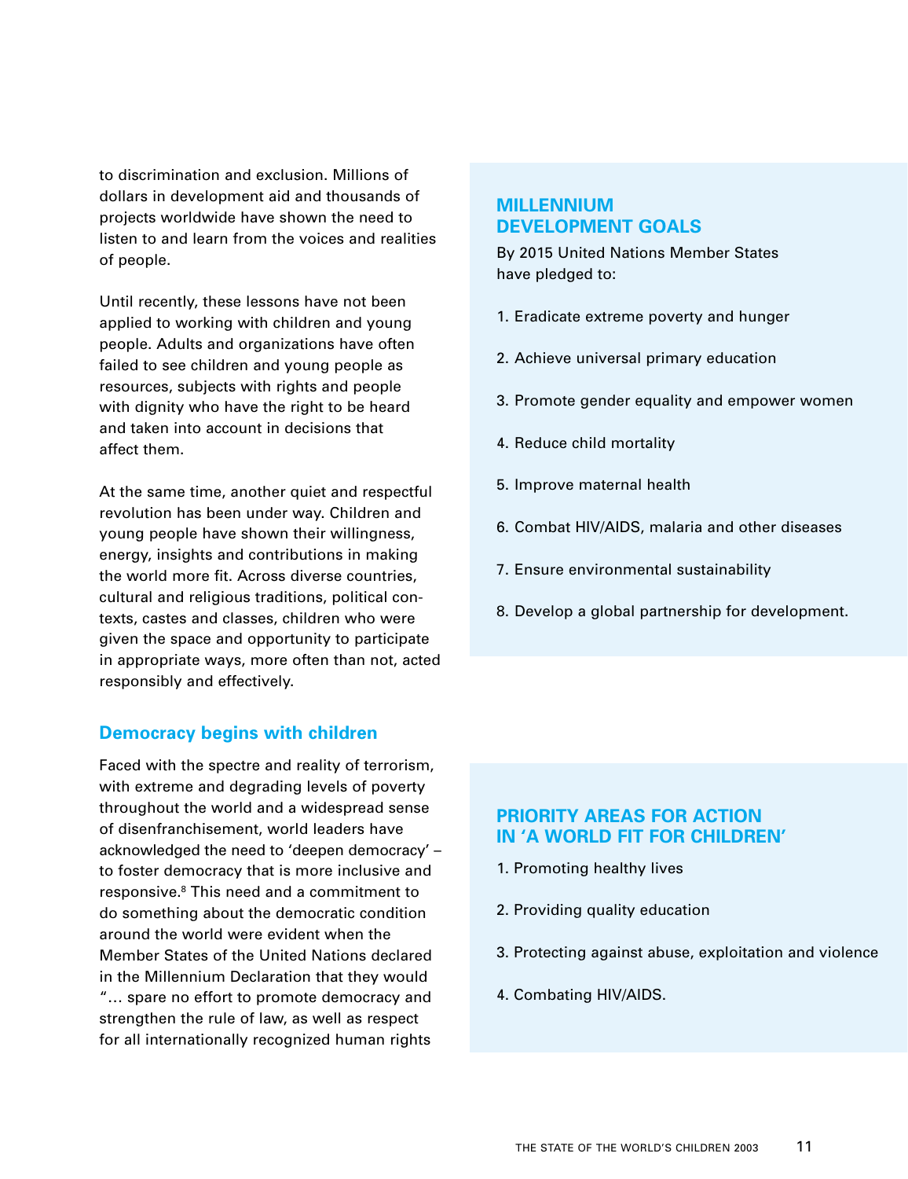to discrimination and exclusion. Millions of dollars in development aid and thousands of projects worldwide have shown the need to listen to and learn from the voices and realities of people.

Until recently, these lessons have not been applied to working with children and young people. Adults and organizations have often failed to see children and young people as resources, subjects with rights and people with dignity who have the right to be heard and taken into account in decisions that affect them.

At the same time, another quiet and respectful revolution has been under way. Children and young people have shown their willingness, energy, insights and contributions in making the world more fit. Across diverse countries, cultural and religious traditions, political contexts, castes and classes, children who were given the space and opportunity to participate in appropriate ways, more often than not, acted responsibly and effectively.

#### **Democracy begins with children**

Faced with the spectre and reality of terrorism, with extreme and degrading levels of poverty throughout the world and a widespread sense of disenfranchisement, world leaders have acknowledged the need to 'deepen democracy' – to foster democracy that is more inclusive and responsive.8 This need and a commitment to do something about the democratic condition around the world were evident when the Member States of the United Nations declared in the Millennium Declaration that they would "… spare no effort to promote democracy and strengthen the rule of law, as well as respect for all internationally recognized human rights

#### **MILLENNIUM DEVELOPMENT GOALS**

By 2015 United Nations Member States have pledged to:

- 1. Eradicate extreme poverty and hunger
- 2. Achieve universal primary education
- 3. Promote gender equality and empower women
- 4. Reduce child mortality
- 5. Improve maternal health
- 6. Combat HIV/AIDS, malaria and other diseases
- 7. Ensure environmental sustainability
- 8. Develop a global partnership for development.

#### **PRIORITY AREAS FOR ACTION IN 'A WORLD FIT FOR CHILDREN'**

- 1. Promoting healthy lives
- 2. Providing quality education
- 3. Protecting against abuse, exploitation and violence
- 4. Combating HIV/AIDS.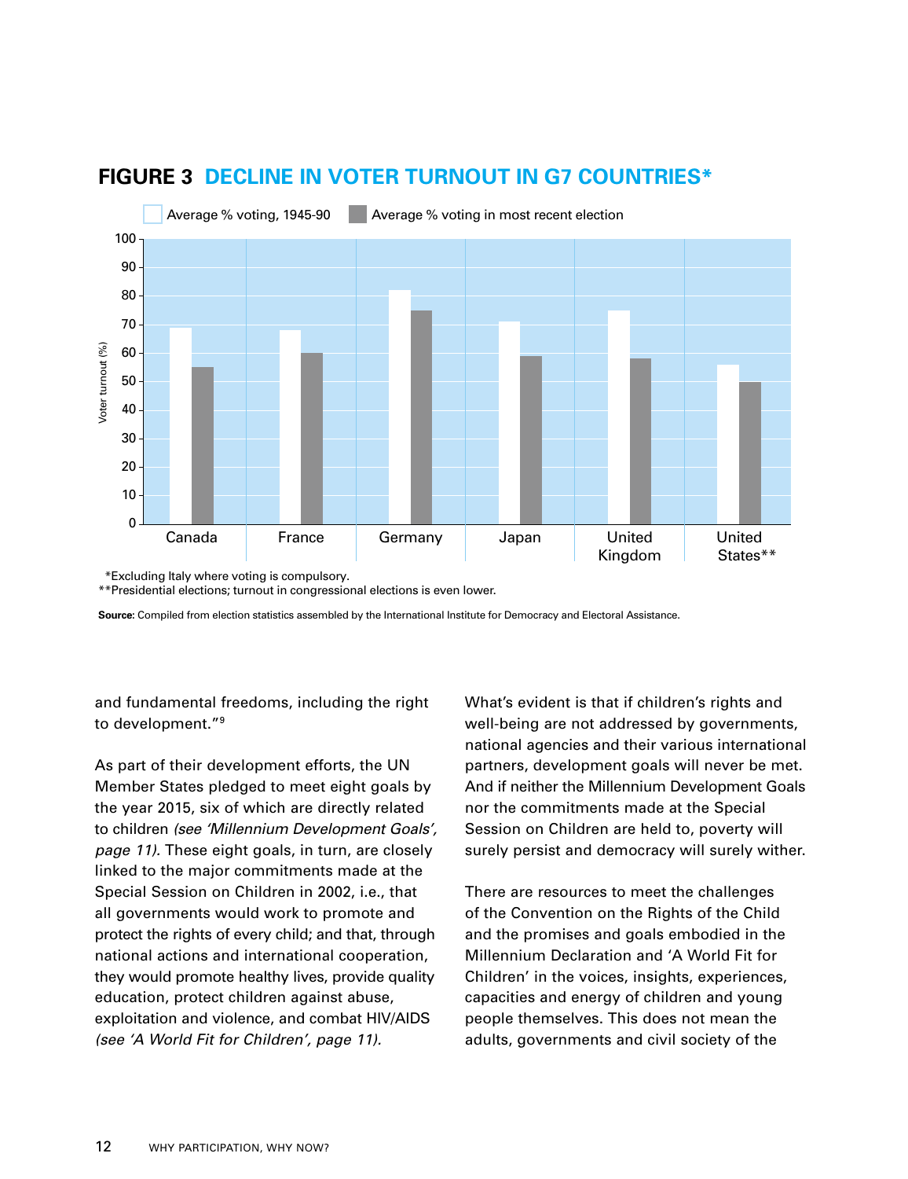

### **FIGURE 3 DECLINE IN VOTER TURNOUT IN G7 COUNTRIES\***

\*\*Excluding Italy where voting is compulsory.

**Source:** Compiled from election statistics assembled by the International Institute for Democracy and Electoral Assistance.

and fundamental freedoms, including the right to development."9

As part of their development efforts, the UN Member States pledged to meet eight goals by the year 2015, six of which are directly related to children *(see 'Millennium Development Goals', page 11).* These eight goals, in turn, are closely linked to the major commitments made at the Special Session on Children in 2002, i.e., that all governments would work to promote and protect the rights of every child; and that, through national actions and international cooperation, they would promote healthy lives, provide quality education, protect children against abuse, exploitation and violence, and combat HIV/AIDS *(see 'A World Fit for Children', page 11).*

What's evident is that if children's rights and well-being are not addressed by governments, national agencies and their various international partners, development goals will never be met. And if neither the Millennium Development Goals nor the commitments made at the Special Session on Children are held to, poverty will surely persist and democracy will surely wither.

There are resources to meet the challenges of the Convention on the Rights of the Child and the promises and goals embodied in the Millennium Declaration and 'A World Fit for Children' in the voices, insights, experiences, capacities and energy of children and young people themselves. This does not mean the adults, governments and civil society of the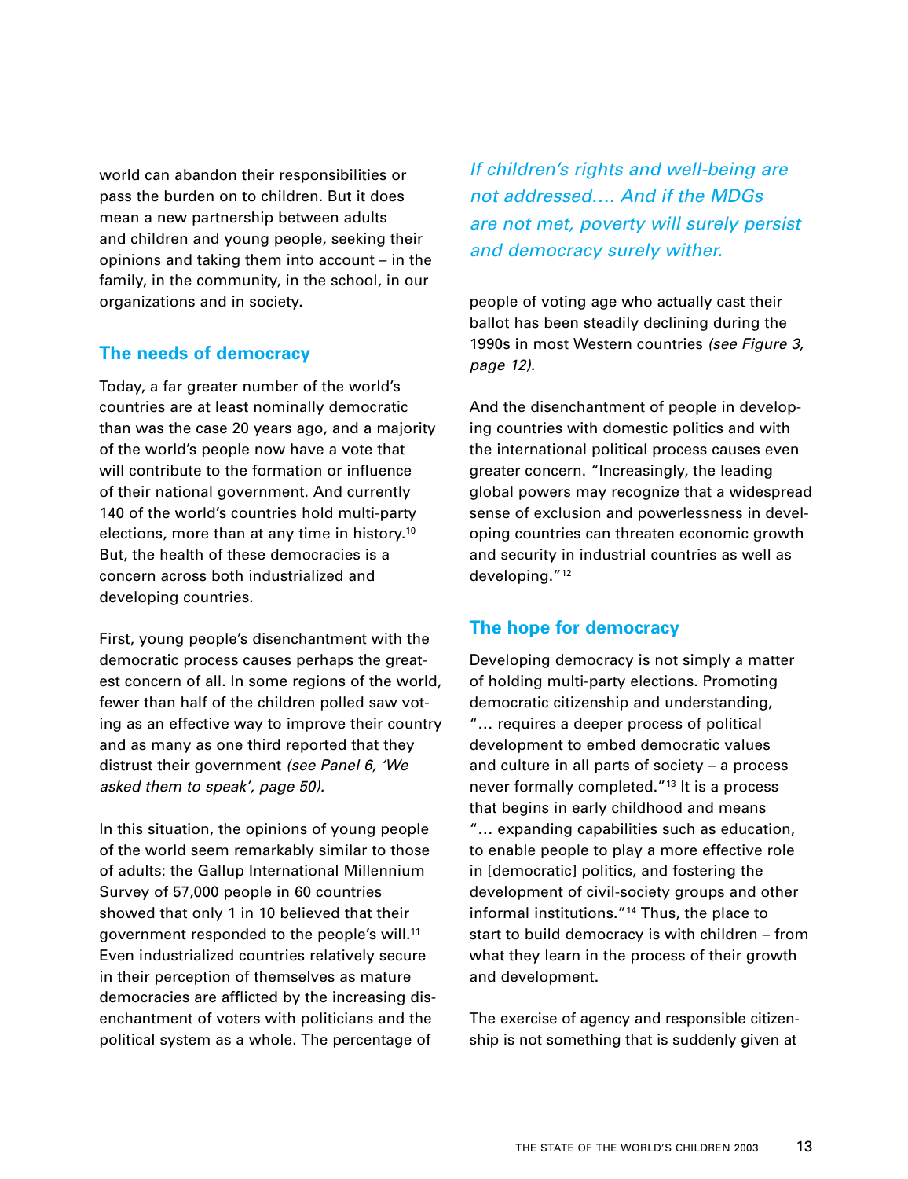world can abandon their responsibilities or pass the burden on to children. But it does mean a new partnership between adults and children and young people, seeking their opinions and taking them into account – in the family, in the community, in the school, in our organizations and in society.

#### **The needs of democracy**

Today, a far greater number of the world's countries are at least nominally democratic than was the case 20 years ago, and a majority of the world's people now have a vote that will contribute to the formation or influence of their national government. And currently 140 of the world's countries hold multi-party elections, more than at any time in history.<sup>10</sup> But, the health of these democracies is a concern across both industrialized and developing countries.

First, young people's disenchantment with the democratic process causes perhaps the greatest concern of all. In some regions of the world, fewer than half of the children polled saw voting as an effective way to improve their country and as many as one third reported that they distrust their government *(see Panel 6, 'We asked them to speak', page 50).*

In this situation, the opinions of young people of the world seem remarkably similar to those of adults: the Gallup International Millennium Survey of 57,000 people in 60 countries showed that only 1 in 10 believed that their government responded to the people's will.11 Even industrialized countries relatively secure in their perception of themselves as mature democracies are afflicted by the increasing disenchantment of voters with politicians and the political system as a whole. The percentage of

*If children's rights and well-being are not addressed…. And if the MDGs are not met, poverty will surely persist and democracy surely wither.*

people of voting age who actually cast their ballot has been steadily declining during the 1990s in most Western countries *(see Figure 3, page 12).*

And the disenchantment of people in developing countries with domestic politics and with the international political process causes even greater concern. "Increasingly, the leading global powers may recognize that a widespread sense of exclusion and powerlessness in developing countries can threaten economic growth and security in industrial countries as well as developing."12

#### **The hope for democracy**

Developing democracy is not simply a matter of holding multi-party elections. Promoting democratic citizenship and understanding, "… requires a deeper process of political development to embed democratic values and culture in all parts of society – a process never formally completed."13 It is a process that begins in early childhood and means "… expanding capabilities such as education, to enable people to play a more effective role in [democratic] politics, and fostering the development of civil-society groups and other informal institutions."14 Thus, the place to start to build democracy is with children – from what they learn in the process of their growth and development.

The exercise of agency and responsible citizenship is not something that is suddenly given at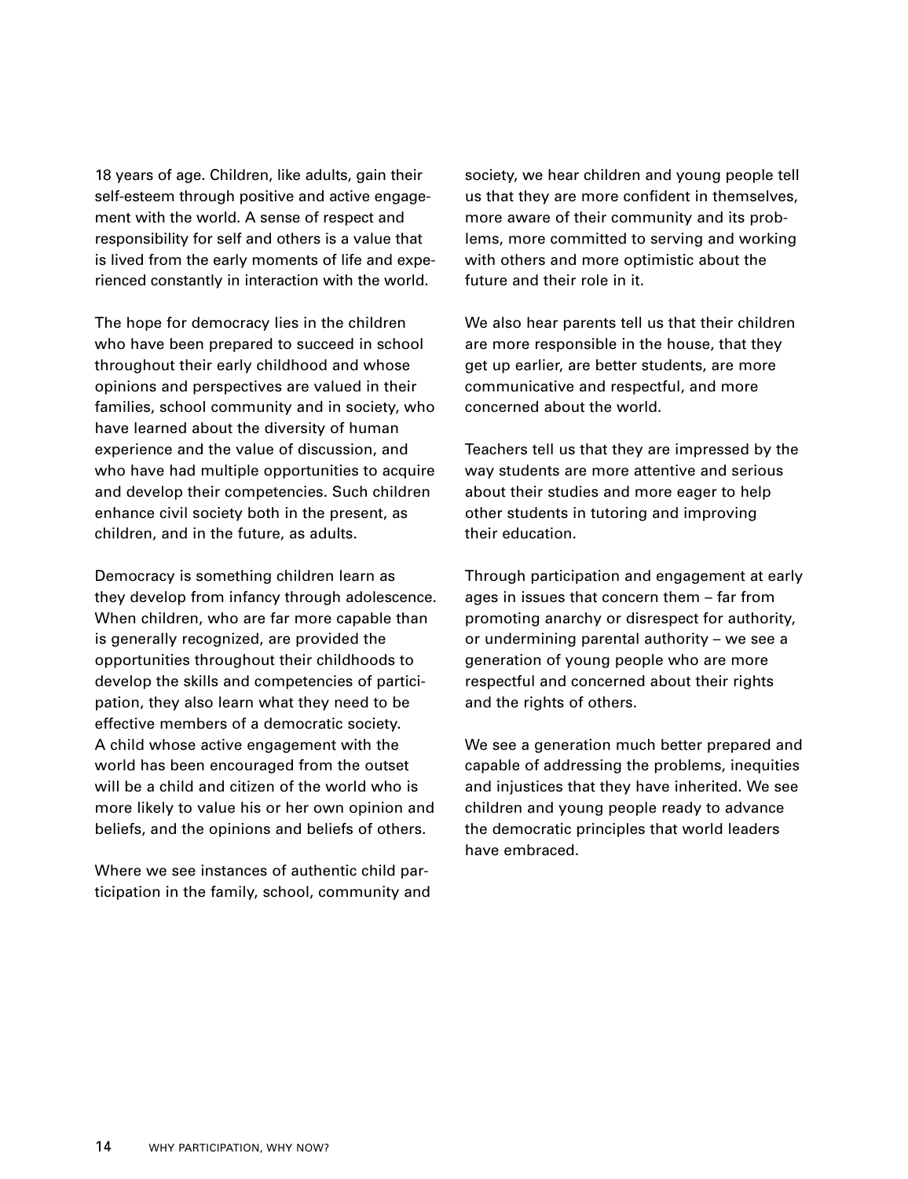18 years of age. Children, like adults, gain their self-esteem through positive and active engagement with the world. A sense of respect and responsibility for self and others is a value that is lived from the early moments of life and experienced constantly in interaction with the world.

The hope for democracy lies in the children who have been prepared to succeed in school throughout their early childhood and whose opinions and perspectives are valued in their families, school community and in society, who have learned about the diversity of human experience and the value of discussion, and who have had multiple opportunities to acquire and develop their competencies. Such children enhance civil society both in the present, as children, and in the future, as adults.

Democracy is something children learn as they develop from infancy through adolescence. When children, who are far more capable than is generally recognized, are provided the opportunities throughout their childhoods to develop the skills and competencies of participation, they also learn what they need to be effective members of a democratic society. A child whose active engagement with the world has been encouraged from the outset will be a child and citizen of the world who is more likely to value his or her own opinion and beliefs, and the opinions and beliefs of others.

Where we see instances of authentic child participation in the family, school, community and society, we hear children and young people tell us that they are more confident in themselves, more aware of their community and its problems, more committed to serving and working with others and more optimistic about the future and their role in it.

We also hear parents tell us that their children are more responsible in the house, that they get up earlier, are better students, are more communicative and respectful, and more concerned about the world.

Teachers tell us that they are impressed by the way students are more attentive and serious about their studies and more eager to help other students in tutoring and improving their education.

Through participation and engagement at early ages in issues that concern them – far from promoting anarchy or disrespect for authority, or undermining parental authority – we see a generation of young people who are more respectful and concerned about their rights and the rights of others.

We see a generation much better prepared and capable of addressing the problems, inequities and injustices that they have inherited. We see children and young people ready to advance the democratic principles that world leaders have embraced.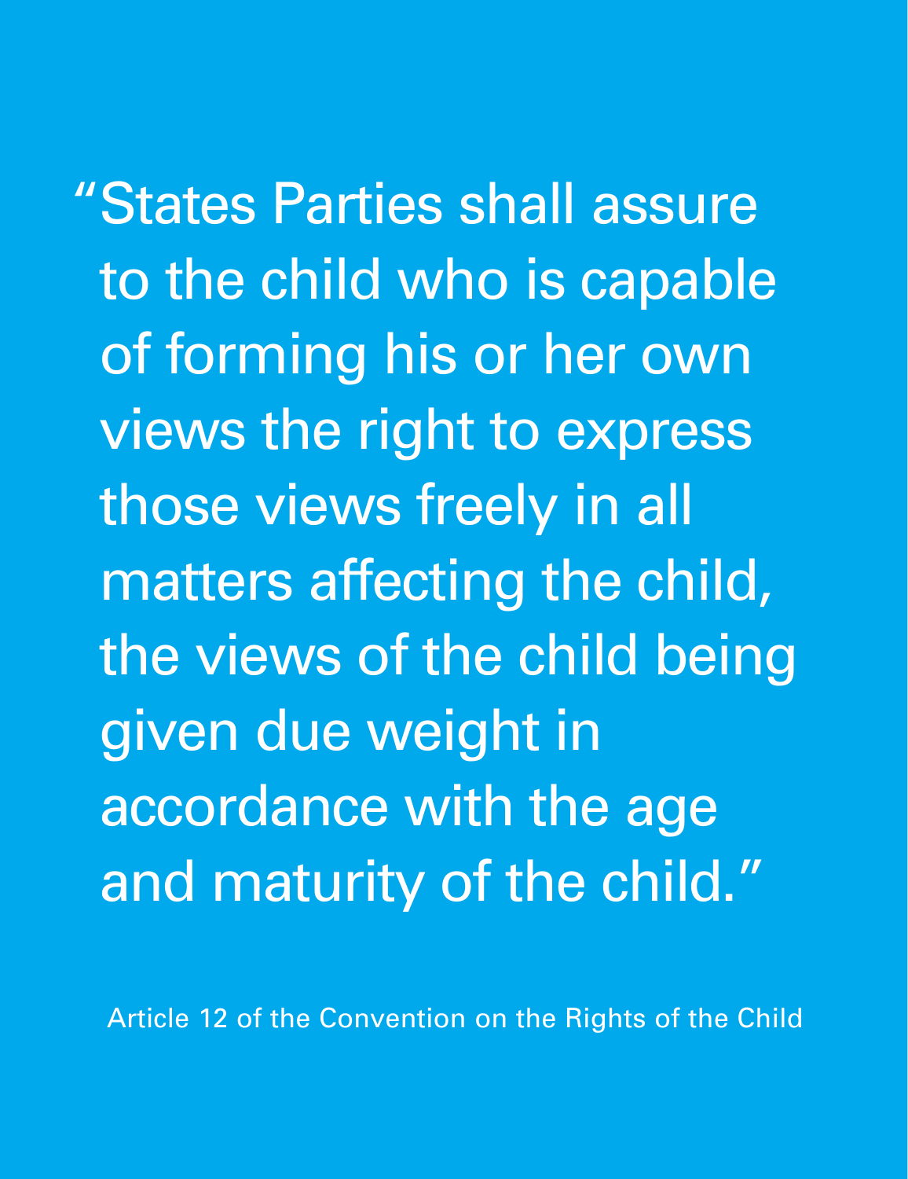"States Parties shall assure to the child who is capable of forming his or her own views the right to express those views freely in all matters affecting the child, the views of the child being given due weight in accordance with the age and maturity of the child."

Article 12 of the Convention on the Rights of the Child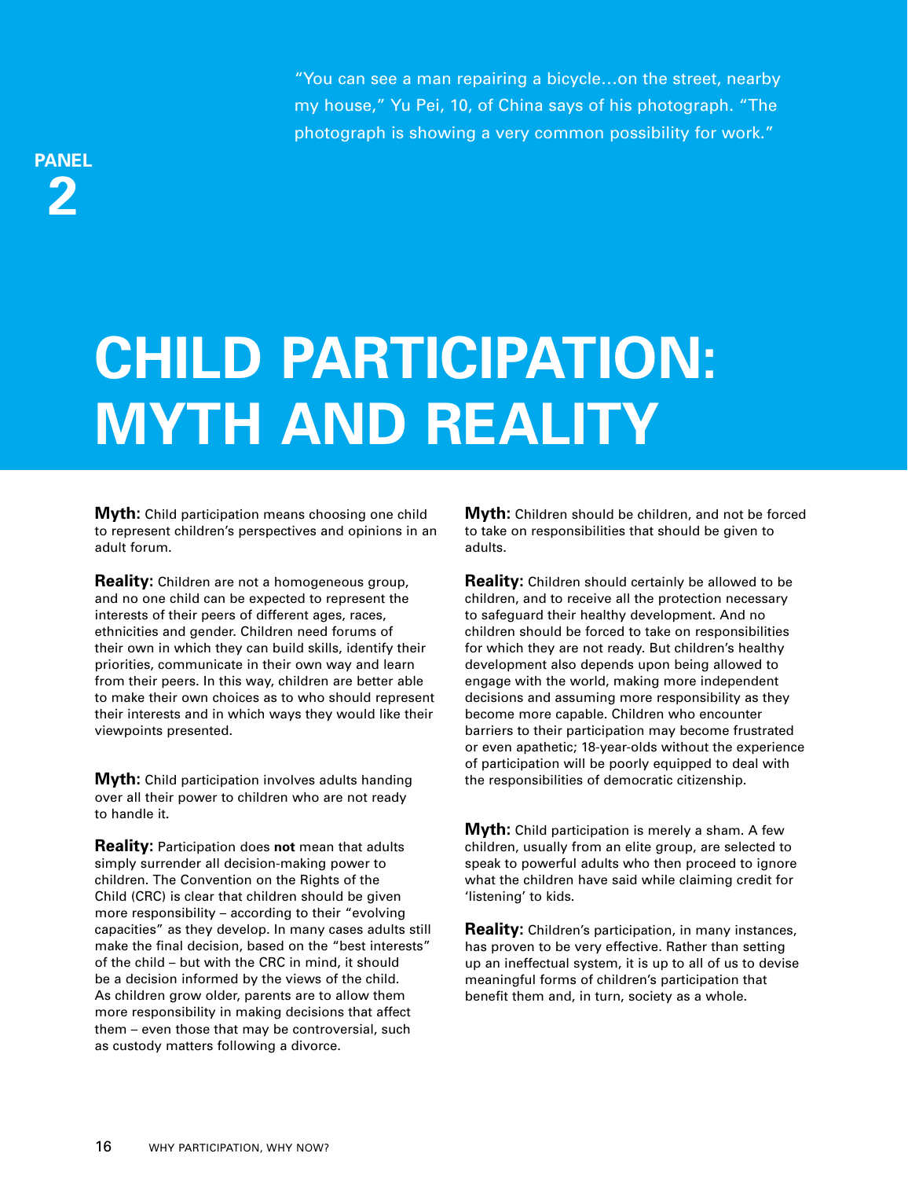"You can see a man repairing a bicycle…on the street, nearby my house," Yu Pei, 10, of China says of his photograph. "The photograph is showing a very common possibility for work."

### **PANEL 2**

### **CHILD PARTICIPATION: MYTH AND REALITY**

**Myth:** Child participation means choosing one child to represent children's perspectives and opinions in an adult forum.

**Reality:** Children are not a homogeneous group, and no one child can be expected to represent the interests of their peers of different ages, races, ethnicities and gender. Children need forums of their own in which they can build skills, identify their priorities, communicate in their own way and learn from their peers. In this way, children are better able to make their own choices as to who should represent their interests and in which ways they would like their viewpoints presented.

**Myth:** Child participation involves adults handing over all their power to children who are not ready to handle it.

**Reality:** Participation does **not** mean that adults simply surrender all decision-making power to children. The Convention on the Rights of the Child (CRC) is clear that children should be given more responsibility – according to their "evolving capacities" as they develop. In many cases adults still make the final decision, based on the "best interests" of the child – but with the CRC in mind, it should be a decision informed by the views of the child. As children grow older, parents are to allow them more responsibility in making decisions that affect them – even those that may be controversial, such as custody matters following a divorce.

**Myth:** Children should be children, and not be forced to take on responsibilities that should be given to adults.

**Reality:** Children should certainly be allowed to be children, and to receive all the protection necessary to safeguard their healthy development. And no children should be forced to take on responsibilities for which they are not ready. But children's healthy development also depends upon being allowed to engage with the world, making more independent decisions and assuming more responsibility as they become more capable. Children who encounter barriers to their participation may become frustrated or even apathetic; 18-year-olds without the experience of participation will be poorly equipped to deal with the responsibilities of democratic citizenship.

**Myth:** Child participation is merely a sham. A few children, usually from an elite group, are selected to speak to powerful adults who then proceed to ignore what the children have said while claiming credit for 'listening' to kids.

**Reality:** Children's participation, in many instances, has proven to be very effective. Rather than setting up an ineffectual system, it is up to all of us to devise meaningful forms of children's participation that benefit them and, in turn, society as a whole.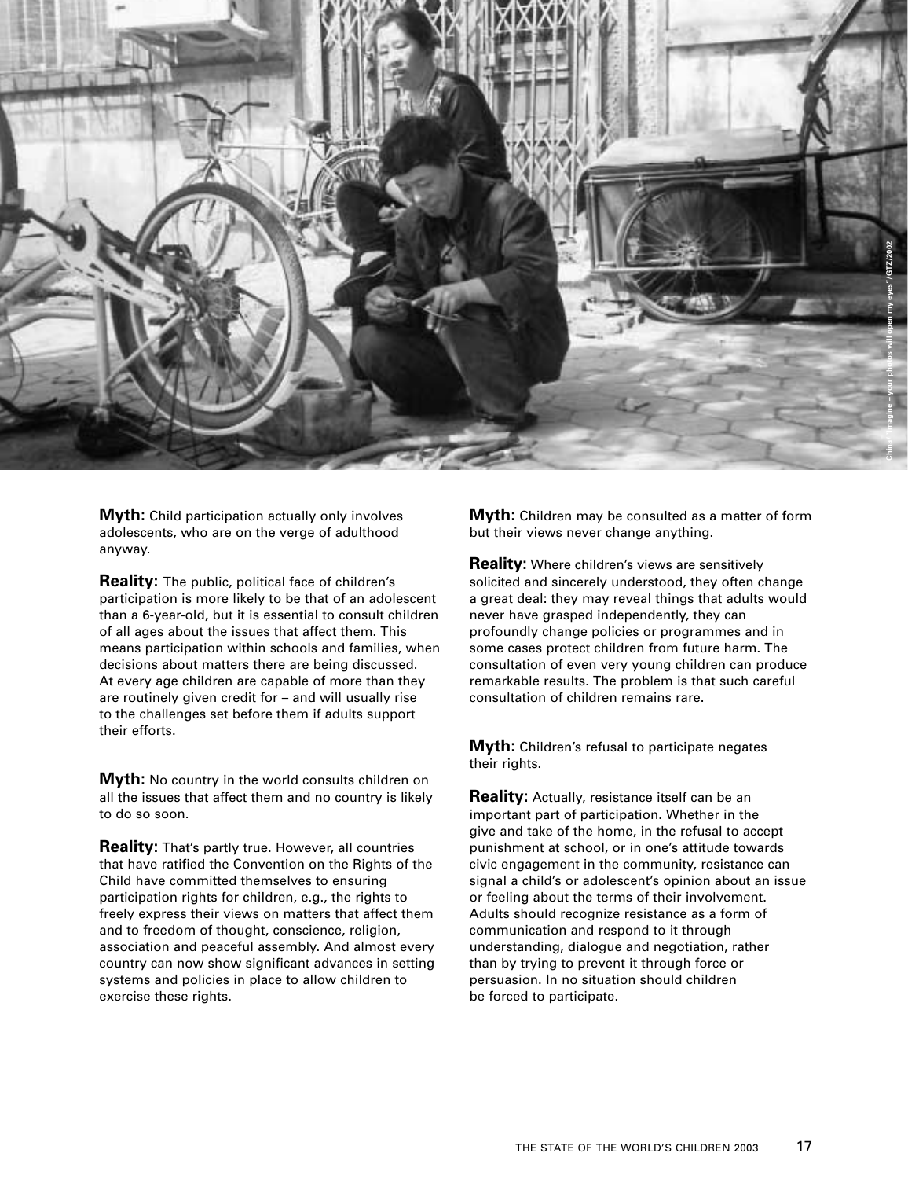

**Myth:** Child participation actually only involves adolescents, who are on the verge of adulthood anyway.

**Reality:** The public, political face of children's participation is more likely to be that of an adolescent than a 6-year-old, but it is essential to consult children of all ages about the issues that affect them. This means participation within schools and families, when decisions about matters there are being discussed. At every age children are capable of more than they are routinely given credit for – and will usually rise to the challenges set before them if adults support their efforts.

**Myth:** No country in the world consults children on all the issues that affect them and no country is likely to do so soon.

**Reality:** That's partly true. However, all countries that have ratified the Convention on the Rights of the Child have committed themselves to ensuring participation rights for children, e.g., the rights to freely express their views on matters that affect them and to freedom of thought, conscience, religion, association and peaceful assembly. And almost every country can now show significant advances in setting systems and policies in place to allow children to exercise these rights.

**Myth:** Children may be consulted as a matter of form but their views never change anything.

**Reality:** Where children's views are sensitively solicited and sincerely understood, they often change a great deal: they may reveal things that adults would never have grasped independently, they can profoundly change policies or programmes and in some cases protect children from future harm. The consultation of even very young children can produce remarkable results. The problem is that such careful consultation of children remains rare.

**Myth:** Children's refusal to participate negates their rights.

**Reality:** Actually, resistance itself can be an important part of participation. Whether in the give and take of the home, in the refusal to accept punishment at school, or in one's attitude towards civic engagement in the community, resistance can signal a child's or adolescent's opinion about an issue or feeling about the terms of their involvement. Adults should recognize resistance as a form of communication and respond to it through understanding, dialogue and negotiation, rather than by trying to prevent it through force or persuasion. In no situation should children be forced to participate.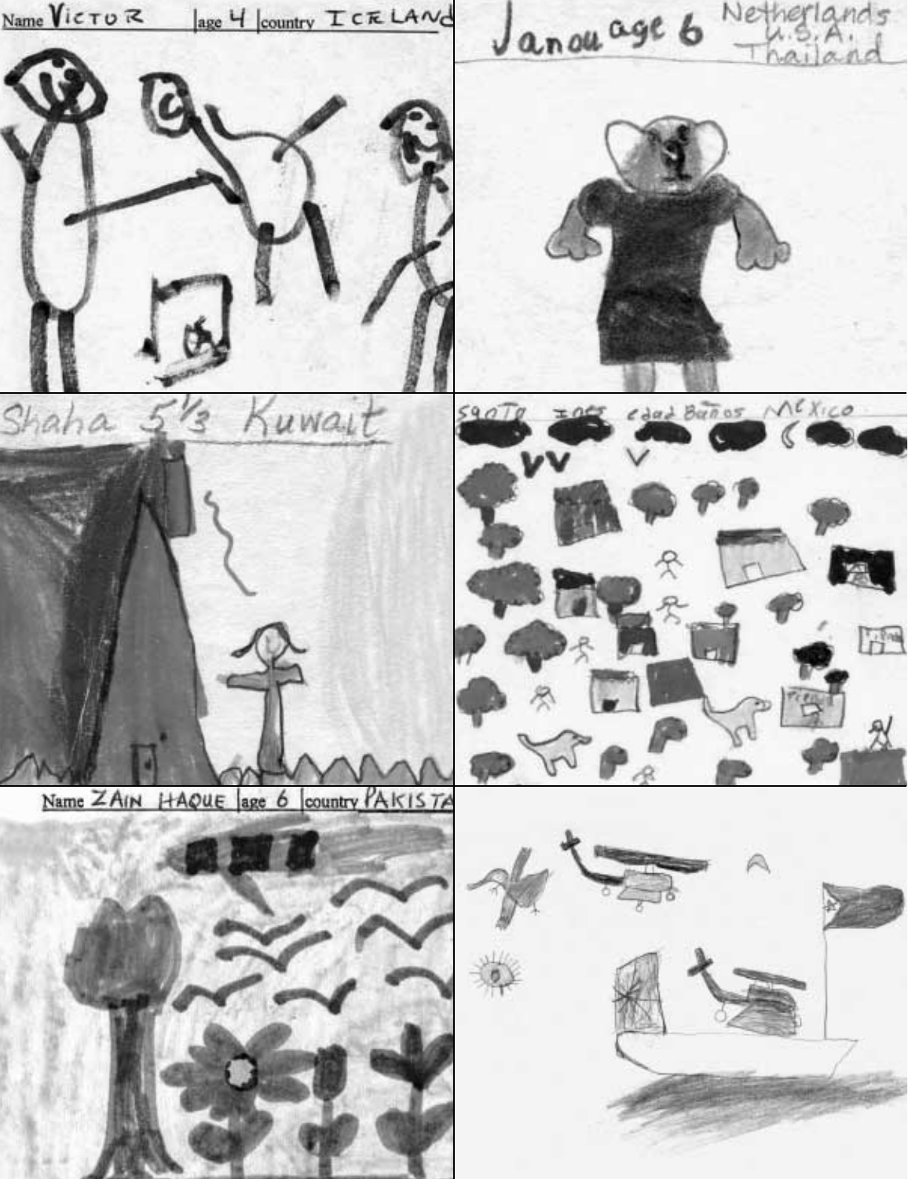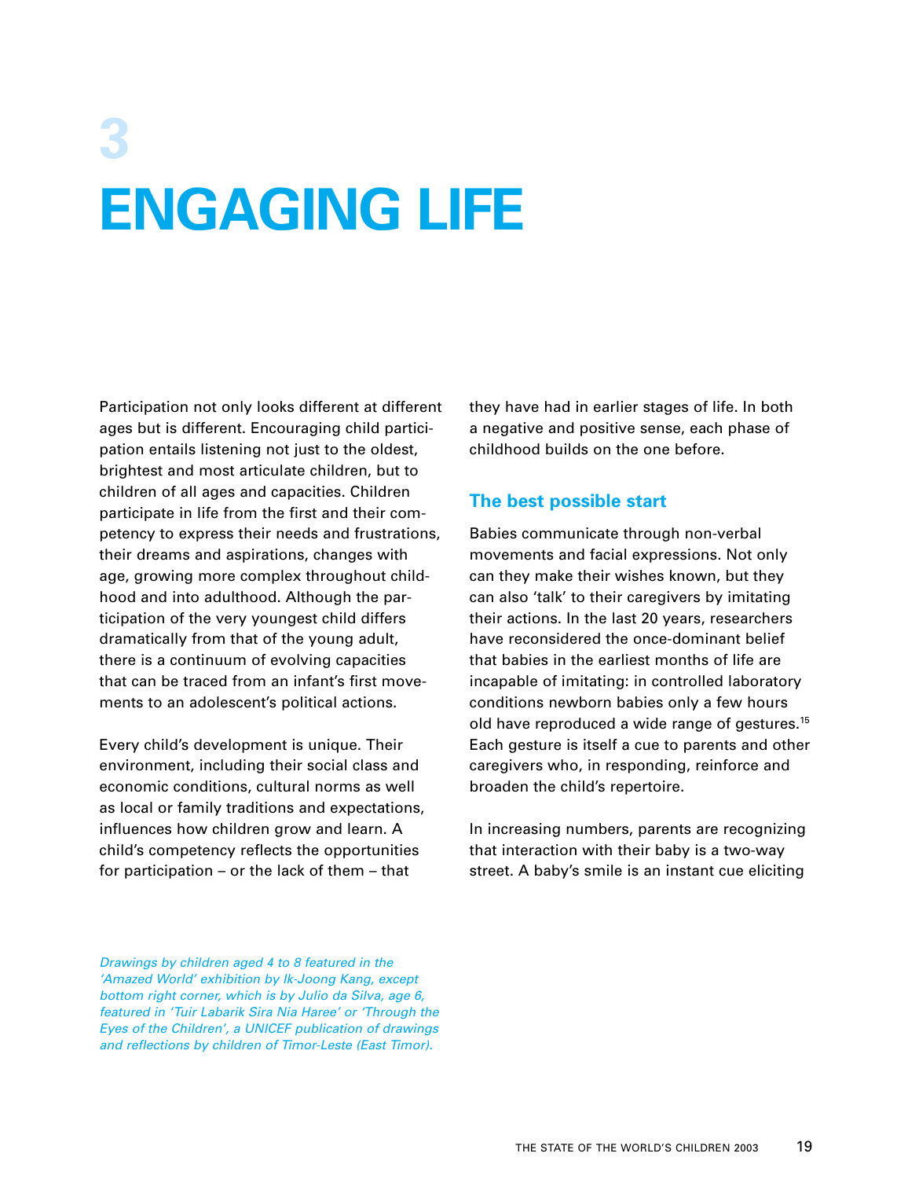# **3 ENGAGING LIFE**

Participation not only looks different at different ages but is different. Encouraging child participation entails listening not just to the oldest, brightest and most articulate children, but to children of all ages and capacities. Children participate in life from the first and their competency to express their needs and frustrations, their dreams and aspirations, changes with age, growing more complex throughout childhood and into adulthood. Although the participation of the very youngest child differs dramatically from that of the young adult, there is a continuum of evolving capacities that can be traced from an infant's first movements to an adolescent's political actions.

Every child's development is unique. Their environment, including their social class and economic conditions, cultural norms as well as local or family traditions and expectations, influences how children grow and learn. A child's competency reflects the opportunities for participation – or the lack of them – that

they have had in earlier stages of life. In both a negative and positive sense, each phase of childhood builds on the one before.

#### **The best possible start**

Babies communicate through non-verbal movements and facial expressions. Not only can they make their wishes known, but they can also 'talk' to their caregivers by imitating their actions. In the last 20 years, researchers have reconsidered the once-dominant belief that babies in the earliest months of life are incapable of imitating: in controlled laboratory conditions newborn babies only a few hours old have reproduced a wide range of gestures.15 Each gesture is itself a cue to parents and other caregivers who, in responding, reinforce and broaden the child's repertoire.

In increasing numbers, parents are recognizing that interaction with their baby is a two-way street. A baby's smile is an instant cue eliciting

*Drawings by children aged 4 to 8 featured in the 'Amazed World' exhibition by Ik-Joong Kang, except bottom right corner, which is by Julio da Silva, age 6, featured in 'Tuir Labarik Sira Nia Haree' or 'Through the Eyes of the Children', a UNICEF publication of drawings and reflections by children of Timor-Leste (East Timor).*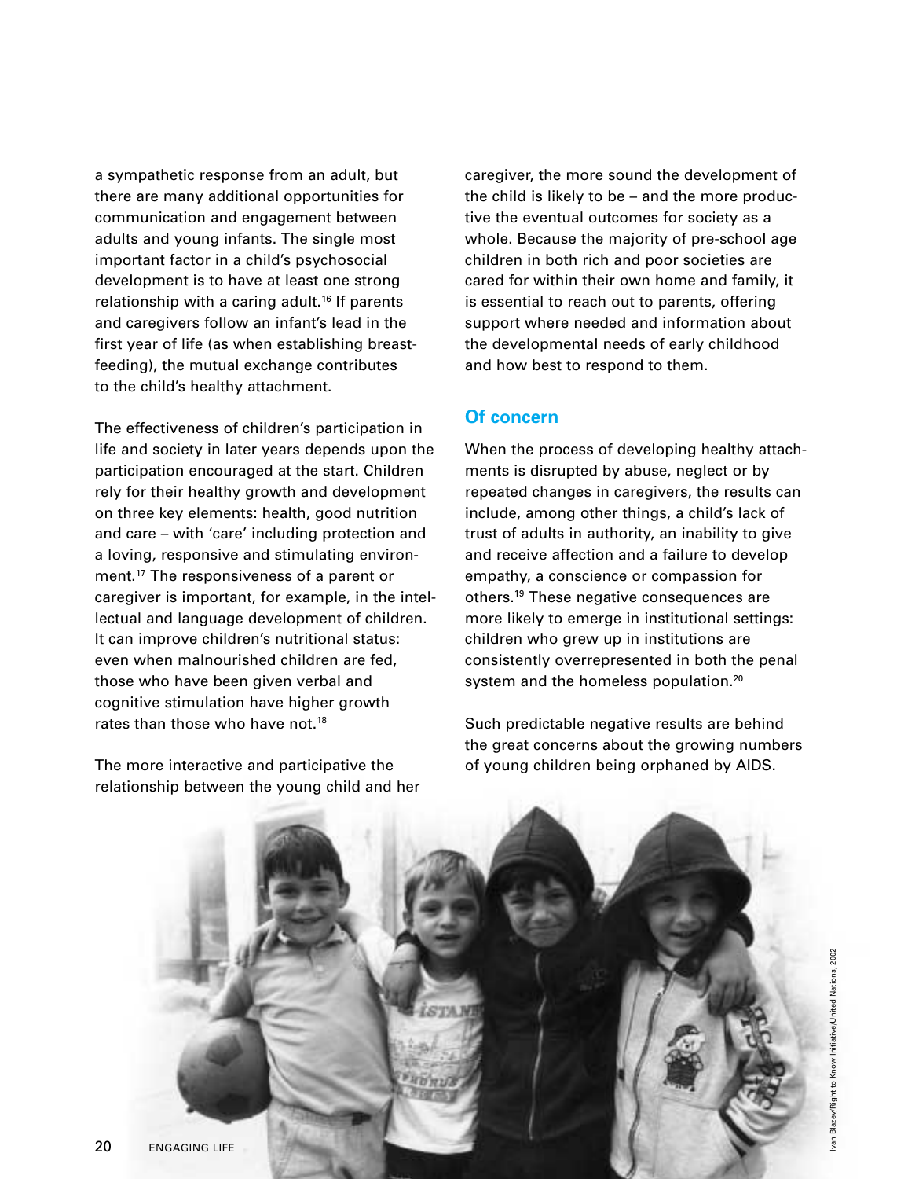a sympathetic response from an adult, but there are many additional opportunities for communication and engagement between adults and young infants. The single most important factor in a child's psychosocial development is to have at least one strong relationship with a caring adult.<sup>16</sup> If parents and caregivers follow an infant's lead in the first year of life (as when establishing breastfeeding), the mutual exchange contributes to the child's healthy attachment.

The effectiveness of children's participation in life and society in later years depends upon the participation encouraged at the start. Children rely for their healthy growth and development on three key elements: health, good nutrition and care – with 'care' including protection and a loving, responsive and stimulating environment.17 The responsiveness of a parent or caregiver is important, for example, in the intellectual and language development of children. It can improve children's nutritional status: even when malnourished children are fed, those who have been given verbal and cognitive stimulation have higher growth rates than those who have not.<sup>18</sup>

The more interactive and participative the relationship between the young child and her

caregiver, the more sound the development of the child is likely to be – and the more productive the eventual outcomes for society as a whole. Because the majority of pre-school age children in both rich and poor societies are cared for within their own home and family, it is essential to reach out to parents, offering support where needed and information about the developmental needs of early childhood and how best to respond to them.

#### **Of concern**

When the process of developing healthy attachments is disrupted by abuse, neglect or by repeated changes in caregivers, the results can include, among other things, a child's lack of trust of adults in authority, an inability to give and receive affection and a failure to develop empathy, a conscience or compassion for others.<sup>19</sup> These negative consequences are more likely to emerge in institutional settings: children who grew up in institutions are consistently overrepresented in both the penal system and the homeless population.<sup>20</sup>

Such predictable negative results are behind the great concerns about the growing numbers of young children being orphaned by AIDS.

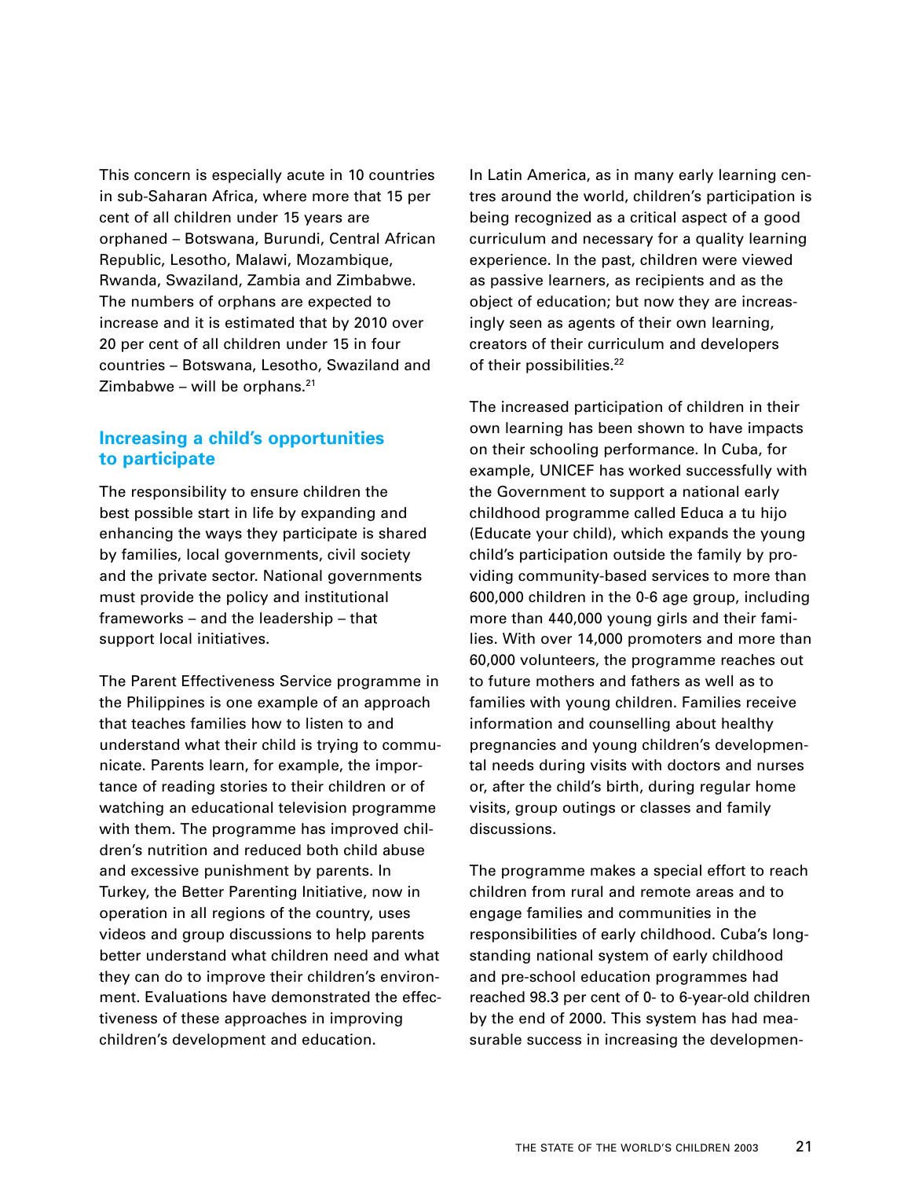This concern is especially acute in 10 countries in sub-Saharan Africa, where more that 15 per cent of all children under 15 years are orphaned – Botswana, Burundi, Central African Republic, Lesotho, Malawi, Mozambique, Rwanda, Swaziland, Zambia and Zimbabwe. The numbers of orphans are expected to increase and it is estimated that by 2010 over 20 per cent of all children under 15 in four countries – Botswana, Lesotho, Swaziland and Zimbabwe – will be orphans. $21$ 

#### **Increasing a child's opportunities to participate**

The responsibility to ensure children the best possible start in life by expanding and enhancing the ways they participate is shared by families, local governments, civil society and the private sector. National governments must provide the policy and institutional frameworks – and the leadership – that support local initiatives.

The Parent Effectiveness Service programme in the Philippines is one example of an approach that teaches families how to listen to and understand what their child is trying to communicate. Parents learn, for example, the importance of reading stories to their children or of watching an educational television programme with them. The programme has improved children's nutrition and reduced both child abuse and excessive punishment by parents. In Turkey, the Better Parenting Initiative, now in operation in all regions of the country, uses videos and group discussions to help parents better understand what children need and what they can do to improve their children's environment. Evaluations have demonstrated the effectiveness of these approaches in improving children's development and education.

In Latin America, as in many early learning centres around the world, children's participation is being recognized as a critical aspect of a good curriculum and necessary for a quality learning experience. In the past, children were viewed as passive learners, as recipients and as the object of education; but now they are increasingly seen as agents of their own learning, creators of their curriculum and developers of their possibilities.<sup>22</sup>

The increased participation of children in their own learning has been shown to have impacts on their schooling performance. In Cuba, for example, UNICEF has worked successfully with the Government to support a national early childhood programme called Educa a tu hijo (Educate your child), which expands the young child's participation outside the family by providing community-based services to more than 600,000 children in the 0-6 age group, including more than 440,000 young girls and their families. With over 14,000 promoters and more than 60,000 volunteers, the programme reaches out to future mothers and fathers as well as to families with young children. Families receive information and counselling about healthy pregnancies and young children's developmental needs during visits with doctors and nurses or, after the child's birth, during regular home visits, group outings or classes and family discussions.

The programme makes a special effort to reach children from rural and remote areas and to engage families and communities in the responsibilities of early childhood. Cuba's longstanding national system of early childhood and pre-school education programmes had reached 98.3 per cent of 0- to 6-year-old children by the end of 2000. This system has had measurable success in increasing the developmen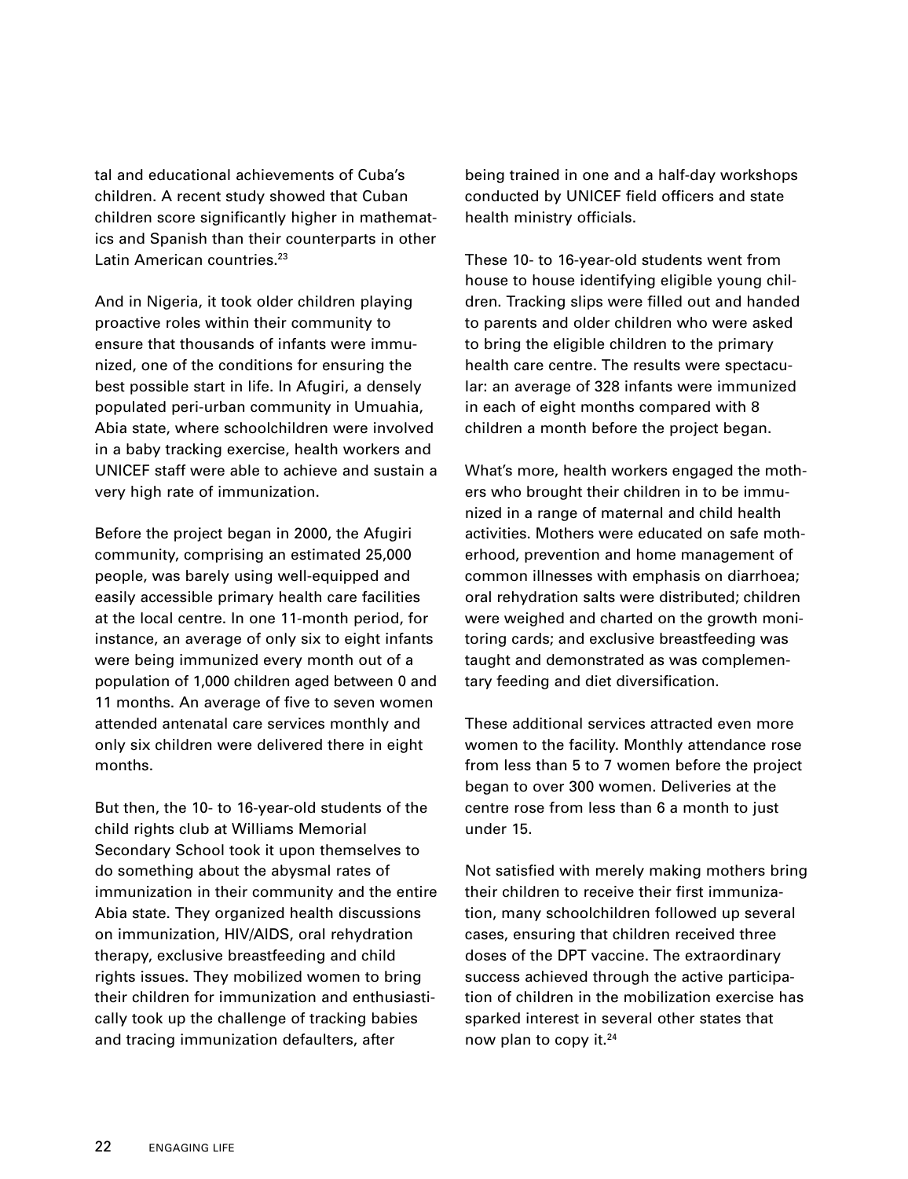tal and educational achievements of Cuba's children. A recent study showed that Cuban children score significantly higher in mathematics and Spanish than their counterparts in other Latin American countries.<sup>23</sup>

And in Nigeria, it took older children playing proactive roles within their community to ensure that thousands of infants were immunized, one of the conditions for ensuring the best possible start in life. In Afugiri, a densely populated peri-urban community in Umuahia, Abia state, where schoolchildren were involved in a baby tracking exercise, health workers and UNICEF staff were able to achieve and sustain a very high rate of immunization.

Before the project began in 2000, the Afugiri community, comprising an estimated 25,000 people, was barely using well-equipped and easily accessible primary health care facilities at the local centre. In one 11-month period, for instance, an average of only six to eight infants were being immunized every month out of a population of 1,000 children aged between 0 and 11 months. An average of five to seven women attended antenatal care services monthly and only six children were delivered there in eight months.

But then, the 10- to 16-year-old students of the child rights club at Williams Memorial Secondary School took it upon themselves to do something about the abysmal rates of immunization in their community and the entire Abia state. They organized health discussions on immunization, HIV/AIDS, oral rehydration therapy, exclusive breastfeeding and child rights issues. They mobilized women to bring their children for immunization and enthusiastically took up the challenge of tracking babies and tracing immunization defaulters, after

being trained in one and a half-day workshops conducted by UNICEF field officers and state health ministry officials.

These 10- to 16-year-old students went from house to house identifying eligible young children. Tracking slips were filled out and handed to parents and older children who were asked to bring the eligible children to the primary health care centre. The results were spectacular: an average of 328 infants were immunized in each of eight months compared with 8 children a month before the project began.

What's more, health workers engaged the mothers who brought their children in to be immunized in a range of maternal and child health activities. Mothers were educated on safe motherhood, prevention and home management of common illnesses with emphasis on diarrhoea; oral rehydration salts were distributed; children were weighed and charted on the growth monitoring cards; and exclusive breastfeeding was taught and demonstrated as was complementary feeding and diet diversification.

These additional services attracted even more women to the facility. Monthly attendance rose from less than 5 to 7 women before the project began to over 300 women. Deliveries at the centre rose from less than 6 a month to just under 15.

Not satisfied with merely making mothers bring their children to receive their first immunization, many schoolchildren followed up several cases, ensuring that children received three doses of the DPT vaccine. The extraordinary success achieved through the active participation of children in the mobilization exercise has sparked interest in several other states that now plan to copy it. $24$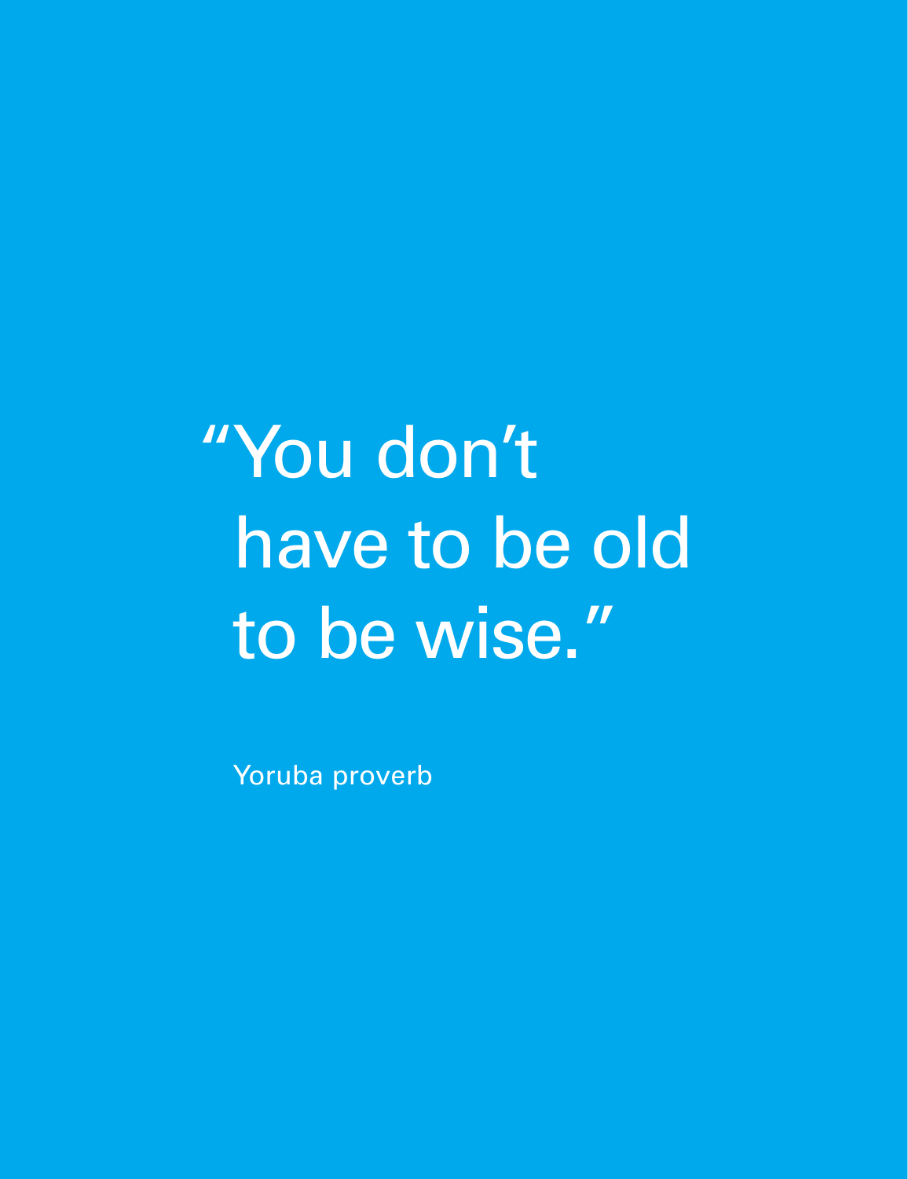"You don't have to be old to be wise."

Yoruba proverb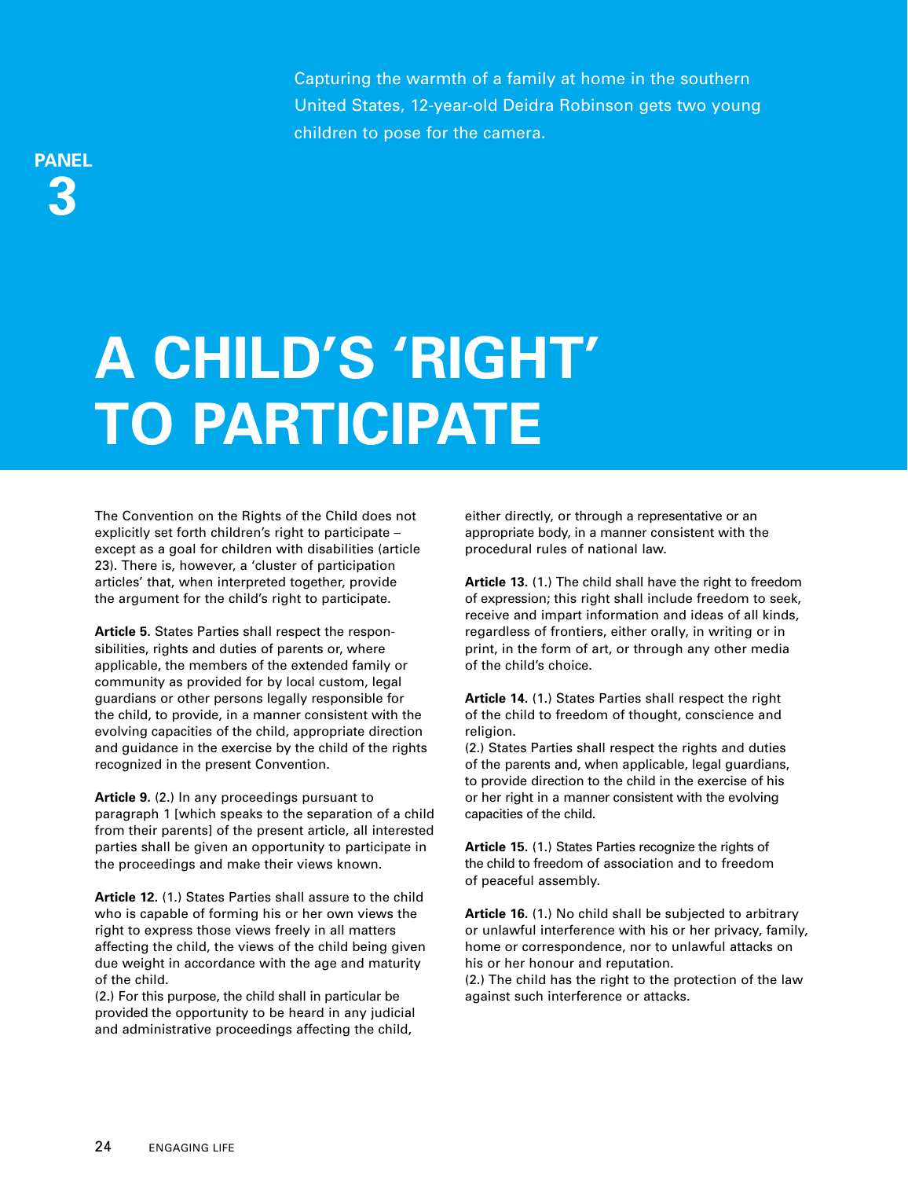Capturing the warmth of a family at home in the southern United States, 12-year-old Deidra Robinson gets two young children to pose for the camera.



### **A CHILD'S 'RIGHT' TO PARTICIPATE**

The Convention on the Rights of the Child does not explicitly set forth children's right to participate – except as a goal for children with disabilities (article 23). There is, however, a 'cluster of participation articles' that, when interpreted together, provide the argument for the child's right to participate.

**Article 5.** States Parties shall respect the responsibilities, rights and duties of parents or, where applicable, the members of the extended family or community as provided for by local custom, legal guardians or other persons legally responsible for the child, to provide, in a manner consistent with the evolving capacities of the child, appropriate direction and guidance in the exercise by the child of the rights recognized in the present Convention.

**Article 9.** (2.) In any proceedings pursuant to paragraph 1 [which speaks to the separation of a child from their parents] of the present article, all interested parties shall be given an opportunity to participate in the proceedings and make their views known.

**Article 12.** (1.) States Parties shall assure to the child who is capable of forming his or her own views the right to express those views freely in all matters affecting the child, the views of the child being given due weight in accordance with the age and maturity of the child.

(2.) For this purpose, the child shall in particular be provided the opportunity to be heard in any judicial and administrative proceedings affecting the child,

either directly, or through a representative or an appropriate body, in a manner consistent with the procedural rules of national law.

**Article 13.** (1.) The child shall have the right to freedom of expression; this right shall include freedom to seek, receive and impart information and ideas of all kinds, regardless of frontiers, either orally, in writing or in print, in the form of art, or through any other media of the child's choice.

**Article 14.** (1.) States Parties shall respect the right of the child to freedom of thought, conscience and religion.

(2.) States Parties shall respect the rights and duties of the parents and, when applicable, legal guardians, to provide direction to the child in the exercise of his or her right in a manner consistent with the evolving capacities of the child.

**Article 15.** (1.) States Parties recognize the rights of the child to freedom of association and to freedom of peaceful assembly.

**Article 16.** (1.) No child shall be subjected to arbitrary or unlawful interference with his or her privacy, family, home or correspondence, nor to unlawful attacks on his or her honour and reputation.

(2.) The child has the right to the protection of the law against such interference or attacks.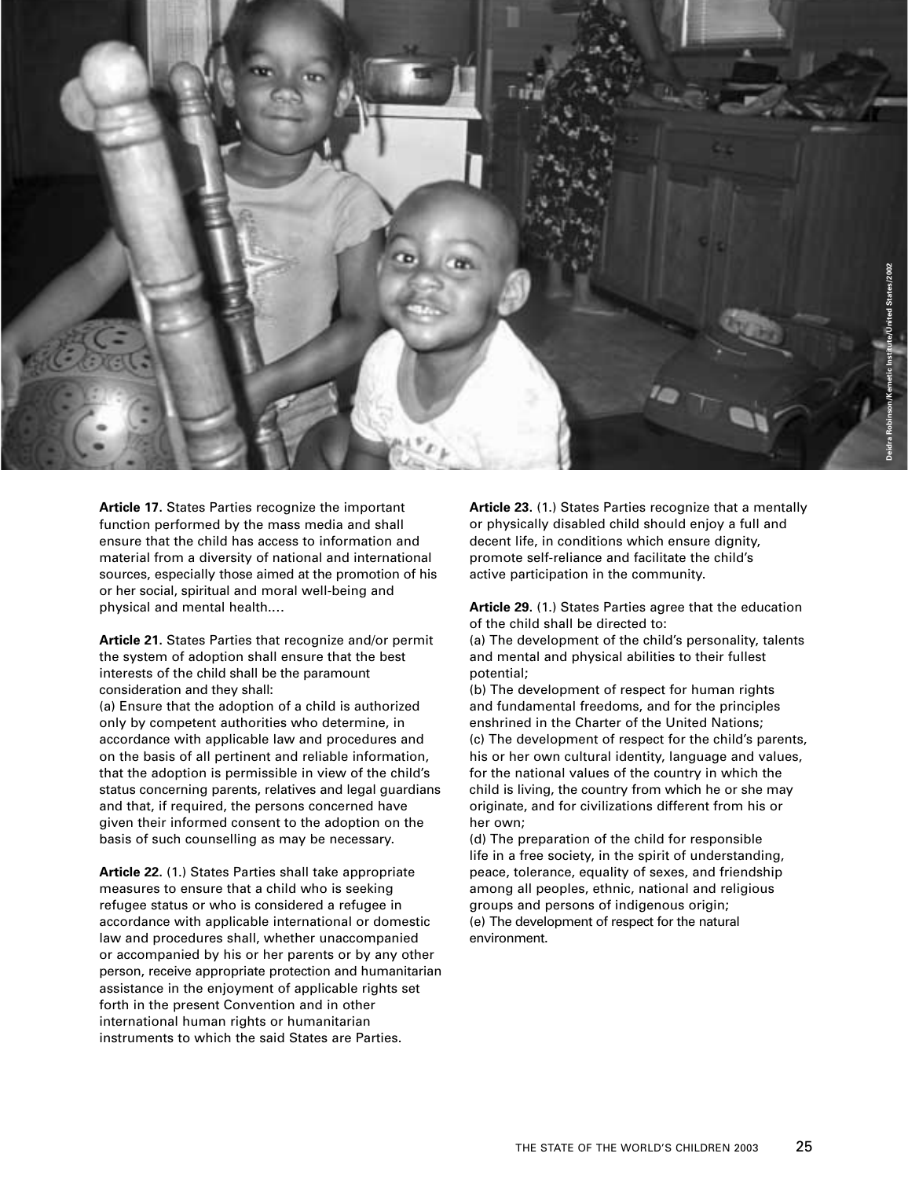

**Article 17.** States Parties recognize the important function performed by the mass media and shall ensure that the child has access to information and material from a diversity of national and international sources, especially those aimed at the promotion of his or her social, spiritual and moral well-being and physical and mental health.…

**Article 21.** States Parties that recognize and/or permit the system of adoption shall ensure that the best interests of the child shall be the paramount consideration and they shall:

(a) Ensure that the adoption of a child is authorized only by competent authorities who determine, in accordance with applicable law and procedures and on the basis of all pertinent and reliable information, that the adoption is permissible in view of the child's status concerning parents, relatives and legal guardians and that, if required, the persons concerned have given their informed consent to the adoption on the basis of such counselling as may be necessary.

**Article 22.** (1.) States Parties shall take appropriate measures to ensure that a child who is seeking refugee status or who is considered a refugee in accordance with applicable international or domestic law and procedures shall, whether unaccompanied or accompanied by his or her parents or by any other person, receive appropriate protection and humanitarian assistance in the enjoyment of applicable rights set forth in the present Convention and in other international human rights or humanitarian instruments to which the said States are Parties.

**Article 23.** (1.) States Parties recognize that a mentally or physically disabled child should enjoy a full and decent life, in conditions which ensure dignity, promote self-reliance and facilitate the child's active participation in the community.

**Article 29.** (1.) States Parties agree that the education of the child shall be directed to:

(a) The development of the child's personality, talents and mental and physical abilities to their fullest potential;

(b) The development of respect for human rights and fundamental freedoms, and for the principles enshrined in the Charter of the United Nations; (c) The development of respect for the child's parents, his or her own cultural identity, language and values, for the national values of the country in which the child is living, the country from which he or she may originate, and for civilizations different from his or her own;

(d) The preparation of the child for responsible life in a free society, in the spirit of understanding, peace, tolerance, equality of sexes, and friendship among all peoples, ethnic, national and religious groups and persons of indigenous origin; (e) The development of respect for the natural environment.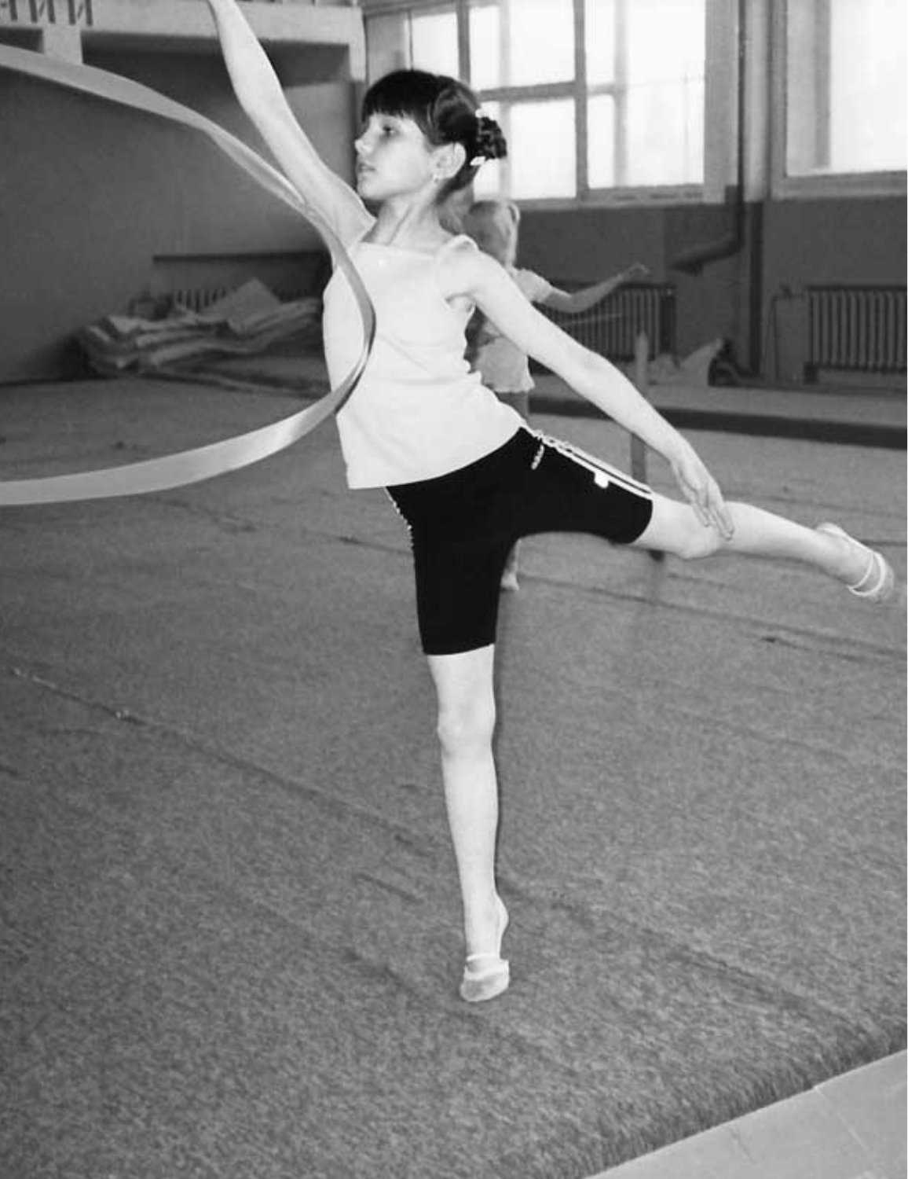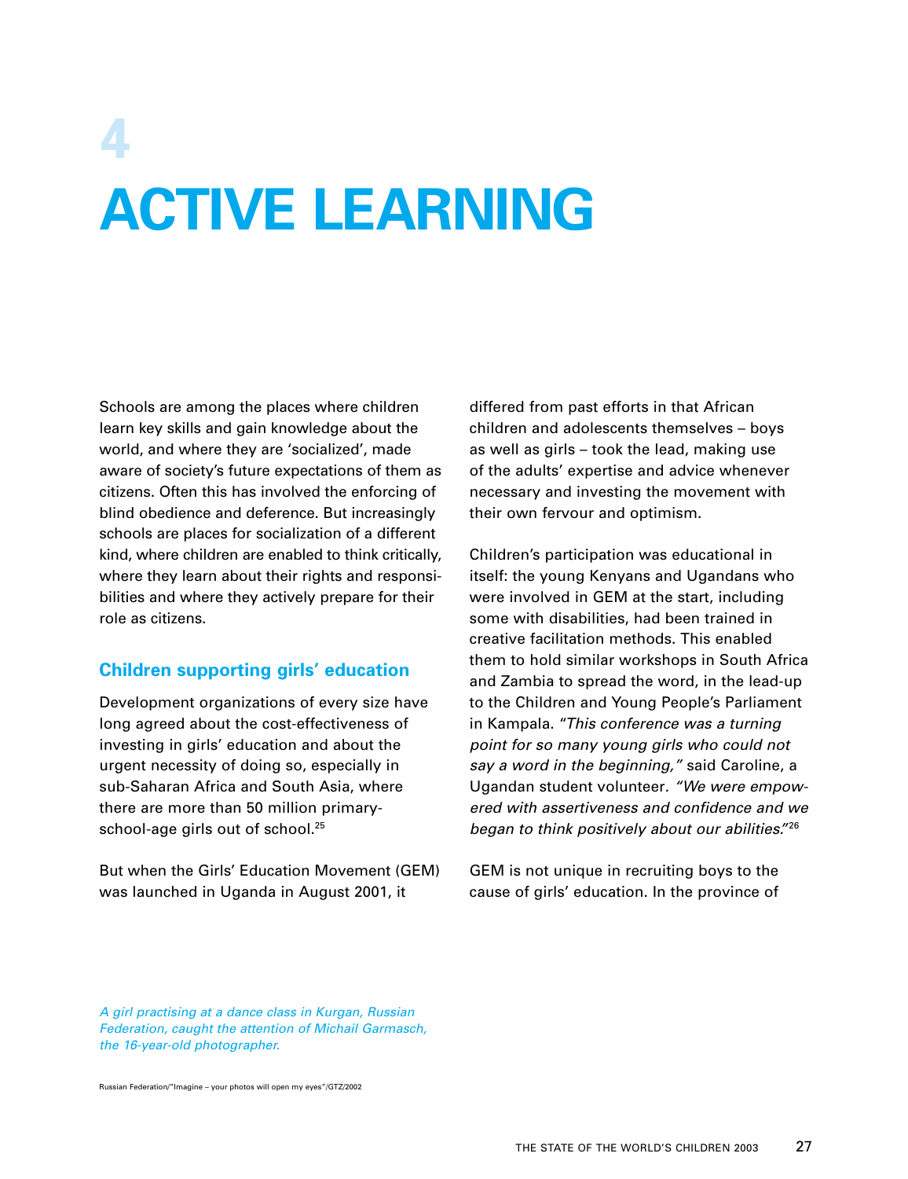## **4 ACTIVE LEARNING**

Schools are among the places where children learn key skills and gain knowledge about the world, and where they are 'socialized', made aware of society's future expectations of them as citizens. Often this has involved the enforcing of blind obedience and deference. But increasingly schools are places for socialization of a different kind, where children are enabled to think critically, where they learn about their rights and responsibilities and where they actively prepare for their role as citizens.

#### **Children supporting girls' education**

Development organizations of every size have long agreed about the cost-effectiveness of investing in girls' education and about the urgent necessity of doing so, especially in sub-Saharan Africa and South Asia, where there are more than 50 million primaryschool-age girls out of school.<sup>25</sup>

But when the Girls' Education Movement (GEM) was launched in Uganda in August 2001, it

differed from past efforts in that African children and adolescents themselves – boys as well as girls – took the lead, making use of the adults' expertise and advice whenever necessary and investing the movement with their own fervour and optimism.

Children's participation was educational in itself: the young Kenyans and Ugandans who were involved in GEM at the start, including some with disabilities, had been trained in creative facilitation methods. This enabled them to hold similar workshops in South Africa and Zambia to spread the word, in the lead-up to the Children and Young People's Parliament in Kampala. "*This conference was a turning point for so many young girls who could not say a word in the beginning,"* said Caroline, a Ugandan student volunteer*. "We were empowered with assertiveness and confidence and we began to think positively about our abilities."*<sup>26</sup>

GEM is not unique in recruiting boys to the cause of girls' education. In the province of

Russian Federation/"Imagine – your photos will open my eyes"/GTZ/2002

*A girl practising at a dance class in Kurgan, Russian Federation, caught the attention of Michail Garmasch, the 16-year-old photographer.*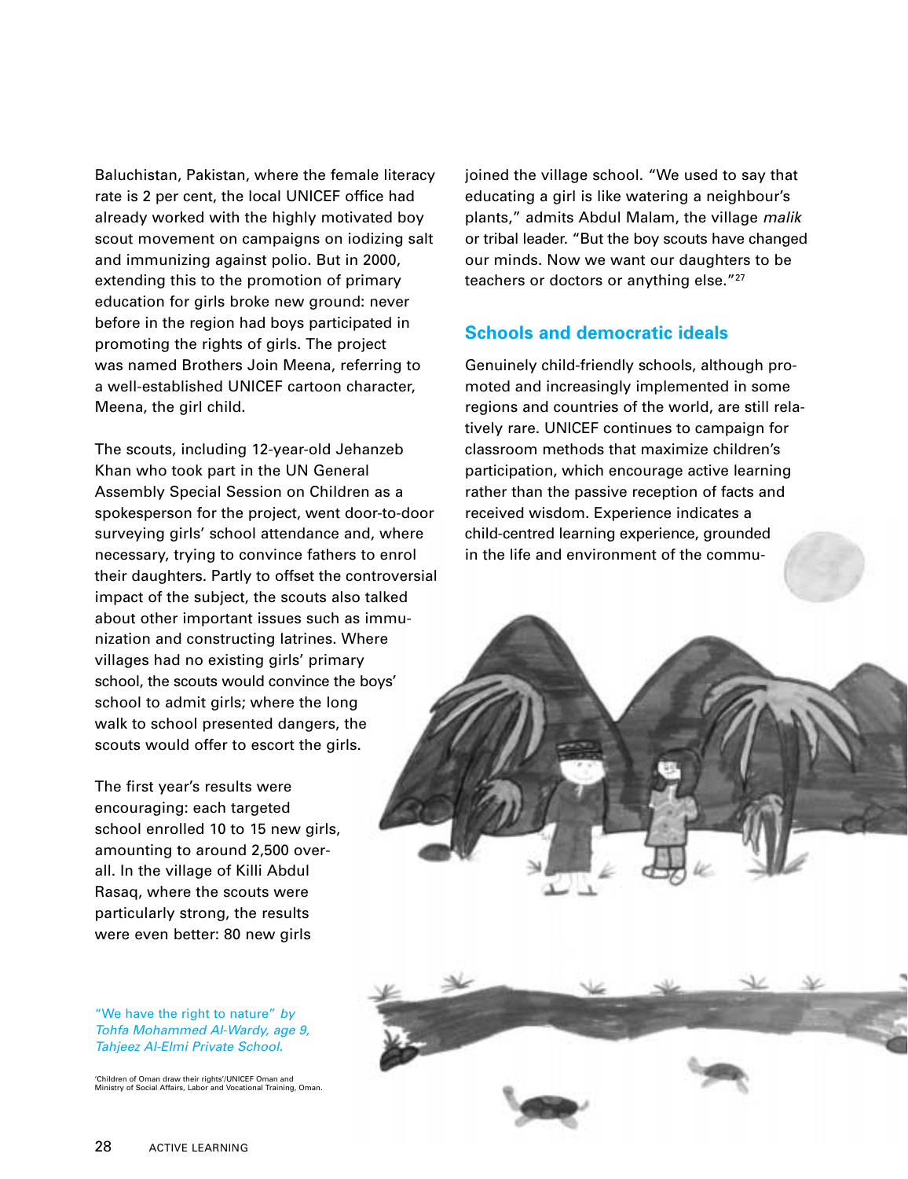Baluchistan, Pakistan, where the female literacy rate is 2 per cent, the local UNICEF office had already worked with the highly motivated boy scout movement on campaigns on iodizing salt and immunizing against polio. But in 2000, extending this to the promotion of primary education for girls broke new ground: never before in the region had boys participated in promoting the rights of girls. The project was named Brothers Join Meena, referring to a well-established UNICEF cartoon character, Meena, the girl child.

The scouts, including 12-year-old Jehanzeb Khan who took part in the UN General Assembly Special Session on Children as a spokesperson for the project, went door-to-door surveying girls' school attendance and, where necessary, trying to convince fathers to enrol their daughters. Partly to offset the controversial impact of the subject, the scouts also talked about other important issues such as immunization and constructing latrines. Where villages had no existing girls' primary school, the scouts would convince the boys' school to admit girls; where the long walk to school presented dangers, the scouts would offer to escort the girls.

The first year's results were encouraging: each targeted school enrolled 10 to 15 new girls, amounting to around 2,500 overall. In the village of Killi Abdul Rasaq, where the scouts were particularly strong, the results were even better: 80 new girls

"We have the right to nature" *by Tohfa Mohammed Al-Wardy, age 9, Tahjeez Al-Elmi Private School.*

'Children of Oman draw their rights'/UNICEF Oman and Ministry of Social Affairs, Labor and Vocational Training, Oman.

joined the village school. "We used to say that educating a girl is like watering a neighbour's plants," admits Abdul Malam, the village *malik* or tribal leader. "But the boy scouts have changed our minds. Now we want our daughters to be teachers or doctors or anything else."<sup>27</sup>

#### **Schools and democratic ideals**

Genuinely child-friendly schools, although promoted and increasingly implemented in some regions and countries of the world, are still relatively rare. UNICEF continues to campaign for classroom methods that maximize children's participation, which encourage active learning rather than the passive reception of facts and received wisdom. Experience indicates a child-centred learning experience, grounded in the life and environment of the commu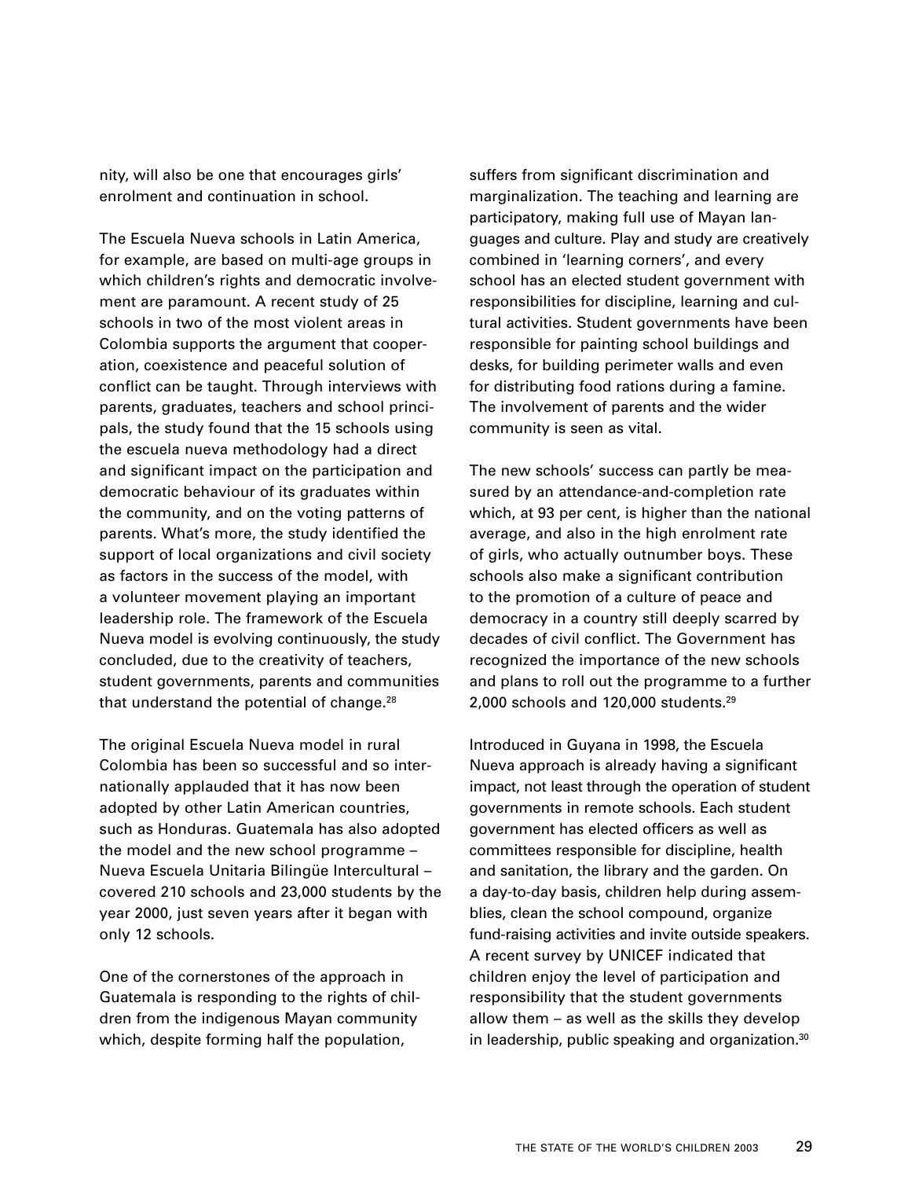nity, will also be one that encourages girls' enrolment and continuation in school.

The Escuela Nueva schools in Latin America, for example, are based on multi-age groups in which children's rights and democratic involvement are paramount. A recent study of 25 schools in two of the most violent areas in Colombia supports the argument that cooperation, coexistence and peaceful solution of conflict can be taught. Through interviews with parents, graduates, teachers and school principals, the study found that the 15 schools using the escuela nueva methodology had a direct and significant impact on the participation and democratic behaviour of its graduates within the community, and on the voting patterns of parents. What's more, the study identified the support of local organizations and civil society as factors in the success of the model, with a volunteer movement playing an important leadership role. The framework of the Escuela Nueva model is evolving continuously, the study concluded, due to the creativity of teachers, student governments, parents and communities that understand the potential of change.<sup>28</sup>

The original Escuela Nueva model in rural Colombia has been so successful and so internationally applauded that it has now been adopted by other Latin American countries, such as Honduras. Guatemala has also adopted the model and the new school programme – Nueva Escuela Unitaria Bilingüe Intercultural – covered 210 schools and 23,000 students by the year 2000, just seven years after it began with only 12 schools.

One of the cornerstones of the approach in Guatemala is responding to the rights of children from the indigenous Mayan community which, despite forming half the population,

suffers from significant discrimination and marginalization. The teaching and learning are participatory, making full use of Mayan languages and culture. Play and study are creatively combined in 'learning corners', and every school has an elected student government with responsibilities for discipline, learning and cultural activities. Student governments have been responsible for painting school buildings and desks, for building perimeter walls and even for distributing food rations during a famine. The involvement of parents and the wider community is seen as vital.

The new schools' success can partly be measured by an attendance-and-completion rate which, at 93 per cent, is higher than the national average, and also in the high enrolment rate of girls, who actually outnumber boys. These schools also make a significant contribution to the promotion of a culture of peace and democracy in a country still deeply scarred by decades of civil conflict. The Government has recognized the importance of the new schools and plans to roll out the programme to a further 2,000 schools and 120,000 students.29

Introduced in Guyana in 1998, the Escuela Nueva approach is already having a significant impact, not least through the operation of student governments in remote schools. Each student government has elected officers as well as committees responsible for discipline, health and sanitation, the library and the garden. On a day-to-day basis, children help during assemblies, clean the school compound, organize fund-raising activities and invite outside speakers. A recent survey by UNICEF indicated that children enjoy the level of participation and responsibility that the student governments allow them – as well as the skills they develop in leadership, public speaking and organization.<sup>30</sup>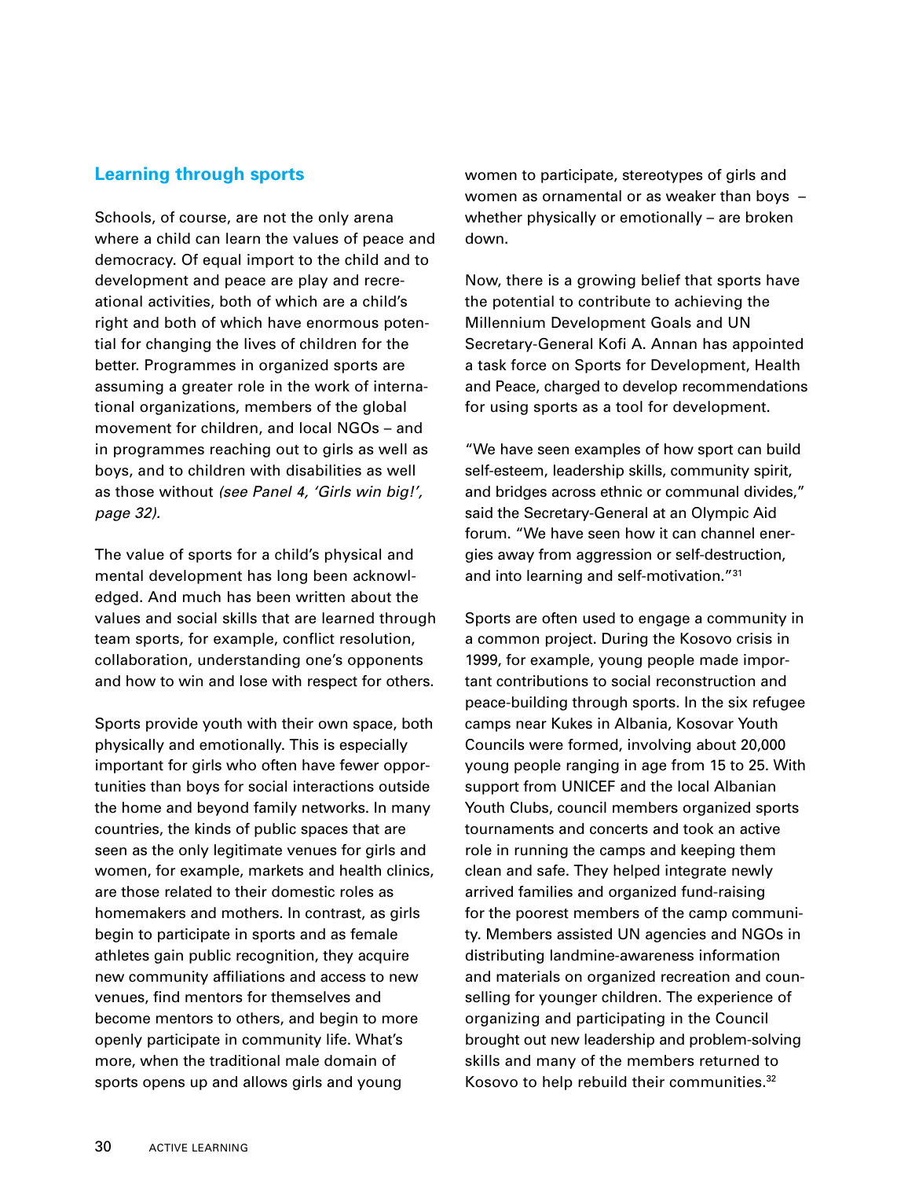#### **Learning through sports**

Schools, of course, are not the only arena where a child can learn the values of peace and democracy. Of equal import to the child and to development and peace are play and recreational activities, both of which are a child's right and both of which have enormous potential for changing the lives of children for the better. Programmes in organized sports are assuming a greater role in the work of international organizations, members of the global movement for children, and local NGOs – and in programmes reaching out to girls as well as boys, and to children with disabilities as well as those without *(see Panel 4, 'Girls win big!', page 32).*

The value of sports for a child's physical and mental development has long been acknowledged. And much has been written about the values and social skills that are learned through team sports, for example, conflict resolution, collaboration, understanding one's opponents and how to win and lose with respect for others.

Sports provide youth with their own space, both physically and emotionally. This is especially important for girls who often have fewer opportunities than boys for social interactions outside the home and beyond family networks. In many countries, the kinds of public spaces that are seen as the only legitimate venues for girls and women, for example, markets and health clinics, are those related to their domestic roles as homemakers and mothers. In contrast, as girls begin to participate in sports and as female athletes gain public recognition, they acquire new community affiliations and access to new venues, find mentors for themselves and become mentors to others, and begin to more openly participate in community life. What's more, when the traditional male domain of sports opens up and allows girls and young

women to participate, stereotypes of girls and women as ornamental or as weaker than boys – whether physically or emotionally – are broken down.

Now, there is a growing belief that sports have the potential to contribute to achieving the Millennium Development Goals and UN Secretary-General Kofi A. Annan has appointed a task force on Sports for Development, Health and Peace, charged to develop recommendations for using sports as a tool for development.

"We have seen examples of how sport can build self-esteem, leadership skills, community spirit, and bridges across ethnic or communal divides," said the Secretary-General at an Olympic Aid forum. "We have seen how it can channel energies away from aggression or self-destruction, and into learning and self-motivation."31

Sports are often used to engage a community in a common project. During the Kosovo crisis in 1999, for example, young people made important contributions to social reconstruction and peace-building through sports. In the six refugee camps near Kukes in Albania, Kosovar Youth Councils were formed, involving about 20,000 young people ranging in age from 15 to 25. With support from UNICEF and the local Albanian Youth Clubs, council members organized sports tournaments and concerts and took an active role in running the camps and keeping them clean and safe. They helped integrate newly arrived families and organized fund-raising for the poorest members of the camp community. Members assisted UN agencies and NGOs in distributing landmine-awareness information and materials on organized recreation and counselling for younger children. The experience of organizing and participating in the Council brought out new leadership and problem-solving skills and many of the members returned to Kosovo to help rebuild their communities.<sup>32</sup>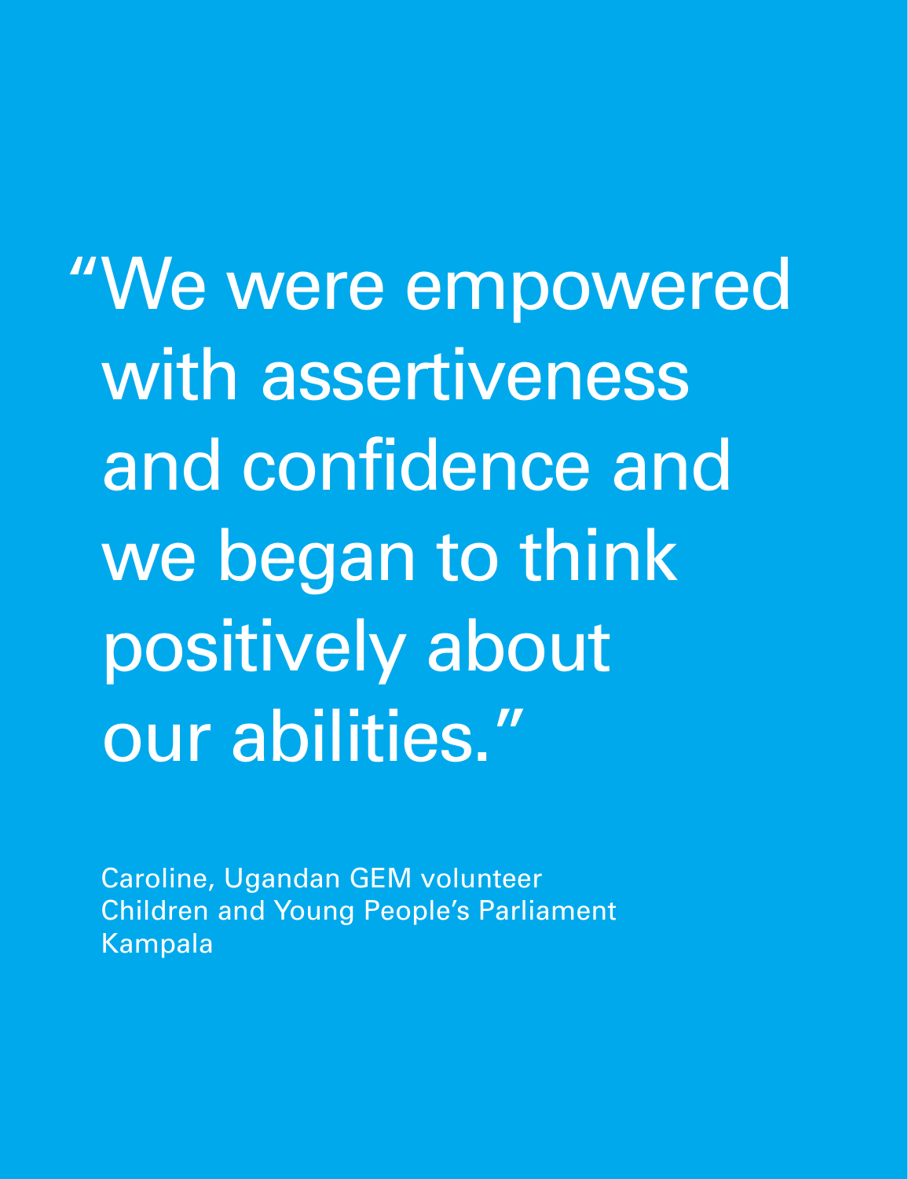"We were empowered with assertiveness and confidence and we began to think positively about our abilities."

Caroline, Ugandan GEM volunteer Children and Young People's Parliament Kampala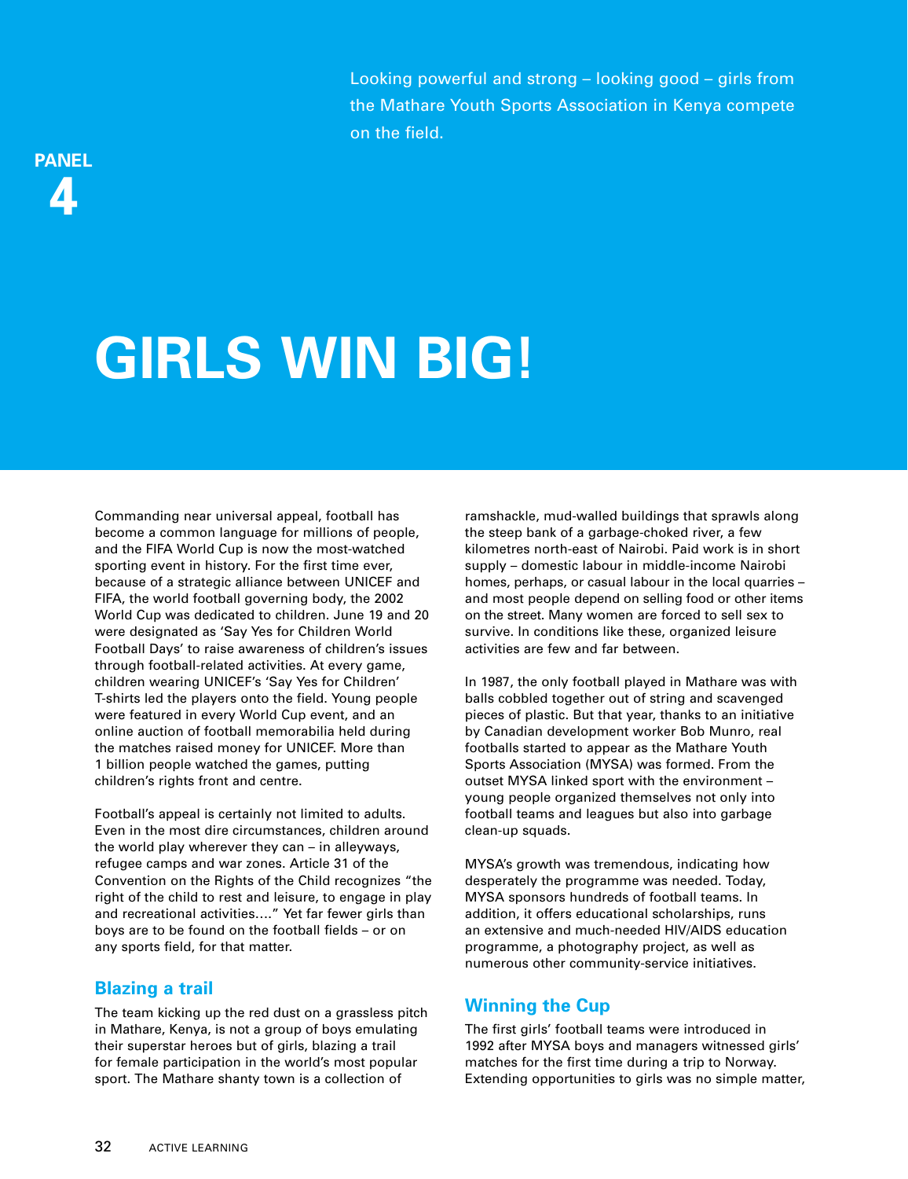Looking powerful and strong – looking good – girls from the Mathare Youth Sports Association in Kenya compete on the field.



### **GIRLS WIN BIG!**

Commanding near universal appeal, football has become a common language for millions of people, and the FIFA World Cup is now the most-watched sporting event in history. For the first time ever, because of a strategic alliance between UNICEF and FIFA, the world football governing body, the 2002 World Cup was dedicated to children. June 19 and 20 were designated as 'Say Yes for Children World Football Days' to raise awareness of children's issues through football-related activities. At every game, children wearing UNICEF's 'Say Yes for Children' T-shirts led the players onto the field. Young people were featured in every World Cup event, and an online auction of football memorabilia held during the matches raised money for UNICEF. More than 1 billion people watched the games, putting children's rights front and centre.

Football's appeal is certainly not limited to adults. Even in the most dire circumstances, children around the world play wherever they can – in alleyways, refugee camps and war zones. Article 31 of the Convention on the Rights of the Child recognizes "the right of the child to rest and leisure, to engage in play and recreational activities…." Yet far fewer girls than boys are to be found on the football fields – or on any sports field, for that matter.

#### **Blazing a trail**

The team kicking up the red dust on a grassless pitch in Mathare, Kenya, is not a group of boys emulating their superstar heroes but of girls, blazing a trail for female participation in the world's most popular sport. The Mathare shanty town is a collection of

ramshackle, mud-walled buildings that sprawls along the steep bank of a garbage-choked river, a few kilometres north-east of Nairobi. Paid work is in short supply – domestic labour in middle-income Nairobi homes, perhaps, or casual labour in the local quarries – and most people depend on selling food or other items on the street. Many women are forced to sell sex to survive. In conditions like these, organized leisure activities are few and far between.

In 1987, the only football played in Mathare was with balls cobbled together out of string and scavenged pieces of plastic. But that year, thanks to an initiative by Canadian development worker Bob Munro, real footballs started to appear as the Mathare Youth Sports Association (MYSA) was formed. From the outset MYSA linked sport with the environment – young people organized themselves not only into football teams and leagues but also into garbage clean-up squads.

MYSA's growth was tremendous, indicating how desperately the programme was needed. Today, MYSA sponsors hundreds of football teams. In addition, it offers educational scholarships, runs an extensive and much-needed HIV/AIDS education programme, a photography project, as well as numerous other community-service initiatives.

#### **Winning the Cup**

The first girls' football teams were introduced in 1992 after MYSA boys and managers witnessed girls' matches for the first time during a trip to Norway. Extending opportunities to girls was no simple matter,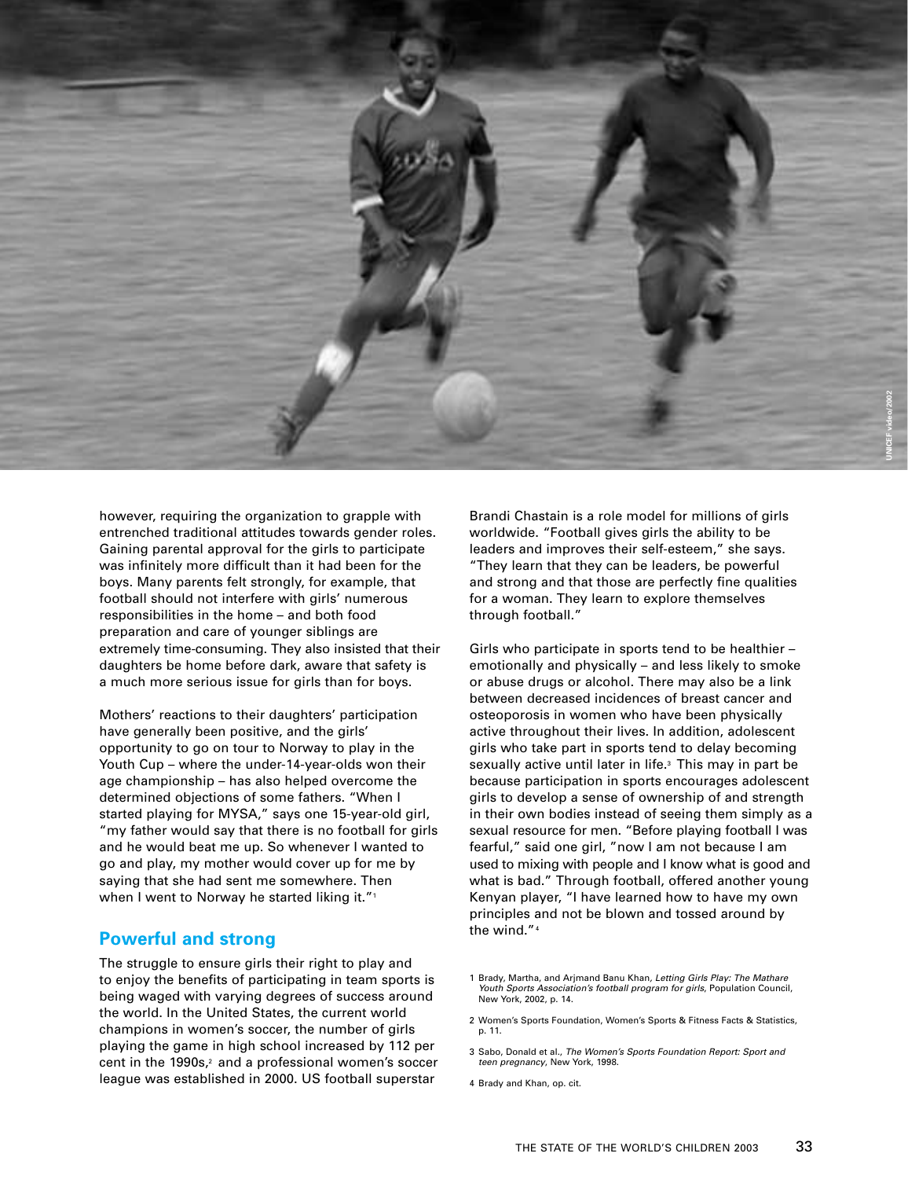

however, requiring the organization to grapple with entrenched traditional attitudes towards gender roles. Gaining parental approval for the girls to participate was infinitely more difficult than it had been for the boys. Many parents felt strongly, for example, that football should not interfere with girls' numerous responsibilities in the home – and both food preparation and care of younger siblings are extremely time-consuming. They also insisted that their daughters be home before dark, aware that safety is a much more serious issue for girls than for boys.

Mothers' reactions to their daughters' participation have generally been positive, and the girls' opportunity to go on tour to Norway to play in the Youth Cup – where the under-14-year-olds won their age championship – has also helped overcome the determined objections of some fathers. "When I started playing for MYSA," says one 15-year-old girl, "my father would say that there is no football for girls and he would beat me up. So whenever I wanted to go and play, my mother would cover up for me by saying that she had sent me somewhere. Then when I went to Norway he started liking it."<sup>1</sup>

#### **Powerful and strong**

The struggle to ensure girls their right to play and to enjoy the benefits of participating in team sports is being waged with varying degrees of success around the world. In the United States, the current world champions in women's soccer, the number of girls playing the game in high school increased by 112 per cent in the 1990s,<sup>2</sup> and a professional women's soccer league was established in 2000. US football superstar

Brandi Chastain is a role model for millions of girls worldwide. "Football gives girls the ability to be leaders and improves their self-esteem," she says. "They learn that they can be leaders, be powerful and strong and that those are perfectly fine qualities for a woman. They learn to explore themselves through football."

Girls who participate in sports tend to be healthier – emotionally and physically – and less likely to smoke or abuse drugs or alcohol. There may also be a link between decreased incidences of breast cancer and osteoporosis in women who have been physically active throughout their lives. In addition, adolescent girls who take part in sports tend to delay becoming sexually active until later in life.<sup>3</sup> This may in part be because participation in sports encourages adolescent girls to develop a sense of ownership of and strength in their own bodies instead of seeing them simply as a sexual resource for men. "Before playing football I was fearful," said one girl, "now I am not because I am used to mixing with people and I know what is good and what is bad." Through football, offered another young Kenyan player, "I have learned how to have my own principles and not be blown and tossed around by the wind."4

- 2 Women's Sports Foundation, Women's Sports & Fitness Facts & Statistics, p. 11.
- 3 Sabo, Donald et al., *The Women's Sports Foundation Report: Sport and teen pregnancy*, New York, 1998.
- 4 Brady and Khan, op. cit.

<sup>1</sup> Brady, Martha, and Arjmand Banu Khan*, Letting Girls Play: The Mathare Youth Sports Association's football program for girls*, Population Council, New York, 2002, p. 14.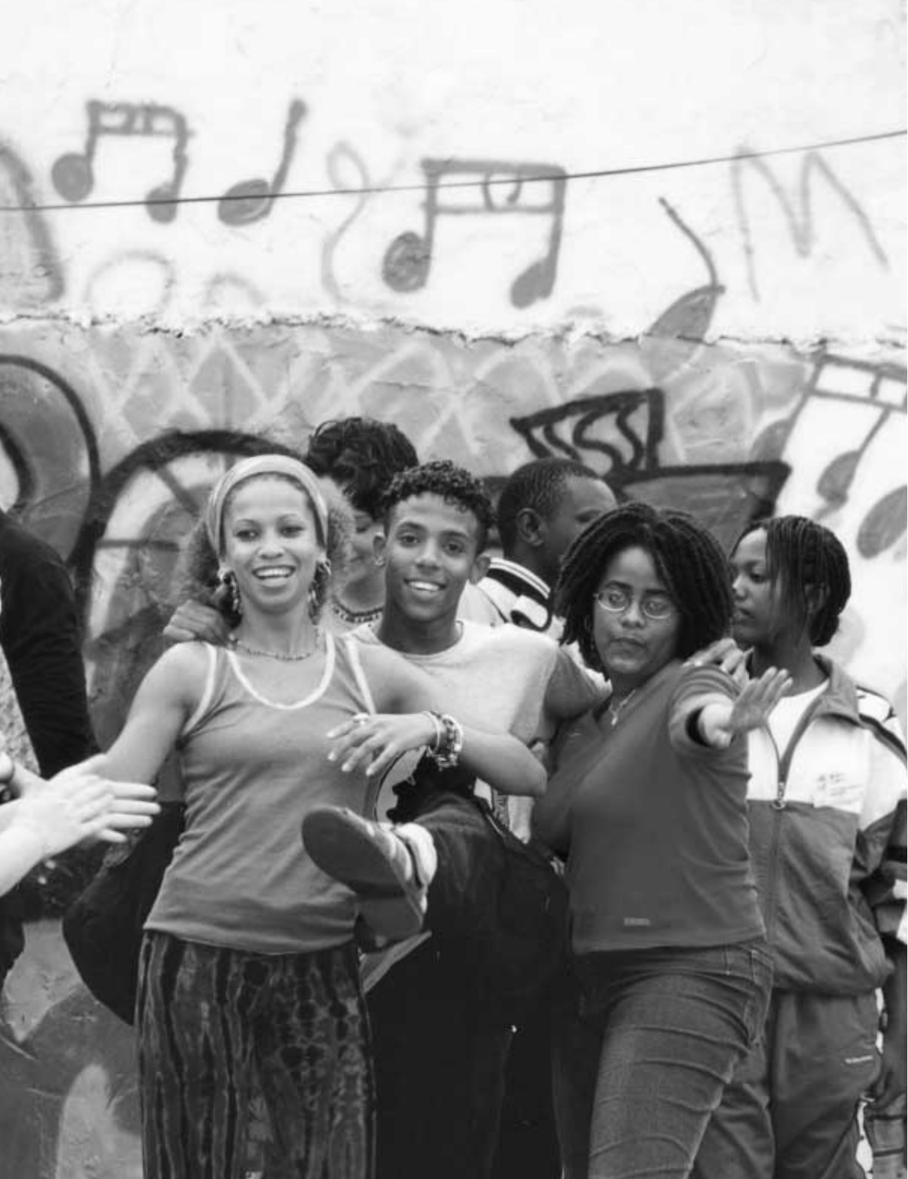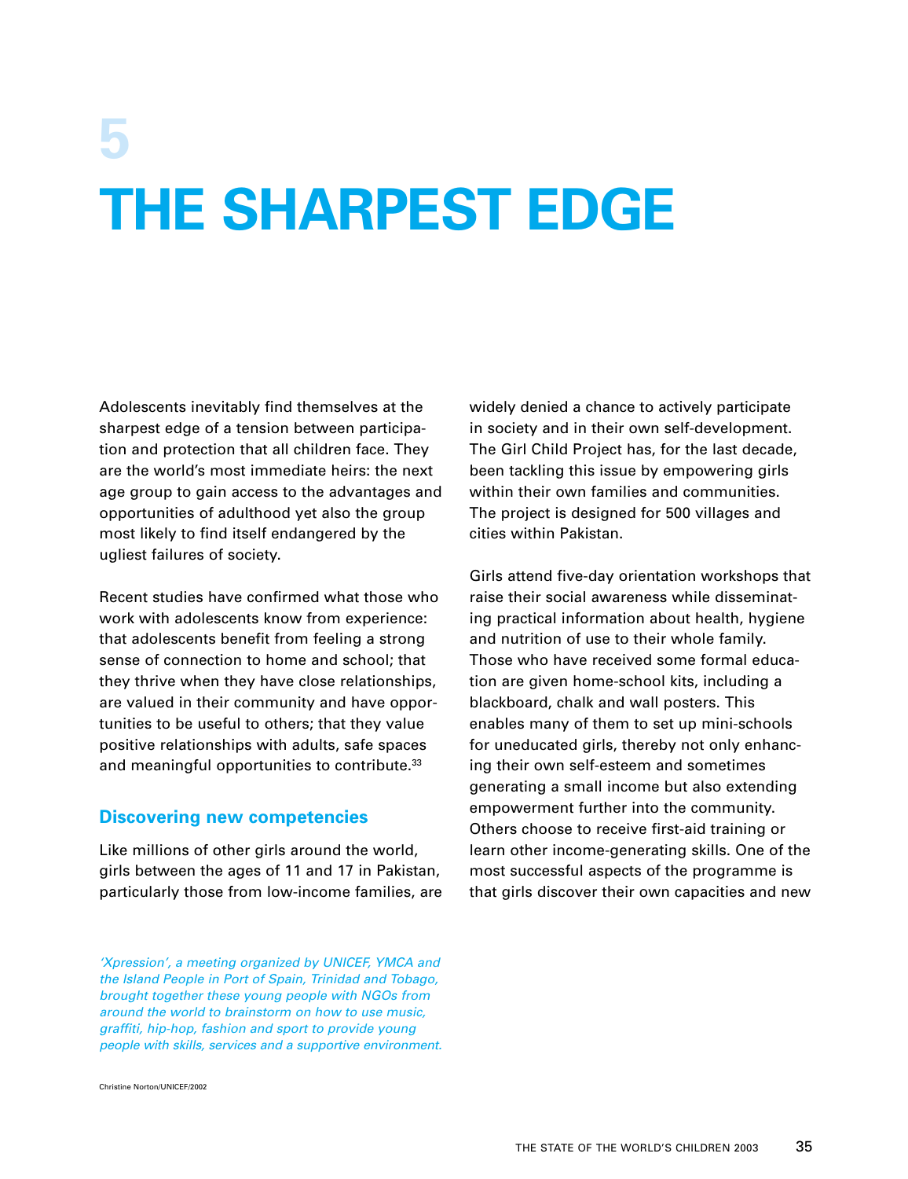## **5 THE SHARPEST EDGE**

Adolescents inevitably find themselves at the sharpest edge of a tension between participation and protection that all children face. They are the world's most immediate heirs: the next age group to gain access to the advantages and opportunities of adulthood yet also the group most likely to find itself endangered by the ugliest failures of society.

Recent studies have confirmed what those who work with adolescents know from experience: that adolescents benefit from feeling a strong sense of connection to home and school; that they thrive when they have close relationships, are valued in their community and have opportunities to be useful to others; that they value positive relationships with adults, safe spaces and meaningful opportunities to contribute.<sup>33</sup>

#### **Discovering new competencies**

Like millions of other girls around the world, girls between the ages of 11 and 17 in Pakistan, particularly those from low-income families, are

*'Xpression', a meeting organized by UNICEF, YMCA and the Island People in Port of Spain, Trinidad and Tobago, brought together these young people with NGOs from around the world to brainstorm on how to use music, graffiti, hip-hop, fashion and sport to provide young people with skills, services and a supportive environment.* 

Christine Norton/UNICEF/2002

widely denied a chance to actively participate in society and in their own self-development. The Girl Child Project has, for the last decade, been tackling this issue by empowering girls within their own families and communities. The project is designed for 500 villages and cities within Pakistan.

Girls attend five-day orientation workshops that raise their social awareness while disseminating practical information about health, hygiene and nutrition of use to their whole family. Those who have received some formal education are given home-school kits, including a blackboard, chalk and wall posters. This enables many of them to set up mini-schools for uneducated girls, thereby not only enhancing their own self-esteem and sometimes generating a small income but also extending empowerment further into the community. Others choose to receive first-aid training or learn other income-generating skills. One of the most successful aspects of the programme is that girls discover their own capacities and new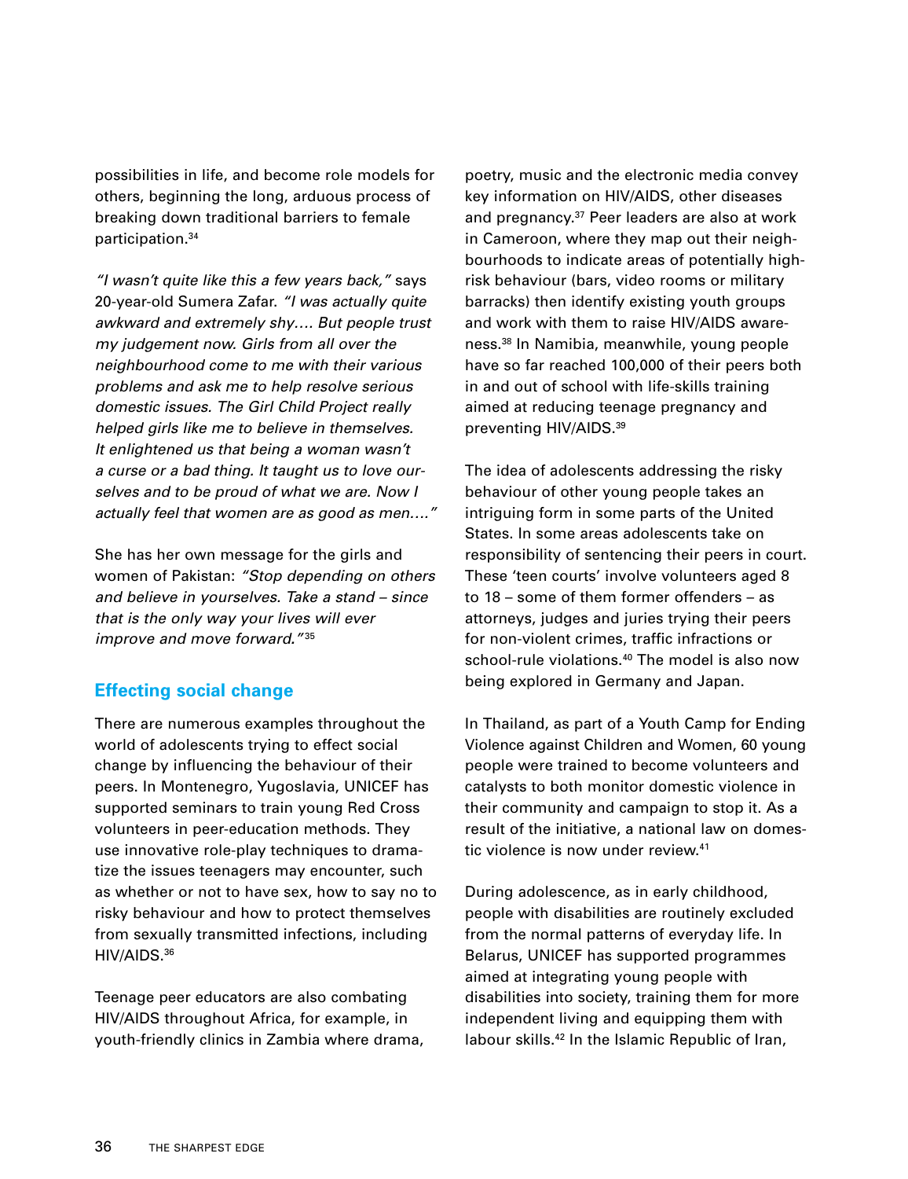possibilities in life, and become role models for others, beginning the long, arduous process of breaking down traditional barriers to female participation.34

*"I wasn't quite like this a few years back,"* says 20-year-old Sumera Zafar. *"I was actually quite awkward and extremely shy…. But people trust my judgement now. Girls from all over the neighbourhood come to me with their various problems and ask me to help resolve serious domestic issues. The Girl Child Project really helped girls like me to believe in themselves. It enlightened us that being a woman wasn't a curse or a bad thing. It taught us to love ourselves and to be proud of what we are. Now I actually feel that women are as good as men…."*

She has her own message for the girls and women of Pakistan: *"Stop depending on others and believe in yourselves. Take a stand – since that is the only way your lives will ever improve and move forward."*<sup>35</sup>

#### **Effecting social change**

There are numerous examples throughout the world of adolescents trying to effect social change by influencing the behaviour of their peers. In Montenegro, Yugoslavia, UNICEF has supported seminars to train young Red Cross volunteers in peer-education methods. They use innovative role-play techniques to dramatize the issues teenagers may encounter, such as whether or not to have sex, how to say no to risky behaviour and how to protect themselves from sexually transmitted infections, including HIV/AIDS.36

Teenage peer educators are also combating HIV/AIDS throughout Africa, for example, in youth-friendly clinics in Zambia where drama,

poetry, music and the electronic media convey key information on HIV/AIDS, other diseases and pregnancy.<sup>37</sup> Peer leaders are also at work in Cameroon, where they map out their neighbourhoods to indicate areas of potentially highrisk behaviour (bars, video rooms or military barracks) then identify existing youth groups and work with them to raise HIV/AIDS awareness.38 In Namibia, meanwhile, young people have so far reached 100,000 of their peers both in and out of school with life-skills training aimed at reducing teenage pregnancy and preventing HIV/AIDS.39

The idea of adolescents addressing the risky behaviour of other young people takes an intriguing form in some parts of the United States. In some areas adolescents take on responsibility of sentencing their peers in court. These 'teen courts' involve volunteers aged 8 to 18 – some of them former offenders – as attorneys, judges and juries trying their peers for non-violent crimes, traffic infractions or school-rule violations.<sup>40</sup> The model is also now being explored in Germany and Japan.

In Thailand, as part of a Youth Camp for Ending Violence against Children and Women, 60 young people were trained to become volunteers and catalysts to both monitor domestic violence in their community and campaign to stop it. As a result of the initiative, a national law on domestic violence is now under review.41

During adolescence, as in early childhood, people with disabilities are routinely excluded from the normal patterns of everyday life. In Belarus, UNICEF has supported programmes aimed at integrating young people with disabilities into society, training them for more independent living and equipping them with labour skills.<sup>42</sup> In the Islamic Republic of Iran,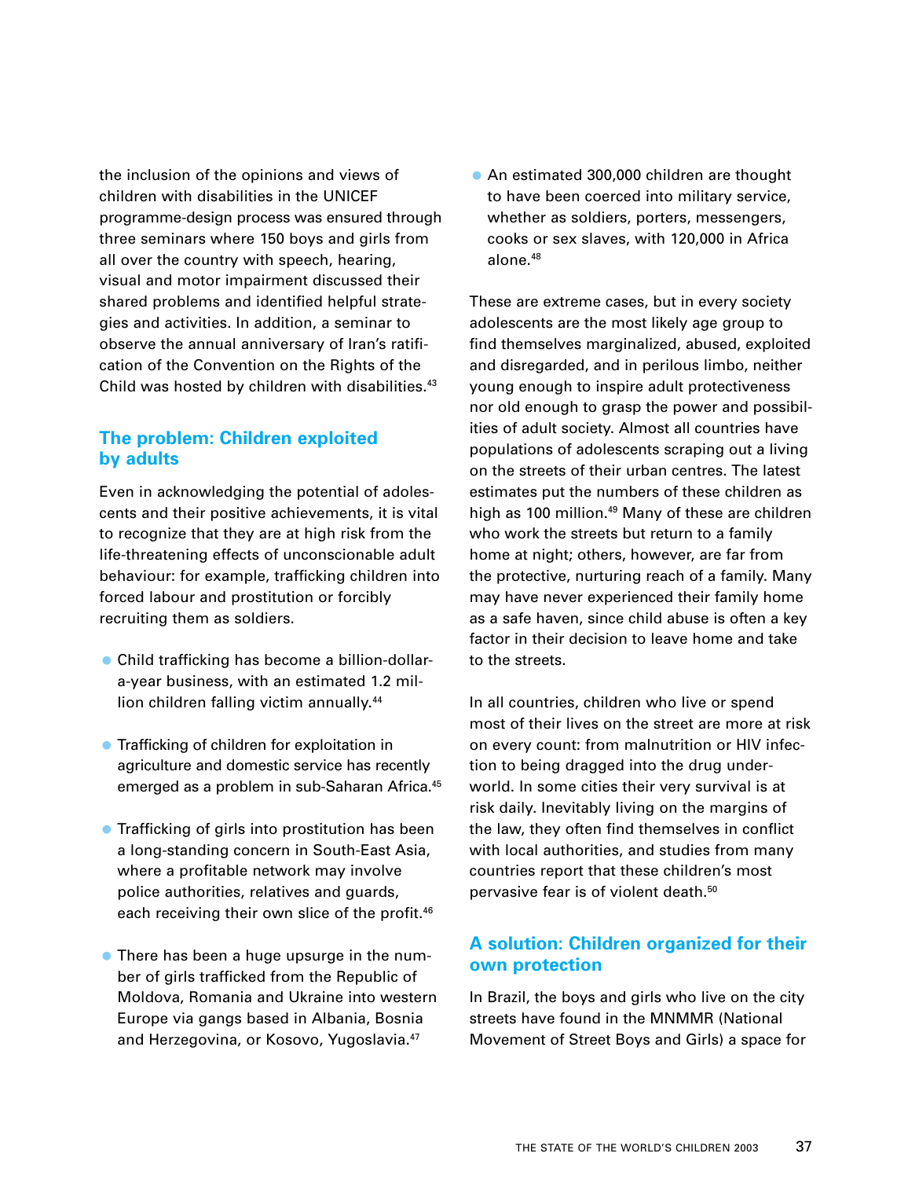the inclusion of the opinions and views of children with disabilities in the UNICEF programme-design process was ensured through three seminars where 150 boys and girls from all over the country with speech, hearing, visual and motor impairment discussed their shared problems and identified helpful strategies and activities. In addition, a seminar to observe the annual anniversary of Iran's ratification of the Convention on the Rights of the Child was hosted by children with disabilities.<sup>43</sup>

#### **The problem: Children exploited by adults**

Even in acknowledging the potential of adolescents and their positive achievements, it is vital to recognize that they are at high risk from the life-threatening effects of unconscionable adult behaviour: for example, trafficking children into forced labour and prostitution or forcibly recruiting them as soldiers.

- Child trafficking has become a billion-dollara-year business, with an estimated 1.2 million children falling victim annually.<sup>44</sup>
- **Trafficking of children for exploitation in** agriculture and domestic service has recently emerged as a problem in sub-Saharan Africa.<sup>45</sup>
- $\bullet$  Trafficking of girls into prostitution has been a long-standing concern in South-East Asia, where a profitable network may involve police authorities, relatives and guards, each receiving their own slice of the profit.<sup>46</sup>
- There has been a huge upsurge in the number of girls trafficked from the Republic of Moldova, Romania and Ukraine into western Europe via gangs based in Albania, Bosnia and Herzegovina, or Kosovo, Yugoslavia.<sup>47</sup>

• An estimated 300,000 children are thought to have been coerced into military service, whether as soldiers, porters, messengers, cooks or sex slaves, with 120,000 in Africa alone.48

These are extreme cases, but in every society adolescents are the most likely age group to find themselves marginalized, abused, exploited and disregarded, and in perilous limbo, neither young enough to inspire adult protectiveness nor old enough to grasp the power and possibilities of adult society. Almost all countries have populations of adolescents scraping out a living on the streets of their urban centres. The latest estimates put the numbers of these children as high as 100 million.<sup>49</sup> Many of these are children who work the streets but return to a family home at night; others, however, are far from the protective, nurturing reach of a family. Many may have never experienced their family home as a safe haven, since child abuse is often a key factor in their decision to leave home and take to the streets.

In all countries, children who live or spend most of their lives on the street are more at risk on every count: from malnutrition or HIV infection to being dragged into the drug underworld. In some cities their very survival is at risk daily. Inevitably living on the margins of the law, they often find themselves in conflict with local authorities, and studies from many countries report that these children's most pervasive fear is of violent death.50

#### **A solution: Children organized for their own protection**

In Brazil, the boys and girls who live on the city streets have found in the MNMMR (National Movement of Street Boys and Girls) a space for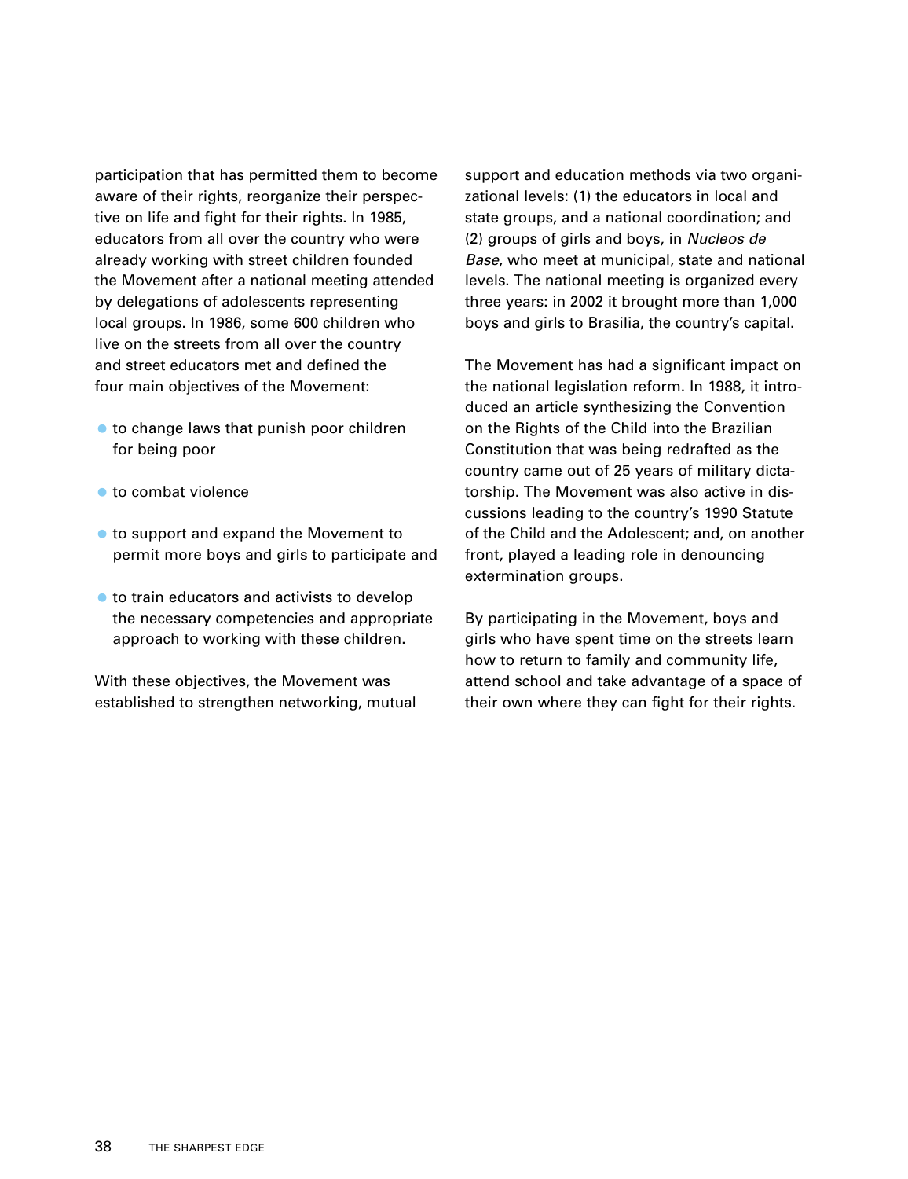participation that has permitted them to become aware of their rights, reorganize their perspective on life and fight for their rights. In 1985, educators from all over the country who were already working with street children founded the Movement after a national meeting attended by delegations of adolescents representing local groups. In 1986, some 600 children who live on the streets from all over the country and street educators met and defined the four main objectives of the Movement:

- $\bullet$  to change laws that punish poor children for being poor
- $\bullet$  to combat violence
- $\bullet$  to support and expand the Movement to permit more boys and girls to participate and
- $\bullet$  to train educators and activists to develop the necessary competencies and appropriate approach to working with these children.

With these objectives, the Movement was established to strengthen networking, mutual support and education methods via two organizational levels: (1) the educators in local and state groups, and a national coordination; and (2) groups of girls and boys, in *Nucleos de Base*, who meet at municipal, state and national levels. The national meeting is organized every three years: in 2002 it brought more than 1,000 boys and girls to Brasilia, the country's capital.

The Movement has had a significant impact on the national legislation reform. In 1988, it introduced an article synthesizing the Convention on the Rights of the Child into the Brazilian Constitution that was being redrafted as the country came out of 25 years of military dictatorship. The Movement was also active in discussions leading to the country's 1990 Statute of the Child and the Adolescent; and, on another front, played a leading role in denouncing extermination groups.

By participating in the Movement, boys and girls who have spent time on the streets learn how to return to family and community life, attend school and take advantage of a space of their own where they can fight for their rights.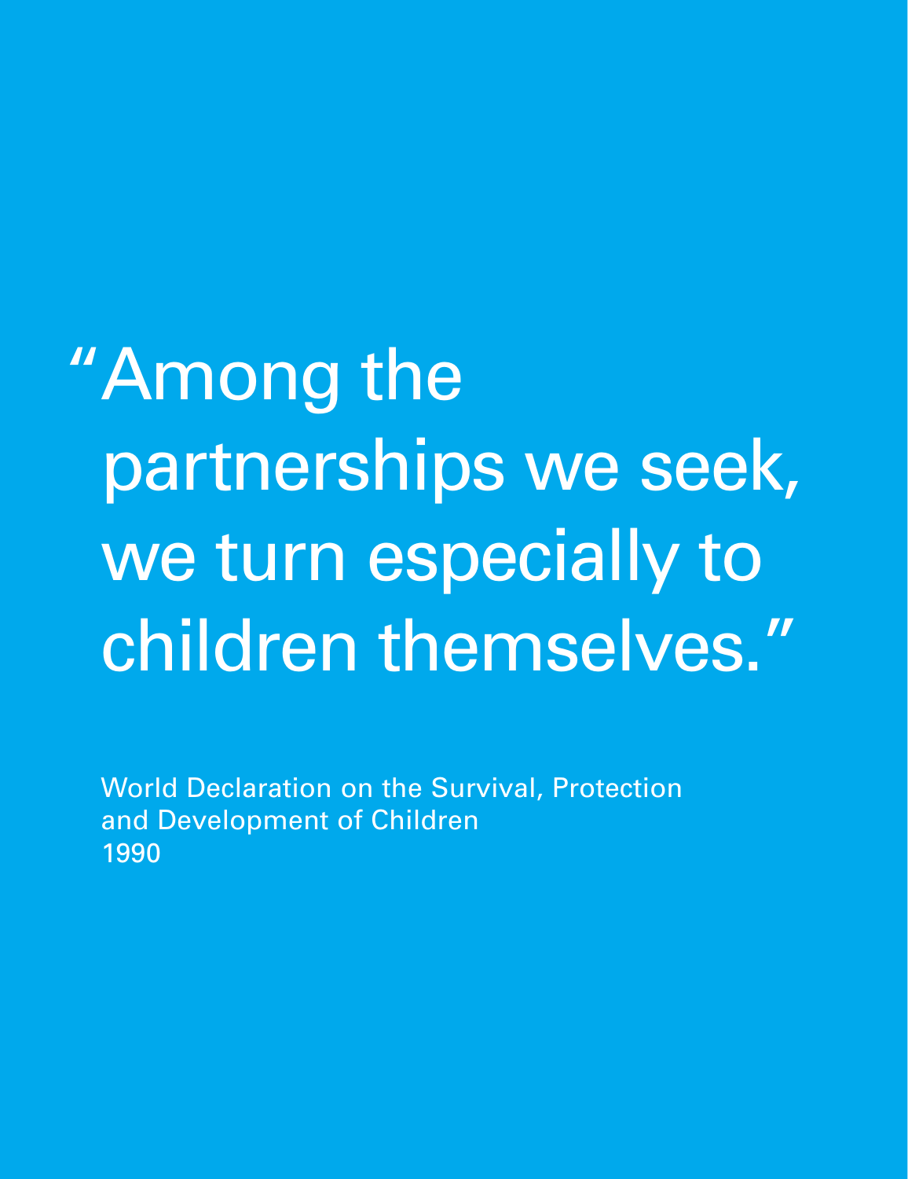"Among the partnerships we seek, we turn especially to children themselves."

World Declaration on the Survival, Protection and Development of Children 1990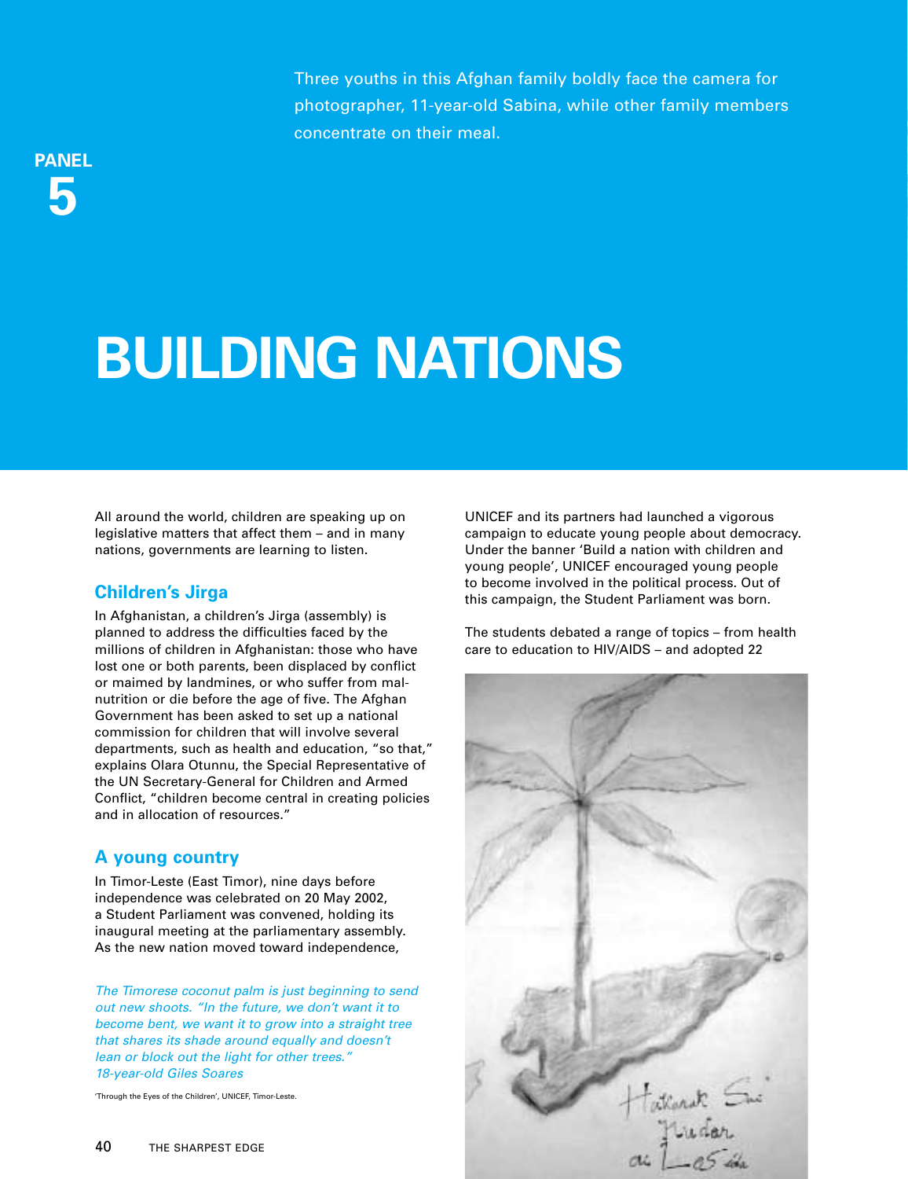Three youths in this Afghan family boldly face the camera for photographer, 11-year-old Sabina, while other family members concentrate on their meal.

### **PANEL 5**

### **BUILDING NATIONS**

All around the world, children are speaking up on legislative matters that affect them – and in many nations, governments are learning to listen.

#### **Children's Jirga**

In Afghanistan, a children's Jirga (assembly) is planned to address the difficulties faced by the millions of children in Afghanistan: those who have lost one or both parents, been displaced by conflict or maimed by landmines, or who suffer from malnutrition or die before the age of five. The Afghan Government has been asked to set up a national commission for children that will involve several departments, such as health and education, "so that," explains Olara Otunnu, the Special Representative of the UN Secretary-General for Children and Armed Conflict, "children become central in creating policies and in allocation of resources."

#### **A young country**

In Timor-Leste (East Timor), nine days before independence was celebrated on 20 May 2002, a Student Parliament was convened, holding its inaugural meeting at the parliamentary assembly. As the new nation moved toward independence,

*The Timorese coconut palm is just beginning to send out new shoots. "In the future, we don't want it to become bent, we want it to grow into a straight tree that shares its shade around equally and doesn't lean or block out the light for other trees." 18-year-old Giles Soares*

'Through the Eyes of the Children', UNICEF, Timor-Leste.

UNICEF and its partners had launched a vigorous campaign to educate young people about democracy. Under the banner 'Build a nation with children and young people', UNICEF encouraged young people to become involved in the political process. Out of this campaign, the Student Parliament was born.

The students debated a range of topics – from health care to education to HIV/AIDS – and adopted 22

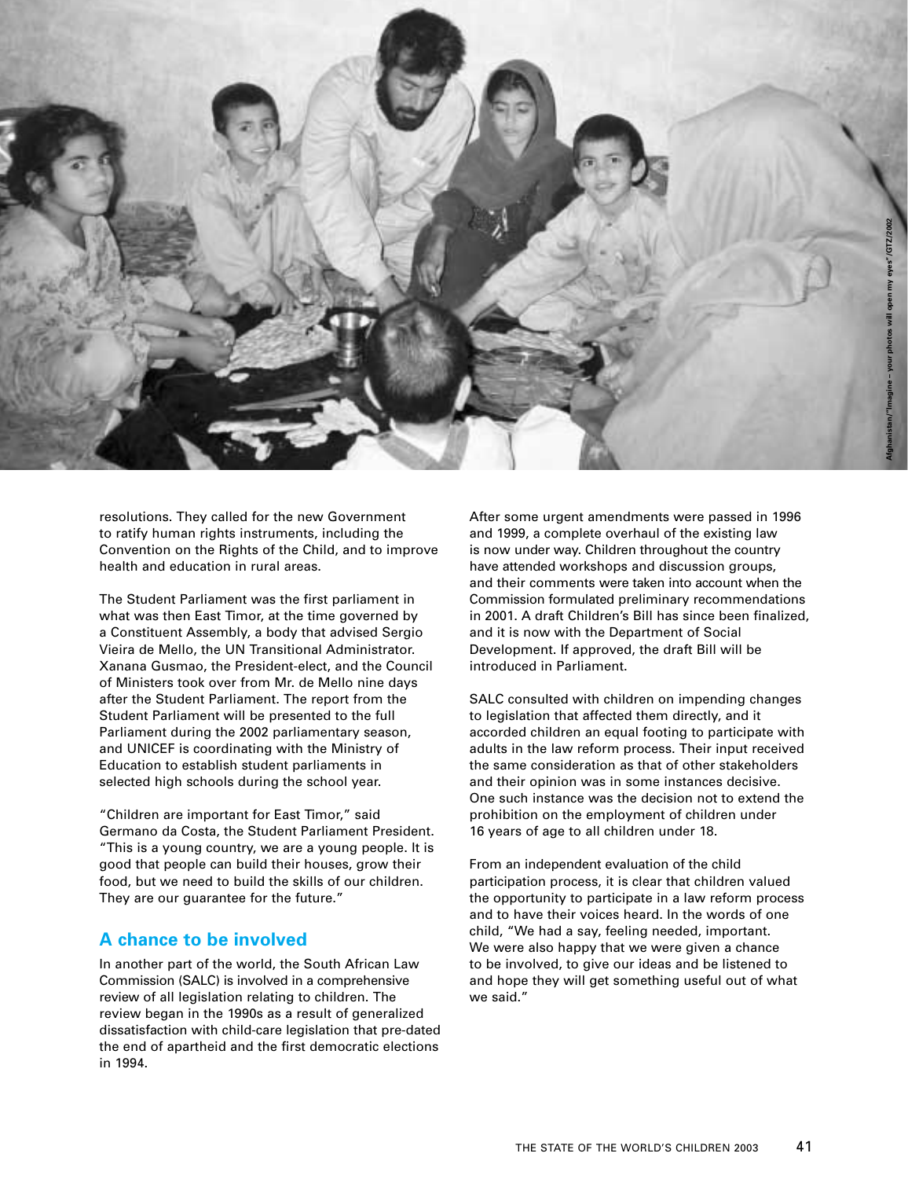

resolutions. They called for the new Government to ratify human rights instruments, including the Convention on the Rights of the Child, and to improve health and education in rural areas.

The Student Parliament was the first parliament in what was then East Timor, at the time governed by a Constituent Assembly, a body that advised Sergio Vieira de Mello, the UN Transitional Administrator. Xanana Gusmao, the President-elect, and the Council of Ministers took over from Mr. de Mello nine days after the Student Parliament. The report from the Student Parliament will be presented to the full Parliament during the 2002 parliamentary season, and UNICEF is coordinating with the Ministry of Education to establish student parliaments in selected high schools during the school year.

"Children are important for East Timor," said Germano da Costa, the Student Parliament President. "This is a young country, we are a young people. It is good that people can build their houses, grow their food, but we need to build the skills of our children. They are our guarantee for the future."

#### **A chance to be involved**

In another part of the world, the South African Law Commission (SALC) is involved in a comprehensive review of all legislation relating to children. The review began in the 1990s as a result of generalized dissatisfaction with child-care legislation that pre-dated the end of apartheid and the first democratic elections in 1994.

After some urgent amendments were passed in 1996 and 1999, a complete overhaul of the existing law is now under way. Children throughout the country have attended workshops and discussion groups, and their comments were taken into account when the Commission formulated preliminary recommendations in 2001. A draft Children's Bill has since been finalized, and it is now with the Department of Social Development. If approved, the draft Bill will be introduced in Parliament.

SALC consulted with children on impending changes to legislation that affected them directly, and it accorded children an equal footing to participate with adults in the law reform process. Their input received the same consideration as that of other stakeholders and their opinion was in some instances decisive. One such instance was the decision not to extend the prohibition on the employment of children under 16 years of age to all children under 18.

From an independent evaluation of the child participation process, it is clear that children valued the opportunity to participate in a law reform process and to have their voices heard. In the words of one child, "We had a say, feeling needed, important. We were also happy that we were given a chance to be involved, to give our ideas and be listened to and hope they will get something useful out of what we said."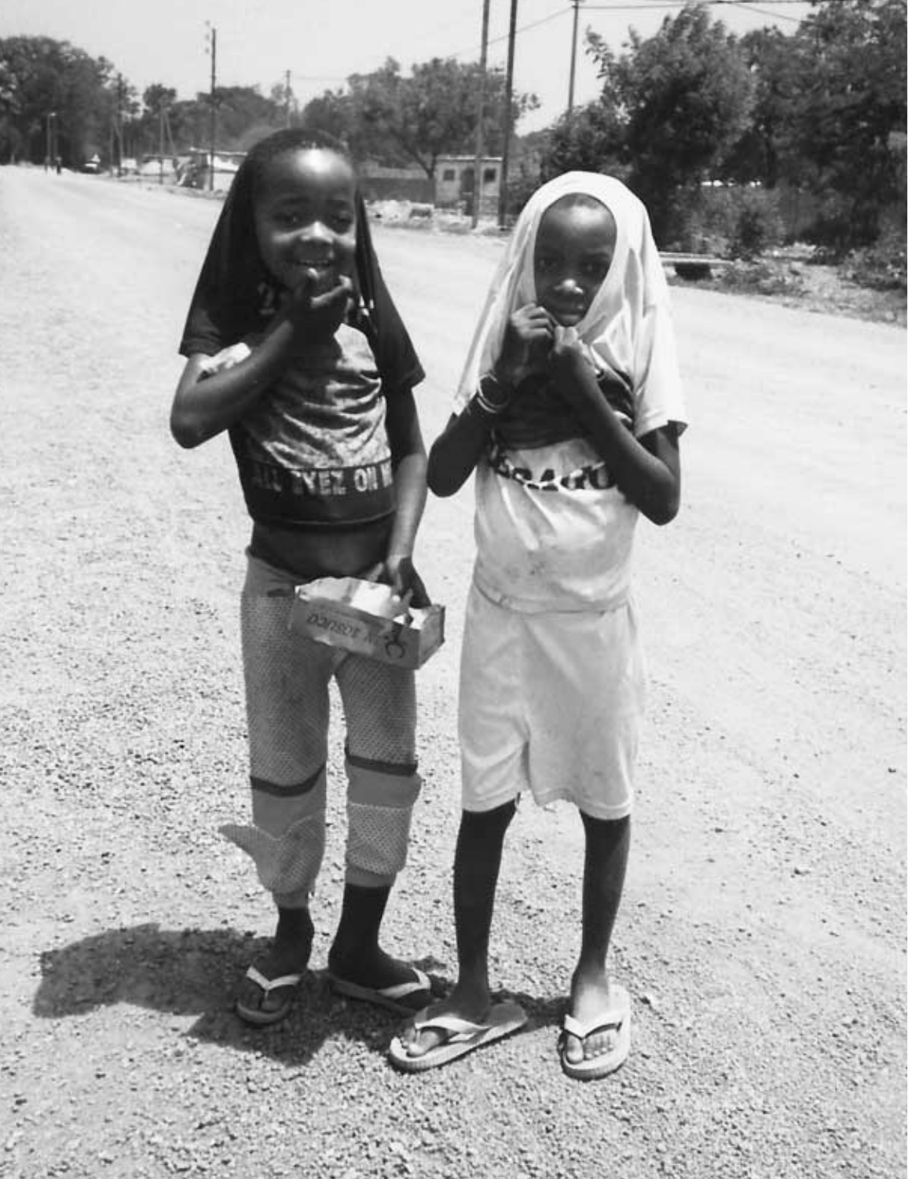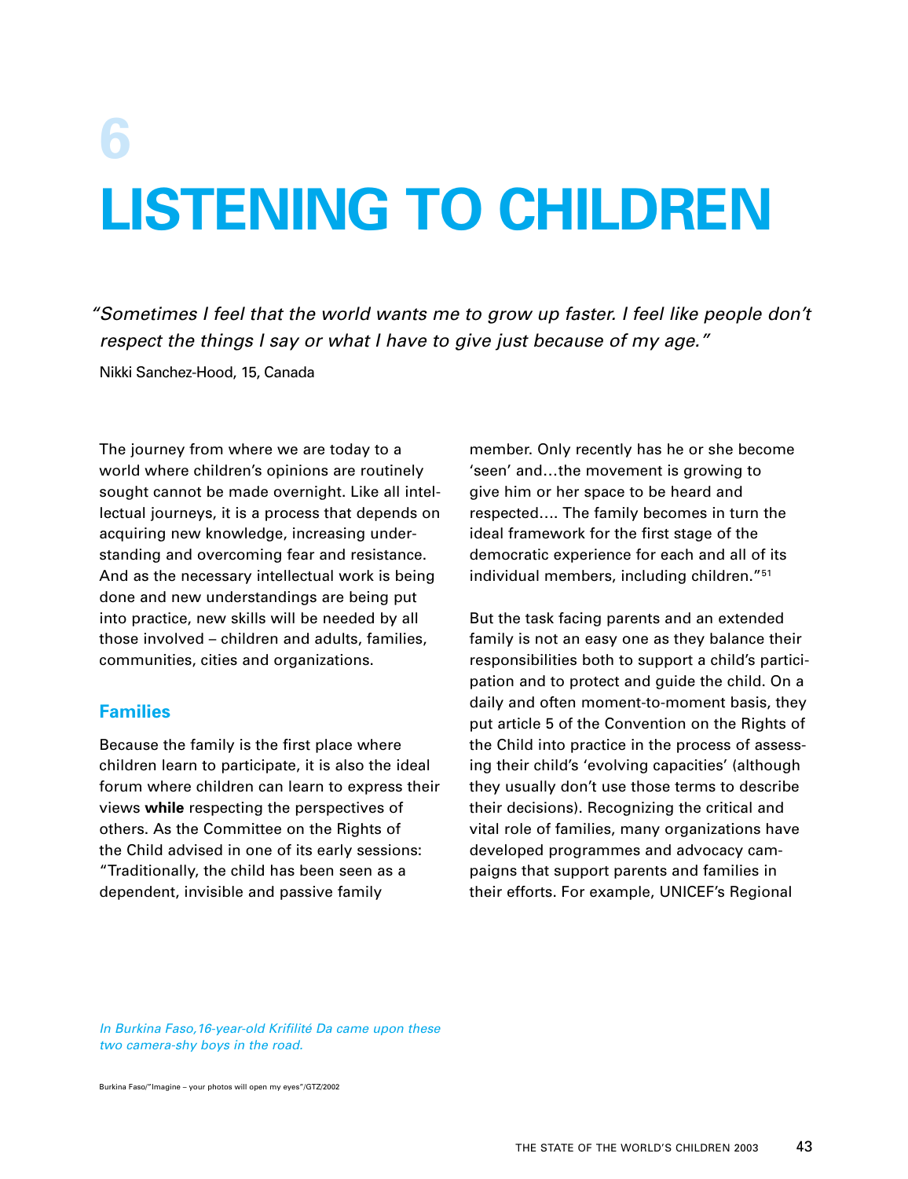### **6 LISTENING TO CHILDREN**

*"Sometimes I feel that the world wants me to grow up faster. I feel like people don't respect the things I say or what I have to give just because of my age."* Nikki Sanchez-Hood, 15, Canada

The journey from where we are today to a world where children's opinions are routinely sought cannot be made overnight. Like all intellectual journeys, it is a process that depends on acquiring new knowledge, increasing understanding and overcoming fear and resistance. And as the necessary intellectual work is being done and new understandings are being put into practice, new skills will be needed by all those involved – children and adults, families, communities, cities and organizations.

#### **Families**

Because the family is the first place where children learn to participate, it is also the ideal forum where children can learn to express their views **while** respecting the perspectives of others. As the Committee on the Rights of the Child advised in one of its early sessions: "Traditionally, the child has been seen as a dependent, invisible and passive family

member. Only recently has he or she become 'seen' and…the movement is growing to give him or her space to be heard and respected…. The family becomes in turn the ideal framework for the first stage of the democratic experience for each and all of its individual members, including children."51

But the task facing parents and an extended family is not an easy one as they balance their responsibilities both to support a child's participation and to protect and guide the child. On a daily and often moment-to-moment basis, they put article 5 of the Convention on the Rights of the Child into practice in the process of assessing their child's 'evolving capacities' (although they usually don't use those terms to describe their decisions). Recognizing the critical and vital role of families, many organizations have developed programmes and advocacy campaigns that support parents and families in their efforts. For example, UNICEF's Regional

*In Burkina Faso,16-year-old Krifilité Da came upon these two camera-shy boys in the road.*

Burkina Faso/"Imagine – your photos will open my eyes"/GTZ/2002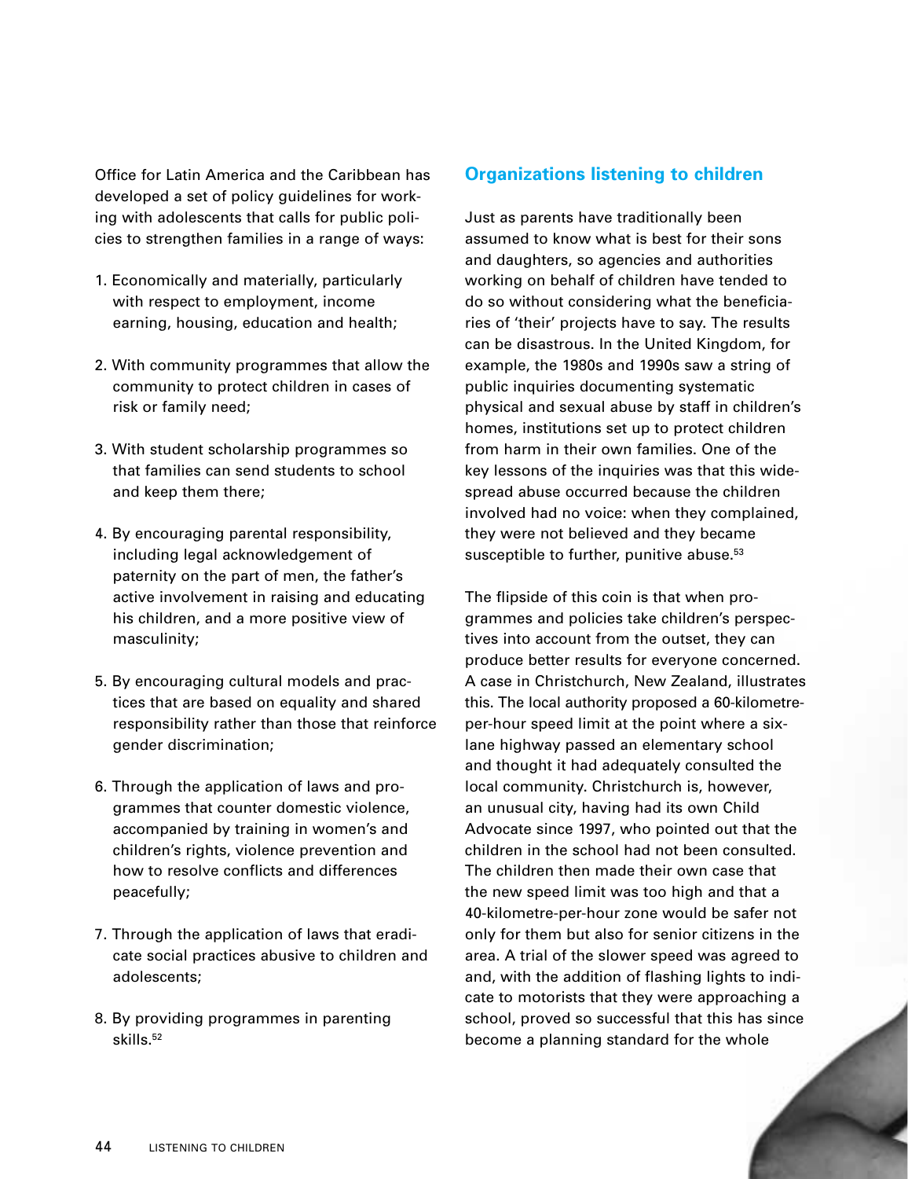Office for Latin America and the Caribbean has developed a set of policy guidelines for working with adolescents that calls for public policies to strengthen families in a range of ways:

- 1. Economically and materially, particularly with respect to employment, income earning, housing, education and health;
- 2. With community programmes that allow the community to protect children in cases of risk or family need;
- 3. With student scholarship programmes so that families can send students to school and keep them there;
- 4. By encouraging parental responsibility, including legal acknowledgement of paternity on the part of men, the father's active involvement in raising and educating his children, and a more positive view of masculinity;
- 5. By encouraging cultural models and practices that are based on equality and shared responsibility rather than those that reinforce gender discrimination;
- 6. Through the application of laws and programmes that counter domestic violence, accompanied by training in women's and children's rights, violence prevention and how to resolve conflicts and differences peacefully;
- 7. Through the application of laws that eradicate social practices abusive to children and adolescents;
- 8. By providing programmes in parenting skills.52

#### **Organizations listening to children**

Just as parents have traditionally been assumed to know what is best for their sons and daughters, so agencies and authorities working on behalf of children have tended to do so without considering what the beneficiaries of 'their' projects have to say. The results can be disastrous. In the United Kingdom, for example, the 1980s and 1990s saw a string of public inquiries documenting systematic physical and sexual abuse by staff in children's homes, institutions set up to protect children from harm in their own families. One of the key lessons of the inquiries was that this widespread abuse occurred because the children involved had no voice: when they complained, they were not believed and they became susceptible to further, punitive abuse.<sup>53</sup>

The flipside of this coin is that when programmes and policies take children's perspectives into account from the outset, they can produce better results for everyone concerned. A case in Christchurch, New Zealand, illustrates this. The local authority proposed a 60-kilometreper-hour speed limit at the point where a sixlane highway passed an elementary school and thought it had adequately consulted the local community. Christchurch is, however, an unusual city, having had its own Child Advocate since 1997, who pointed out that the children in the school had not been consulted. The children then made their own case that the new speed limit was too high and that a 40-kilometre-per-hour zone would be safer not only for them but also for senior citizens in the area. A trial of the slower speed was agreed to and, with the addition of flashing lights to indicate to motorists that they were approaching a school, proved so successful that this has since become a planning standard for the whole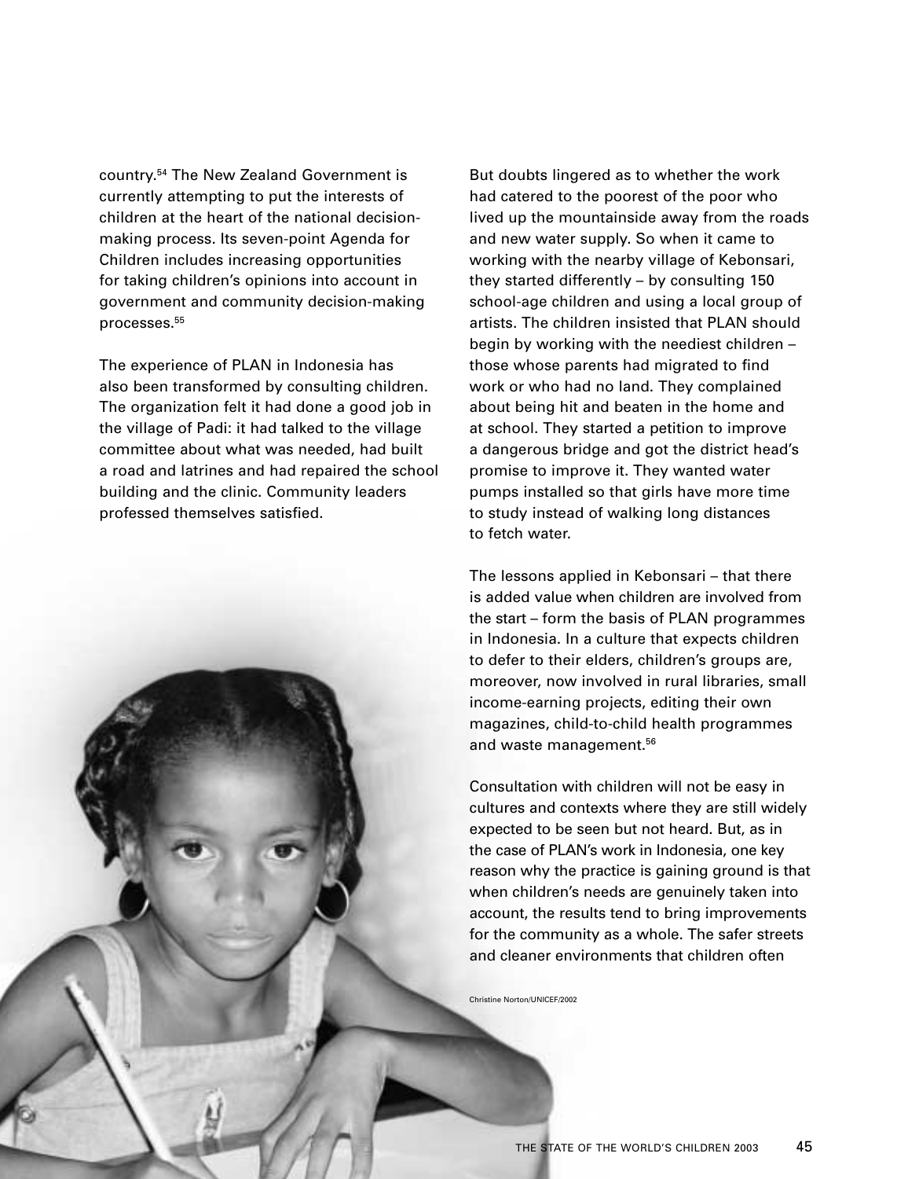country.54 The New Zealand Government is currently attempting to put the interests of children at the heart of the national decisionmaking process. Its seven-point Agenda for Children includes increasing opportunities for taking children's opinions into account in government and community decision-making processes.55

The experience of PLAN in Indonesia has also been transformed by consulting children. The organization felt it had done a good job in the village of Padi: it had talked to the village committee about what was needed, had built a road and latrines and had repaired the school building and the clinic. Community leaders professed themselves satisfied.

But doubts lingered as to whether the work had catered to the poorest of the poor who lived up the mountainside away from the roads and new water supply. So when it came to working with the nearby village of Kebonsari, they started differently – by consulting 150 school-age children and using a local group of artists. The children insisted that PLAN should begin by working with the neediest children – those whose parents had migrated to find work or who had no land. They complained about being hit and beaten in the home and at school. They started a petition to improve a dangerous bridge and got the district head's promise to improve it. They wanted water pumps installed so that girls have more time to study instead of walking long distances to fetch water.

The lessons applied in Kebonsari – that there is added value when children are involved from the start – form the basis of PLAN programmes in Indonesia. In a culture that expects children to defer to their elders, children's groups are, moreover, now involved in rural libraries, small income-earning projects, editing their own magazines, child-to-child health programmes and waste management.<sup>56</sup>

Consultation with children will not be easy in cultures and contexts where they are still widely expected to be seen but not heard. But, as in the case of PLAN's work in Indonesia, one key reason why the practice is gaining ground is that when children's needs are genuinely taken into account, the results tend to bring improvements for the community as a whole. The safer streets and cleaner environments that children often

Christine Norton/UNICEF/2002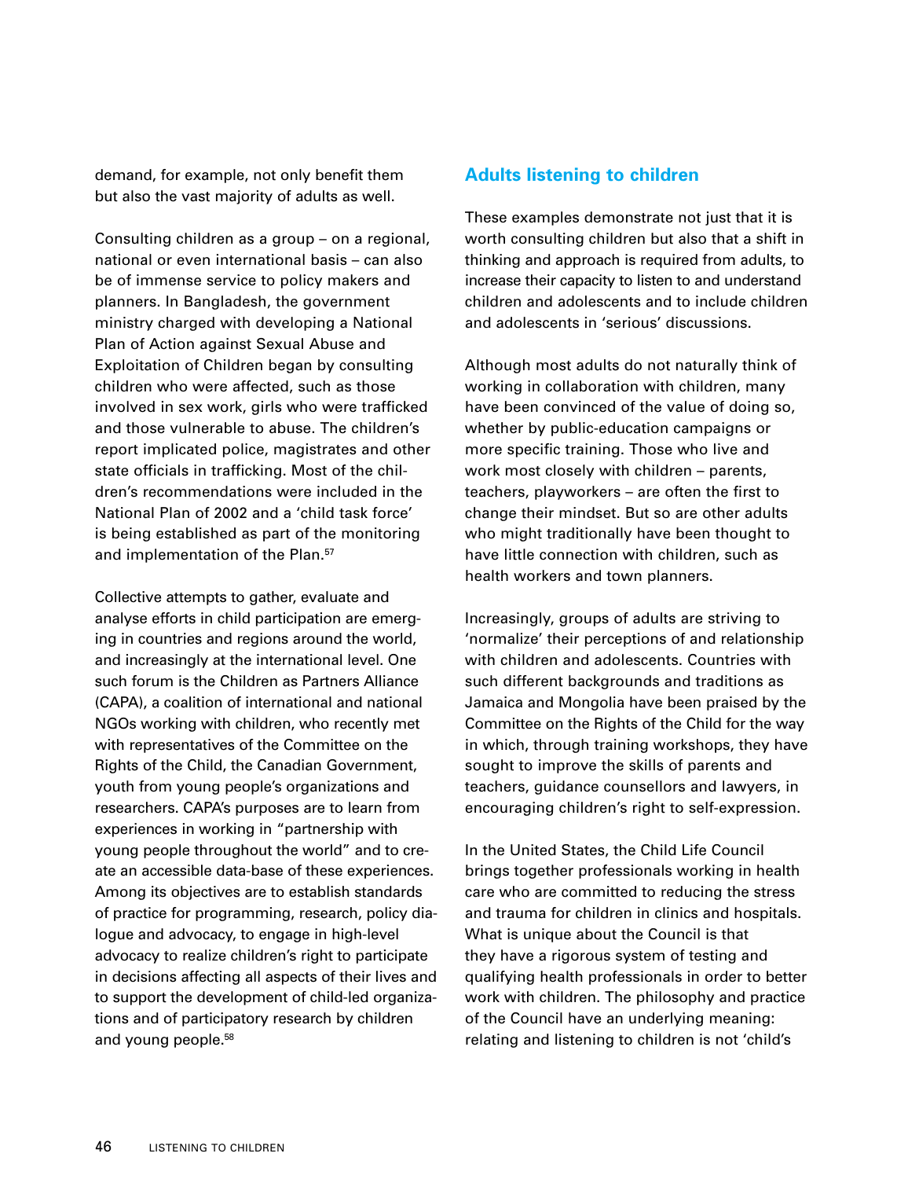demand, for example, not only benefit them but also the vast majority of adults as well.

Consulting children as a group – on a regional, national or even international basis – can also be of immense service to policy makers and planners. In Bangladesh, the government ministry charged with developing a National Plan of Action against Sexual Abuse and Exploitation of Children began by consulting children who were affected, such as those involved in sex work, girls who were trafficked and those vulnerable to abuse. The children's report implicated police, magistrates and other state officials in trafficking. Most of the children's recommendations were included in the National Plan of 2002 and a 'child task force' is being established as part of the monitoring and implementation of the Plan.<sup>57</sup>

Collective attempts to gather, evaluate and analyse efforts in child participation are emerging in countries and regions around the world, and increasingly at the international level. One such forum is the Children as Partners Alliance (CAPA), a coalition of international and national NGOs working with children, who recently met with representatives of the Committee on the Rights of the Child, the Canadian Government, youth from young people's organizations and researchers. CAPA's purposes are to learn from experiences in working in "partnership with young people throughout the world" and to create an accessible data-base of these experiences. Among its objectives are to establish standards of practice for programming, research, policy dialogue and advocacy, to engage in high-level advocacy to realize children's right to participate in decisions affecting all aspects of their lives and to support the development of child-led organizations and of participatory research by children and young people.58

#### **Adults listening to children**

These examples demonstrate not just that it is worth consulting children but also that a shift in thinking and approach is required from adults, to increase their capacity to listen to and understand children and adolescents and to include children and adolescents in 'serious' discussions.

Although most adults do not naturally think of working in collaboration with children, many have been convinced of the value of doing so, whether by public-education campaigns or more specific training. Those who live and work most closely with children – parents, teachers, playworkers – are often the first to change their mindset. But so are other adults who might traditionally have been thought to have little connection with children, such as health workers and town planners.

Increasingly, groups of adults are striving to 'normalize' their perceptions of and relationship with children and adolescents. Countries with such different backgrounds and traditions as Jamaica and Mongolia have been praised by the Committee on the Rights of the Child for the way in which, through training workshops, they have sought to improve the skills of parents and teachers, guidance counsellors and lawyers, in encouraging children's right to self-expression.

In the United States, the Child Life Council brings together professionals working in health care who are committed to reducing the stress and trauma for children in clinics and hospitals. What is unique about the Council is that they have a rigorous system of testing and qualifying health professionals in order to better work with children. The philosophy and practice of the Council have an underlying meaning: relating and listening to children is not 'child's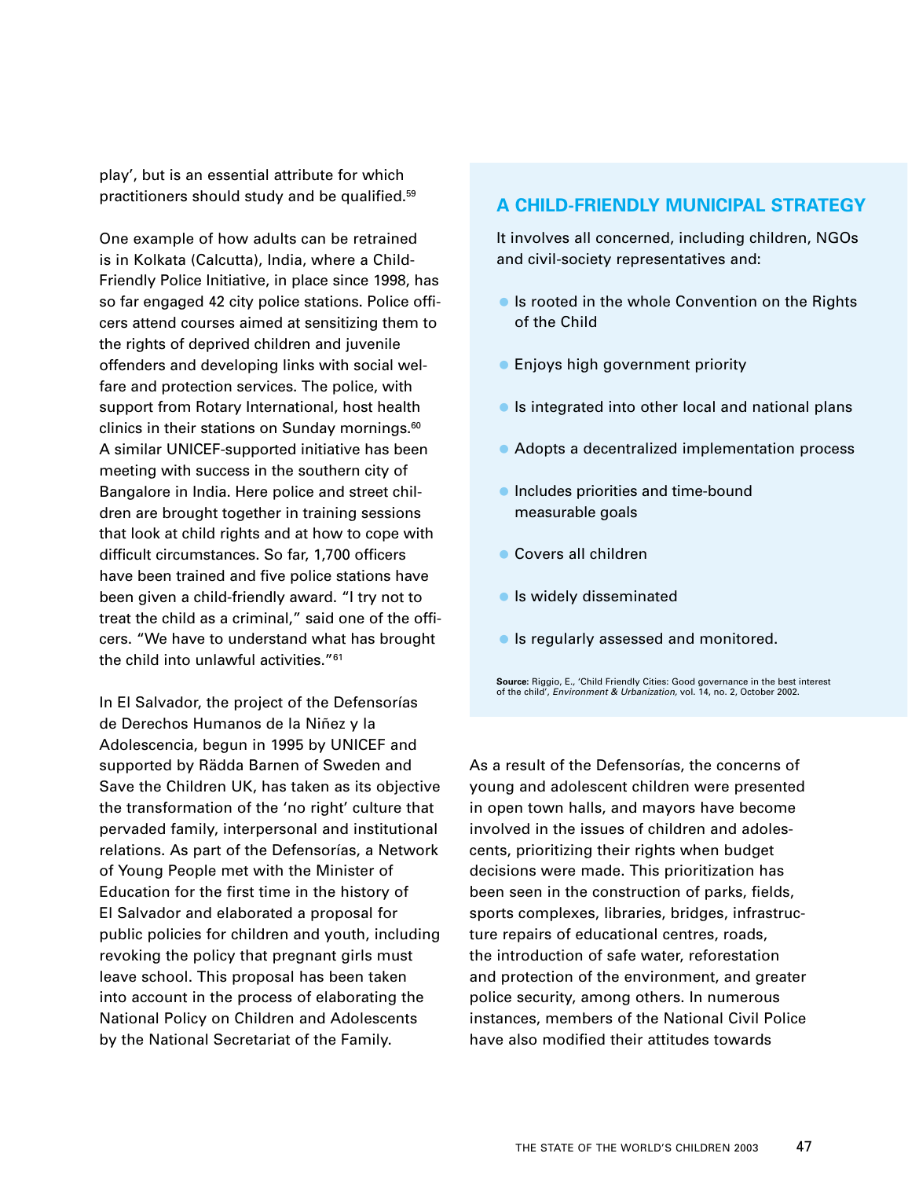play', but is an essential attribute for which practitioners should study and be qualified.59

One example of how adults can be retrained is in Kolkata (Calcutta), India, where a Child-Friendly Police Initiative, in place since 1998, has so far engaged 42 city police stations. Police officers attend courses aimed at sensitizing them to the rights of deprived children and juvenile offenders and developing links with social welfare and protection services. The police, with support from Rotary International, host health clinics in their stations on Sunday mornings. $60$ A similar UNICEF-supported initiative has been meeting with success in the southern city of Bangalore in India. Here police and street children are brought together in training sessions that look at child rights and at how to cope with difficult circumstances. So far, 1,700 officers have been trained and five police stations have been given a child-friendly award. "I try not to treat the child as a criminal," said one of the officers. "We have to understand what has brought the child into unlawful activities."61

In El Salvador, the project of the Defensorías de Derechos Humanos de la Niñez y la Adolescencia, begun in 1995 by UNICEF and supported by Rädda Barnen of Sweden and Save the Children UK, has taken as its objective the transformation of the 'no right' culture that pervaded family, interpersonal and institutional relations. As part of the Defensorías, a Network of Young People met with the Minister of Education for the first time in the history of El Salvador and elaborated a proposal for public policies for children and youth, including revoking the policy that pregnant girls must leave school. This proposal has been taken into account in the process of elaborating the National Policy on Children and Adolescents by the National Secretariat of the Family.

#### **A CHILD-FRIENDLY MUNICIPAL STRATEGY**

It involves all concerned, including children, NGOs and civil-society representatives and:

- $\bullet$  Is rooted in the whole Convention on the Rights of the Child
- Enjoys high government priority
- $\bullet$  Is integrated into other local and national plans
- Adopts a decentralized implementation process
- $\bullet$  Includes priorities and time-bound measurable goals
- Covers all children
- $\bullet$  Is widely disseminated
- **•** Is regularly assessed and monitored.

**Source:** Riggio, E., 'Child Friendly Cities: Good governance in the best interest of the child', *Environment & Urbanization,* vol. 14, no. 2, October 2002.

As a result of the Defensorías, the concerns of young and adolescent children were presented in open town halls, and mayors have become involved in the issues of children and adolescents, prioritizing their rights when budget decisions were made. This prioritization has been seen in the construction of parks, fields, sports complexes, libraries, bridges, infrastructure repairs of educational centres, roads, the introduction of safe water, reforestation and protection of the environment, and greater police security, among others. In numerous instances, members of the National Civil Police have also modified their attitudes towards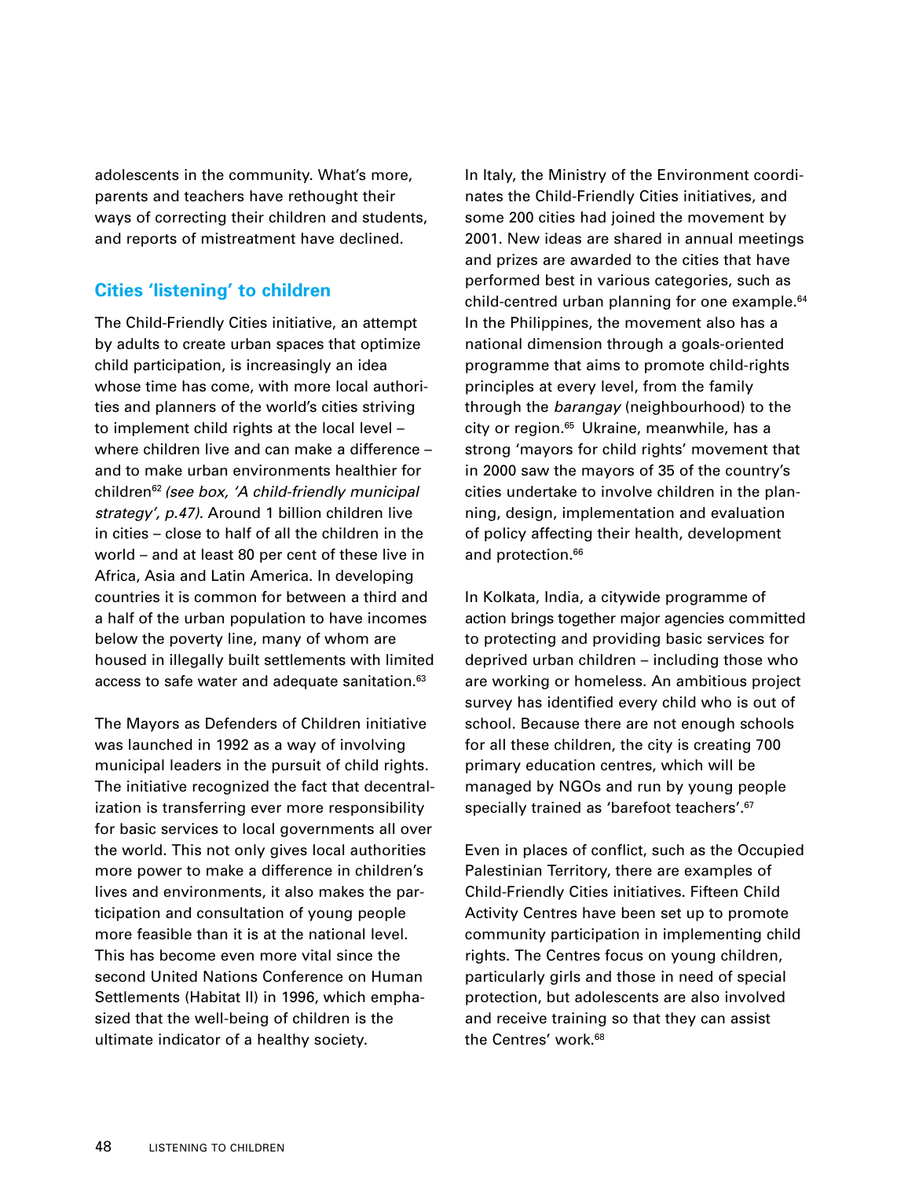adolescents in the community. What's more, parents and teachers have rethought their ways of correcting their children and students, and reports of mistreatment have declined.

#### **Cities 'listening' to children**

The Child-Friendly Cities initiative, an attempt by adults to create urban spaces that optimize child participation, is increasingly an idea whose time has come, with more local authorities and planners of the world's cities striving to implement child rights at the local level – where children live and can make a difference – and to make urban environments healthier for children62 *(see box, 'A child-friendly municipal strategy', p.47).* Around 1 billion children live in cities – close to half of all the children in the world – and at least 80 per cent of these live in Africa, Asia and Latin America. In developing countries it is common for between a third and a half of the urban population to have incomes below the poverty line, many of whom are housed in illegally built settlements with limited access to safe water and adequate sanitation.63

The Mayors as Defenders of Children initiative was launched in 1992 as a way of involving municipal leaders in the pursuit of child rights. The initiative recognized the fact that decentralization is transferring ever more responsibility for basic services to local governments all over the world. This not only gives local authorities more power to make a difference in children's lives and environments, it also makes the participation and consultation of young people more feasible than it is at the national level. This has become even more vital since the second United Nations Conference on Human Settlements (Habitat II) in 1996, which emphasized that the well-being of children is the ultimate indicator of a healthy society.

In Italy, the Ministry of the Environment coordinates the Child-Friendly Cities initiatives, and some 200 cities had joined the movement by 2001. New ideas are shared in annual meetings and prizes are awarded to the cities that have performed best in various categories, such as child-centred urban planning for one example.<sup>64</sup> In the Philippines, the movement also has a national dimension through a goals-oriented programme that aims to promote child-rights principles at every level, from the family through the *barangay* (neighbourhood) to the city or region.<sup>65</sup> Ukraine, meanwhile, has a strong 'mayors for child rights' movement that in 2000 saw the mayors of 35 of the country's cities undertake to involve children in the planning, design, implementation and evaluation of policy affecting their health, development and protection.<sup>66</sup>

In Kolkata, India, a citywide programme of action brings together major agencies committed to protecting and providing basic services for deprived urban children – including those who are working or homeless. An ambitious project survey has identified every child who is out of school. Because there are not enough schools for all these children, the city is creating 700 primary education centres, which will be managed by NGOs and run by young people specially trained as 'barefoot teachers'. 67

Even in places of conflict, such as the Occupied Palestinian Territory, there are examples of Child-Friendly Cities initiatives. Fifteen Child Activity Centres have been set up to promote community participation in implementing child rights. The Centres focus on young children, particularly girls and those in need of special protection, but adolescents are also involved and receive training so that they can assist the Centres' work.<sup>68</sup>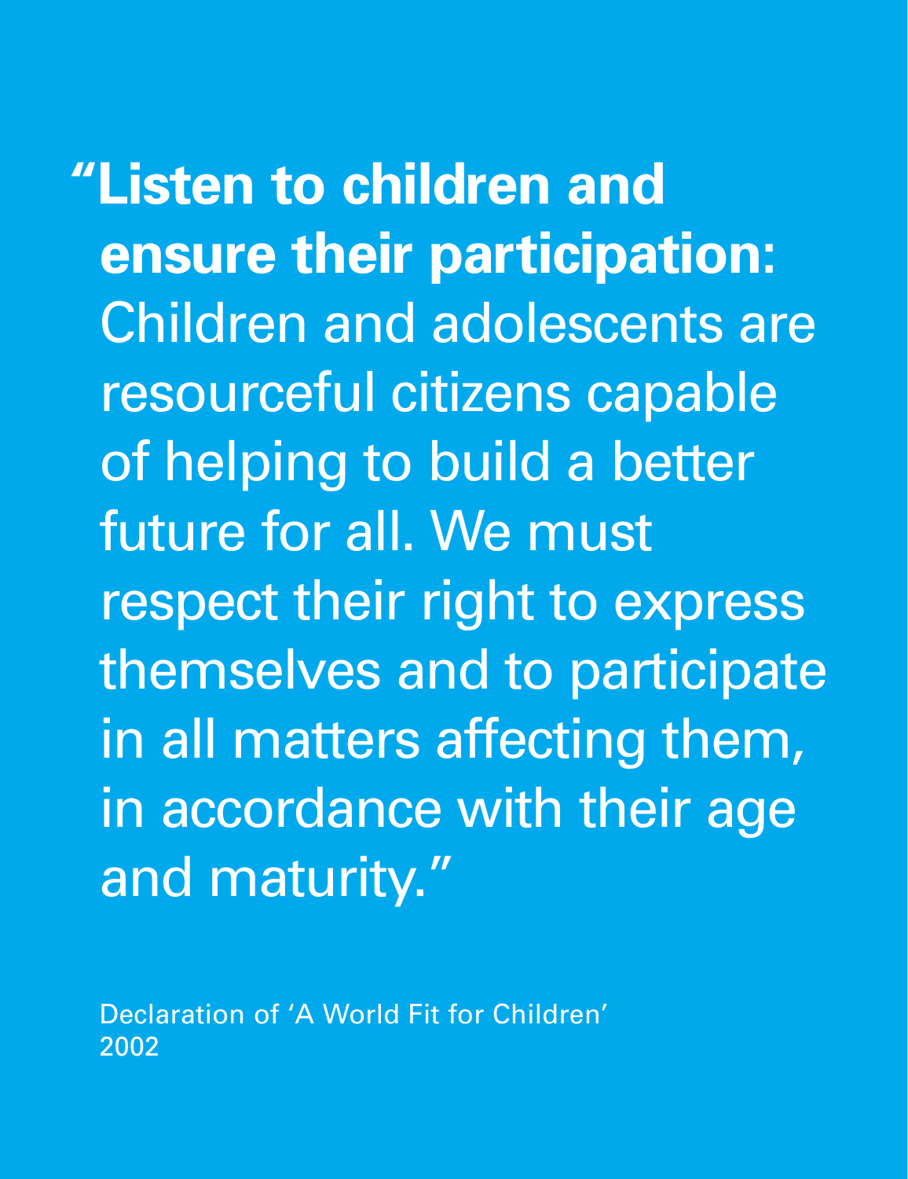**"Listen to children and ensure their participation:** Children and adolescents are resourceful citizens capable of helping to build a better future for all. We must respect their right to express themselves and to participate in all matters affecting them, in accordance with their age and maturity."

Declaration of 'A World Fit for Children' 2002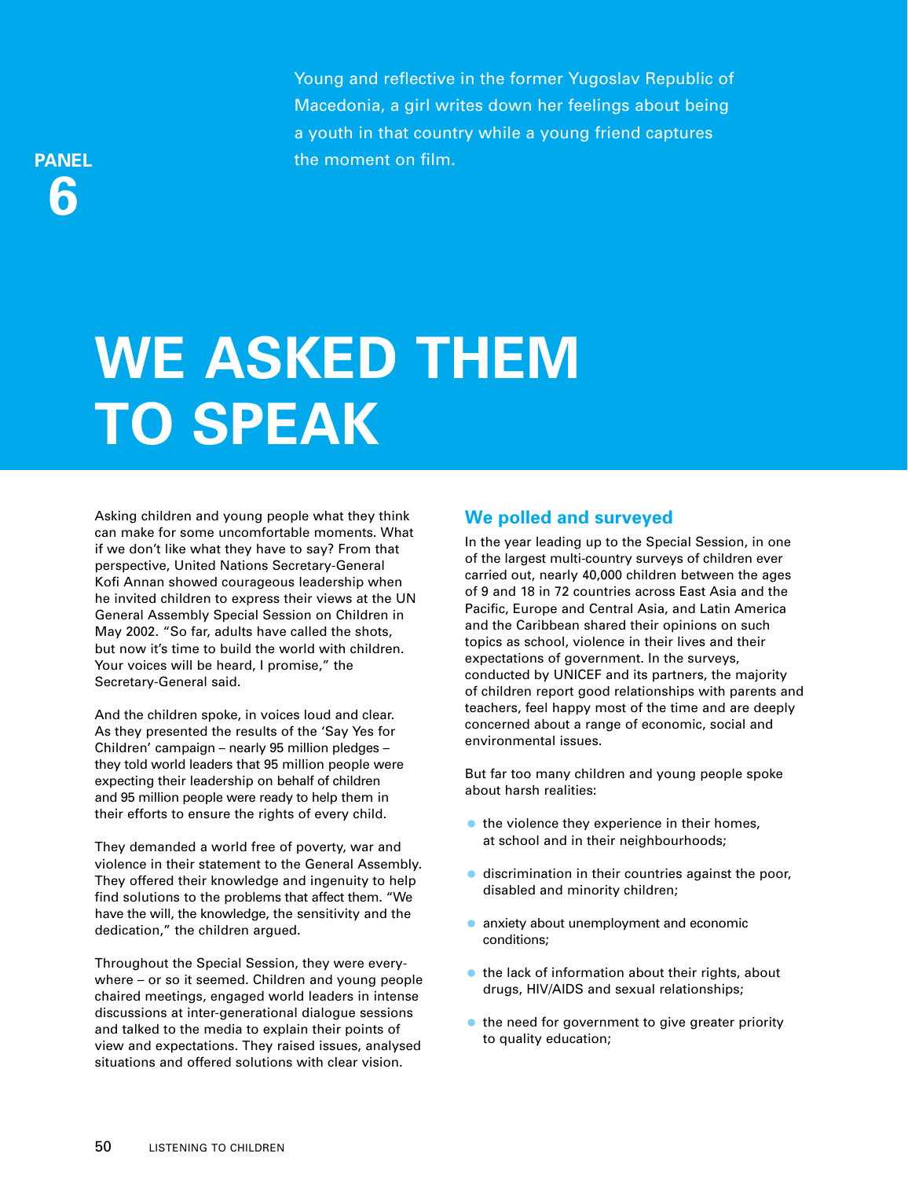Young and reflective in the former Yugoslav Republic of Macedonia, a girl writes down her feelings about being a youth in that country while a young friend captures the moment on film.

### **WE ASKED THEM TO SPEAK**

Asking children and young people what they think can make for some uncomfortable moments. What if we don't like what they have to say? From that perspective, United Nations Secretary-General Kofi Annan showed courageous leadership when he invited children to express their views at the UN General Assembly Special Session on Children in May 2002. "So far, adults have called the shots, but now it's time to build the world with children. Your voices will be heard, I promise," the Secretary-General said.

**PANEL**

**6**

And the children spoke, in voices loud and clear. As they presented the results of the 'Say Yes for Children' campaign – nearly 95 million pledges – they told world leaders that 95 million people were expecting their leadership on behalf of children and 95 million people were ready to help them in their efforts to ensure the rights of every child.

They demanded a world free of poverty, war and violence in their statement to the General Assembly. They offered their knowledge and ingenuity to help find solutions to the problems that affect them. "We have the will, the knowledge, the sensitivity and the dedication," the children argued.

Throughout the Special Session, they were everywhere – or so it seemed. Children and young people chaired meetings, engaged world leaders in intense discussions at inter-generational dialogue sessions and talked to the media to explain their points of view and expectations. They raised issues, analysed situations and offered solutions with clear vision.

#### **We polled and surveyed**

In the year leading up to the Special Session, in one of the largest multi-country surveys of children ever carried out, nearly 40,000 children between the ages of 9 and 18 in 72 countries across East Asia and the Pacific, Europe and Central Asia, and Latin America and the Caribbean shared their opinions on such topics as school, violence in their lives and their expectations of government. In the surveys, conducted by UNICEF and its partners, the majority of children report good relationships with parents and teachers, feel happy most of the time and are deeply concerned about a range of economic, social and environmental issues.

But far too many children and young people spoke about harsh realities:

- $\bullet$  the violence they experience in their homes, at school and in their neighbourhoods;
- $\bullet$  discrimination in their countries against the poor, disabled and minority children;
- $\bullet$  anxiety about unemployment and economic conditions;
- $\bullet$  the lack of information about their rights, about drugs, HIV/AIDS and sexual relationships;
- $\bullet$  the need for government to give greater priority to quality education;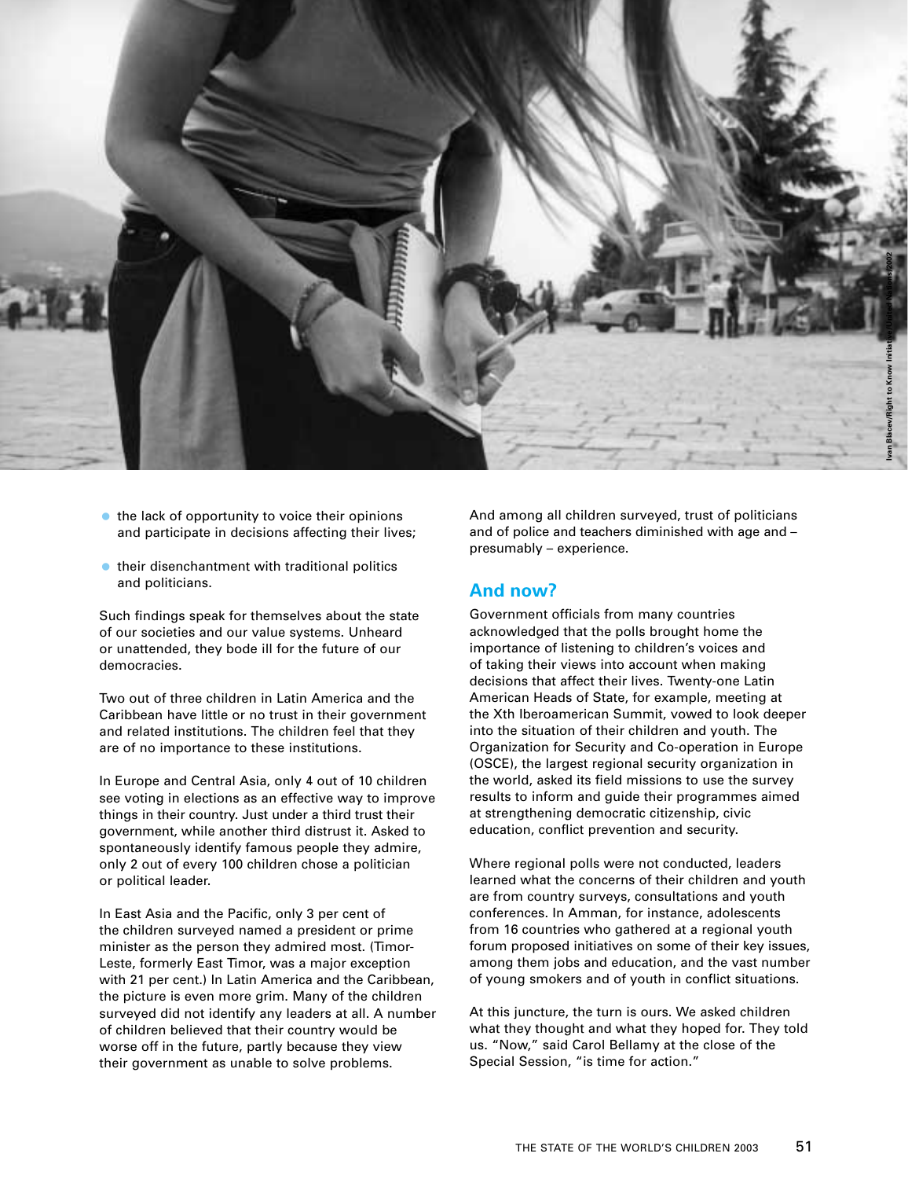

- $\bullet$  the lack of opportunity to voice their opinions and participate in decisions affecting their lives;
- $\bullet$  their disenchantment with traditional politics and politicians.

Such findings speak for themselves about the state of our societies and our value systems. Unheard or unattended, they bode ill for the future of our democracies.

Two out of three children in Latin America and the Caribbean have little or no trust in their government and related institutions. The children feel that they are of no importance to these institutions.

In Europe and Central Asia, only 4 out of 10 children see voting in elections as an effective way to improve things in their country. Just under a third trust their government, while another third distrust it. Asked to spontaneously identify famous people they admire, only 2 out of every 100 children chose a politician or political leader.

In East Asia and the Pacific, only 3 per cent of the children surveyed named a president or prime minister as the person they admired most. (Timor-Leste, formerly East Timor, was a major exception with 21 per cent.) In Latin America and the Caribbean, the picture is even more grim. Many of the children surveyed did not identify any leaders at all. A number of children believed that their country would be worse off in the future, partly because they view their government as unable to solve problems.

And among all children surveyed, trust of politicians and of police and teachers diminished with age and – presumably – experience.

#### **And now?**

Government officials from many countries acknowledged that the polls brought home the importance of listening to children's voices and of taking their views into account when making decisions that affect their lives. Twenty-one Latin American Heads of State, for example, meeting at the Xth Iberoamerican Summit, vowed to look deeper into the situation of their children and youth. The Organization for Security and Co-operation in Europe (OSCE), the largest regional security organization in the world, asked its field missions to use the survey results to inform and guide their programmes aimed at strengthening democratic citizenship, civic education, conflict prevention and security.

Where regional polls were not conducted, leaders learned what the concerns of their children and youth are from country surveys, consultations and youth conferences. In Amman, for instance, adolescents from 16 countries who gathered at a regional youth forum proposed initiatives on some of their key issues, among them jobs and education, and the vast number of young smokers and of youth in conflict situations.

At this juncture, the turn is ours. We asked children what they thought and what they hoped for. They told us. "Now," said Carol Bellamy at the close of the Special Session, "is time for action."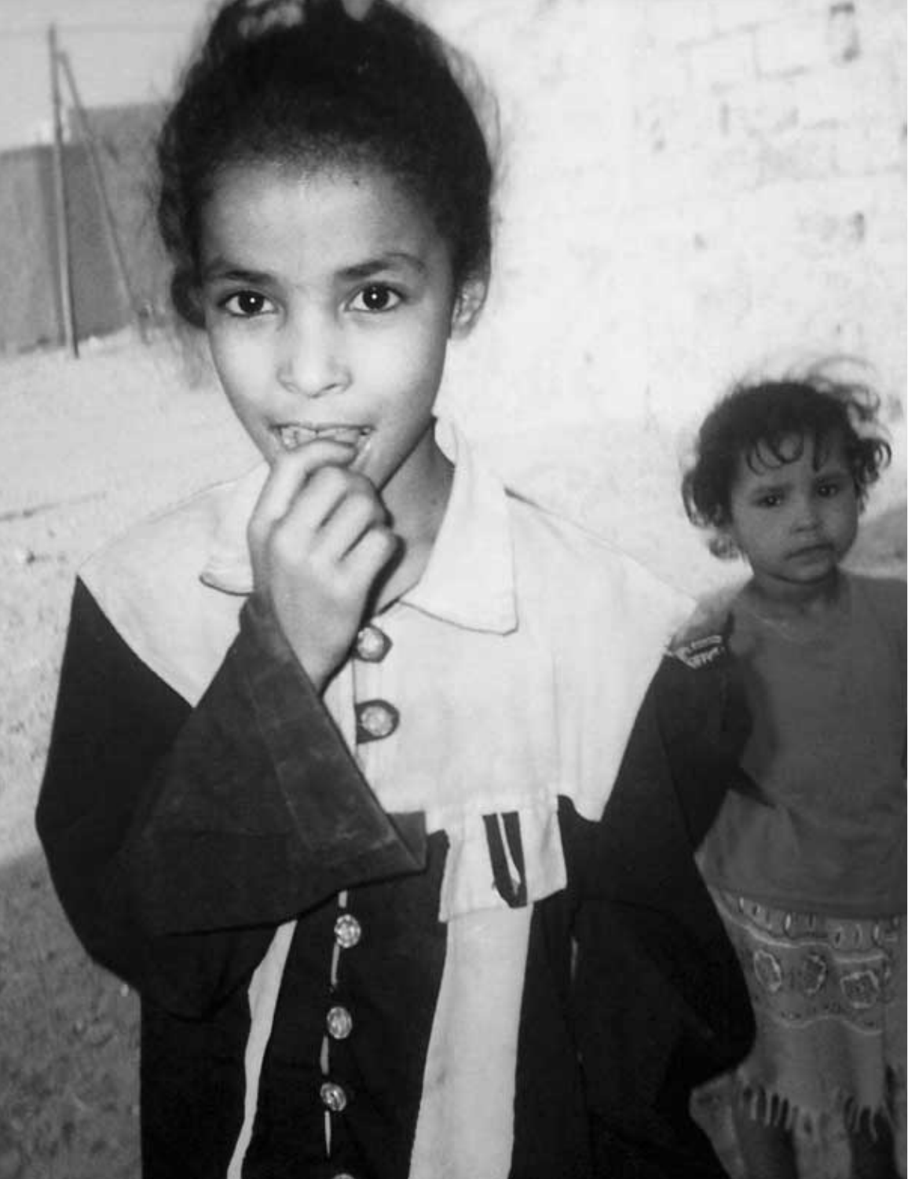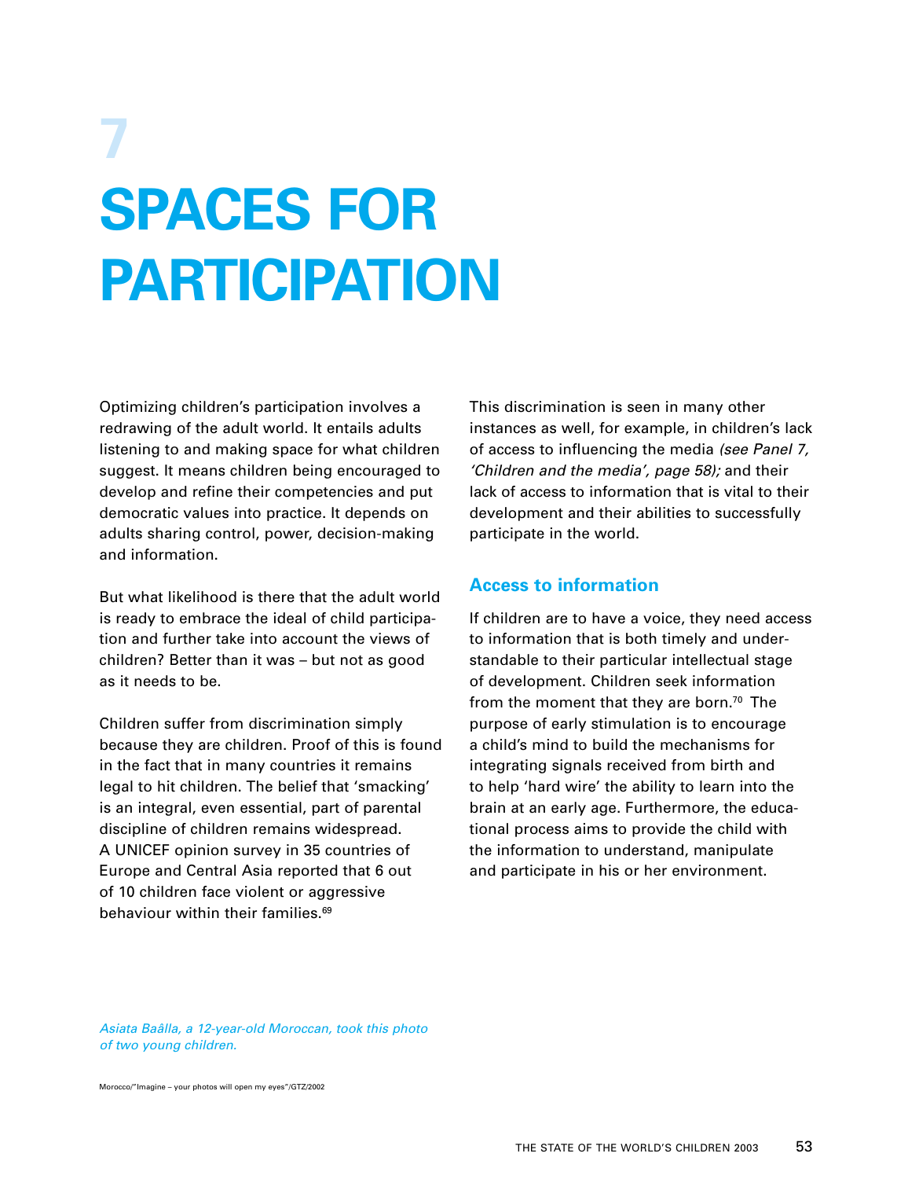### **7 SPACES FOR PARTICIPATION**

Optimizing children's participation involves a redrawing of the adult world. It entails adults listening to and making space for what children suggest. It means children being encouraged to develop and refine their competencies and put democratic values into practice. It depends on adults sharing control, power, decision-making and information.

But what likelihood is there that the adult world is ready to embrace the ideal of child participation and further take into account the views of children? Better than it was – but not as good as it needs to be.

Children suffer from discrimination simply because they are children. Proof of this is found in the fact that in many countries it remains legal to hit children. The belief that 'smacking' is an integral, even essential, part of parental discipline of children remains widespread. A UNICEF opinion survey in 35 countries of Europe and Central Asia reported that 6 out of 10 children face violent or aggressive behaviour within their families.<sup>69</sup>

This discrimination is seen in many other instances as well, for example, in children's lack of access to influencing the media *(see Panel 7, 'Children and the media', page 58);* and their lack of access to information that is vital to their development and their abilities to successfully participate in the world.

#### **Access to information**

If children are to have a voice, they need access to information that is both timely and understandable to their particular intellectual stage of development. Children seek information from the moment that they are born.<sup>70</sup> The purpose of early stimulation is to encourage a child's mind to build the mechanisms for integrating signals received from birth and to help 'hard wire' the ability to learn into the brain at an early age. Furthermore, the educational process aims to provide the child with the information to understand, manipulate and participate in his or her environment.

*Asiata Baâlla, a 12-year-old Moroccan, took this photo of two young children.*

Morocco/"Imagine – your photos will open my eyes"/GTZ/2002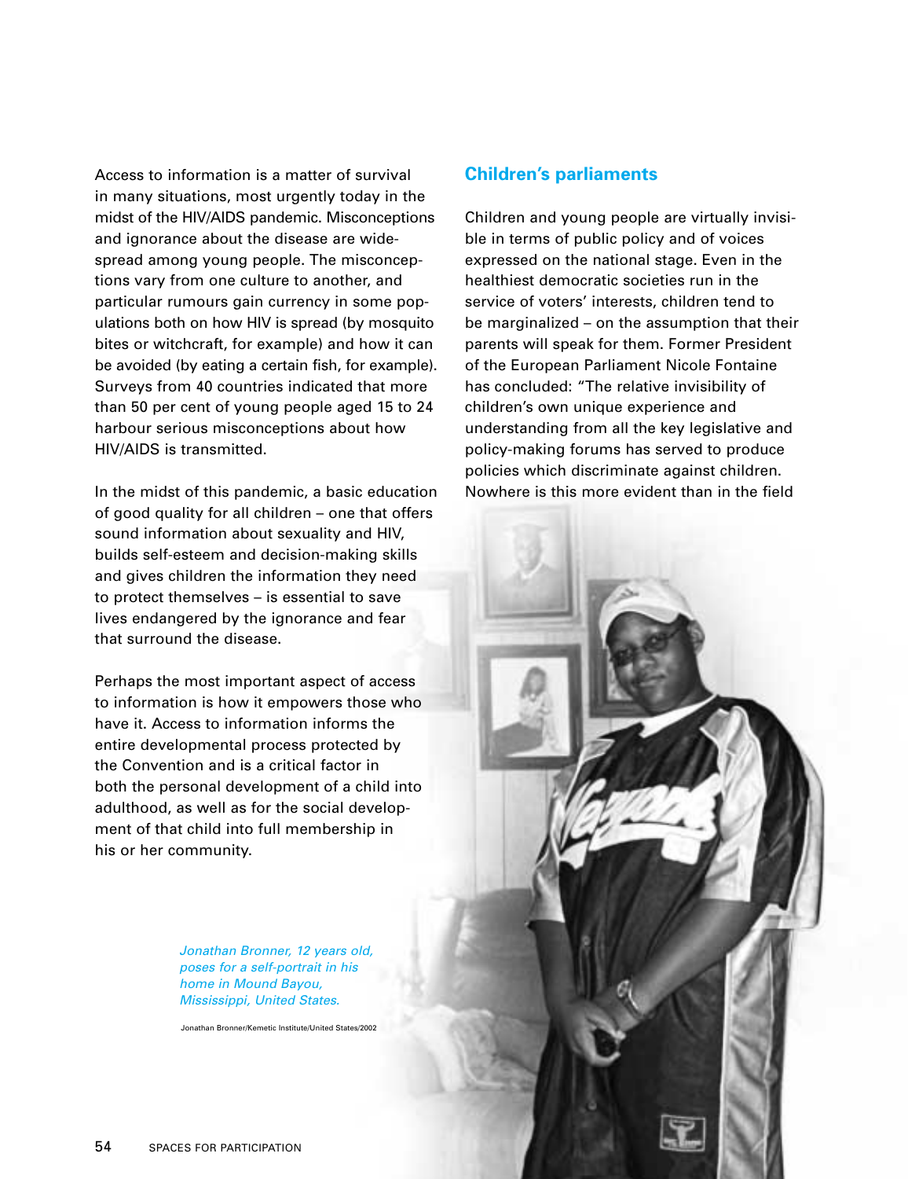Access to information is a matter of survival in many situations, most urgently today in the midst of the HIV/AIDS pandemic. Misconceptions and ignorance about the disease are widespread among young people. The misconceptions vary from one culture to another, and particular rumours gain currency in some populations both on how HIV is spread (by mosquito bites or witchcraft, for example) and how it can be avoided (by eating a certain fish, for example). Surveys from 40 countries indicated that more than 50 per cent of young people aged 15 to 24 harbour serious misconceptions about how HIV/AIDS is transmitted.

In the midst of this pandemic, a basic education of good quality for all children – one that offers sound information about sexuality and HIV, builds self-esteem and decision-making skills and gives children the information they need to protect themselves – is essential to save lives endangered by the ignorance and fear that surround the disease.

Perhaps the most important aspect of access to information is how it empowers those who have it. Access to information informs the entire developmental process protected by the Convention and is a critical factor in both the personal development of a child into adulthood, as well as for the social development of that child into full membership in his or her community.

> *Jonathan Bronner, 12 years old, poses for a self-portrait in his home in Mound Bayou, Mississippi, United States.*

Jonathan Bronner/Kemetic Institute/United States/2002

#### **Children's parliaments**

Children and young people are virtually invisible in terms of public policy and of voices expressed on the national stage. Even in the healthiest democratic societies run in the service of voters' interests, children tend to be marginalized – on the assumption that their parents will speak for them. Former President of the European Parliament Nicole Fontaine has concluded: "The relative invisibility of children's own unique experience and understanding from all the key legislative and policy-making forums has served to produce policies which discriminate against children. Nowhere is this more evident than in the field

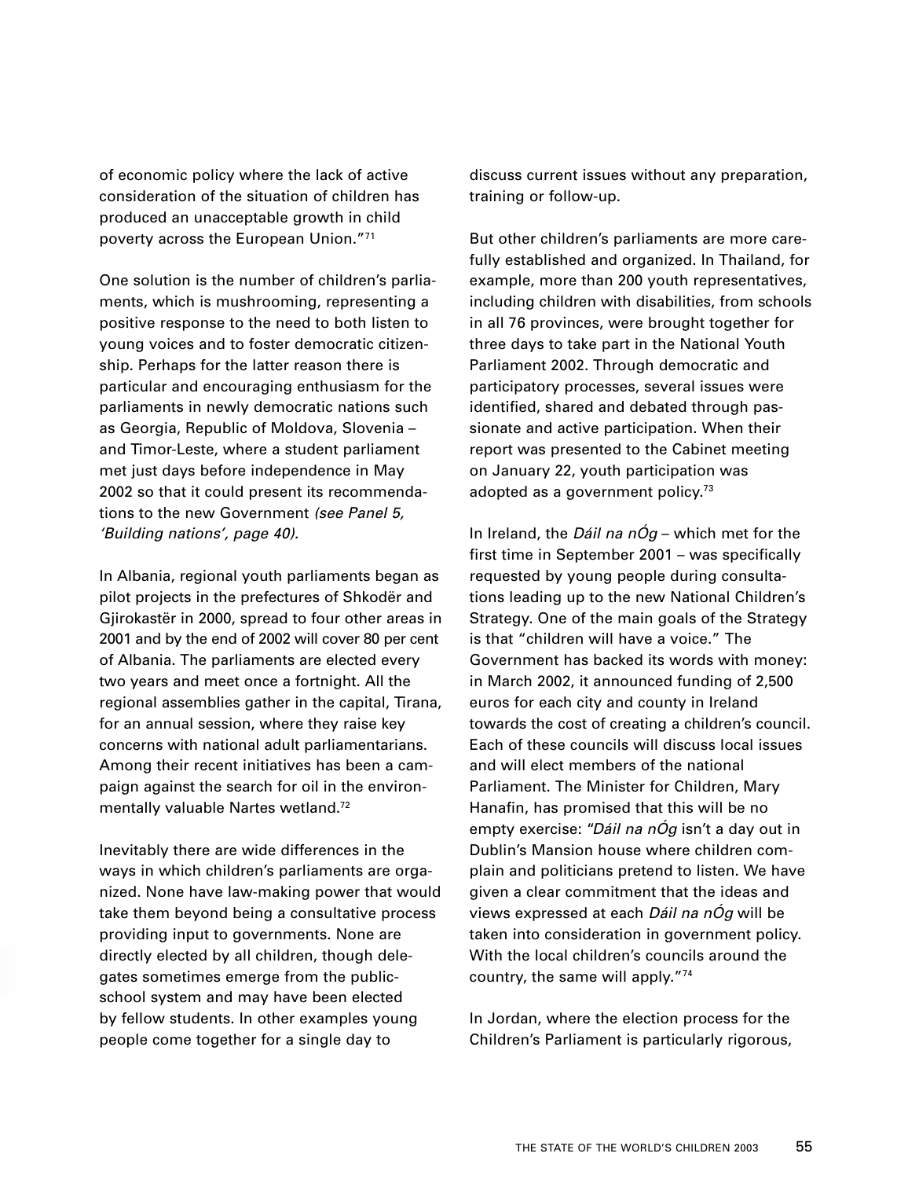of economic policy where the lack of active consideration of the situation of children has produced an unacceptable growth in child poverty across the European Union."71

One solution is the number of children's parliaments, which is mushrooming, representing a positive response to the need to both listen to young voices and to foster democratic citizenship. Perhaps for the latter reason there is particular and encouraging enthusiasm for the parliaments in newly democratic nations such as Georgia, Republic of Moldova, Slovenia – and Timor-Leste, where a student parliament met just days before independence in May 2002 so that it could present its recommendations to the new Government *(see Panel 5, 'Building nations', page 40).*

In Albania, regional youth parliaments began as pilot projects in the prefectures of Shkodër and Gjirokastër in 2000, spread to four other areas in 2001 and by the end of 2002 will cover 80 per cent of Albania. The parliaments are elected every two years and meet once a fortnight. All the regional assemblies gather in the capital, Tirana, for an annual session, where they raise key concerns with national adult parliamentarians. Among their recent initiatives has been a campaign against the search for oil in the environmentally valuable Nartes wetland.<sup>72</sup>

Inevitably there are wide differences in the ways in which children's parliaments are organized. None have law-making power that would take them beyond being a consultative process providing input to governments. None are directly elected by all children, though delegates sometimes emerge from the publicschool system and may have been elected by fellow students. In other examples young people come together for a single day to

discuss current issues without any preparation, training or follow-up.

But other children's parliaments are more carefully established and organized. In Thailand, for example, more than 200 youth representatives, including children with disabilities, from schools in all 76 provinces, were brought together for three days to take part in the National Youth Parliament 2002. Through democratic and participatory processes, several issues were identified, shared and debated through passionate and active participation. When their report was presented to the Cabinet meeting on January 22, youth participation was adopted as a government policy.<sup>73</sup>

In Ireland, the *Dáil na nÓg* – which met for the first time in September 2001 – was specifically requested by young people during consultations leading up to the new National Children's Strategy. One of the main goals of the Strategy is that "children will have a voice." The Government has backed its words with money: in March 2002, it announced funding of 2,500 euros for each city and county in Ireland towards the cost of creating a children's council. Each of these councils will discuss local issues and will elect members of the national Parliament. The Minister for Children, Mary Hanafin, has promised that this will be no empty exercise: "*Dáil na nÓg* isn't a day out in Dublin's Mansion house where children complain and politicians pretend to listen. We have given a clear commitment that the ideas and views expressed at each *Dáil na nÓg* will be taken into consideration in government policy. With the local children's councils around the country, the same will apply."74

In Jordan, where the election process for the Children's Parliament is particularly rigorous,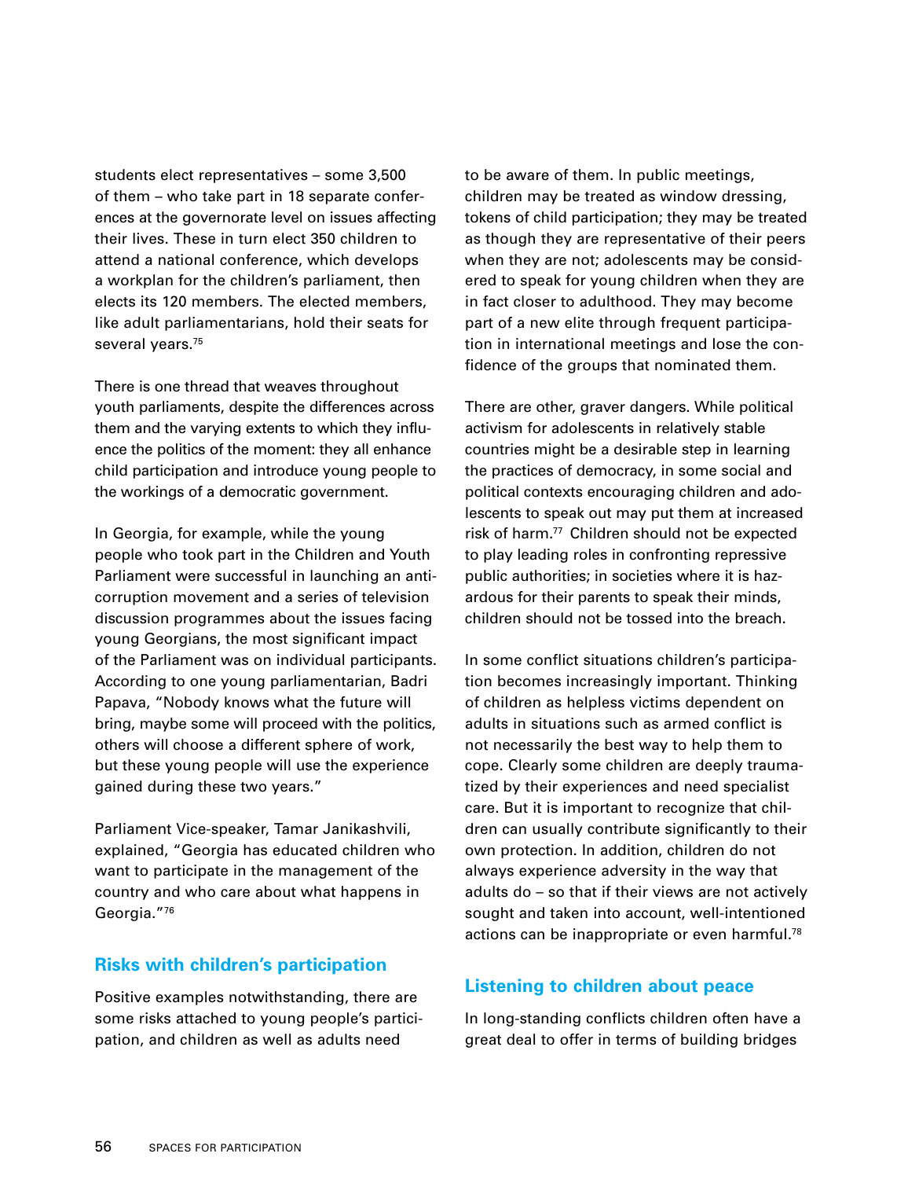students elect representatives – some 3,500 of them – who take part in 18 separate conferences at the governorate level on issues affecting their lives. These in turn elect 350 children to attend a national conference, which develops a workplan for the children's parliament, then elects its 120 members. The elected members, like adult parliamentarians, hold their seats for several years.<sup>75</sup>

There is one thread that weaves throughout youth parliaments, despite the differences across them and the varying extents to which they influence the politics of the moment: they all enhance child participation and introduce young people to the workings of a democratic government.

In Georgia, for example, while the young people who took part in the Children and Youth Parliament were successful in launching an anticorruption movement and a series of television discussion programmes about the issues facing young Georgians, the most significant impact of the Parliament was on individual participants. According to one young parliamentarian, Badri Papava, "Nobody knows what the future will bring, maybe some will proceed with the politics, others will choose a different sphere of work, but these young people will use the experience gained during these two years."

Parliament Vice-speaker, Tamar Janikashvili, explained, "Georgia has educated children who want to participate in the management of the country and who care about what happens in Georgia."76

#### **Risks with children's participation**

Positive examples notwithstanding, there are some risks attached to young people's participation, and children as well as adults need

to be aware of them. In public meetings, children may be treated as window dressing, tokens of child participation; they may be treated as though they are representative of their peers when they are not; adolescents may be considered to speak for young children when they are in fact closer to adulthood. They may become part of a new elite through frequent participation in international meetings and lose the confidence of the groups that nominated them.

There are other, graver dangers. While political activism for adolescents in relatively stable countries might be a desirable step in learning the practices of democracy, in some social and political contexts encouraging children and adolescents to speak out may put them at increased risk of harm.<sup>77</sup> Children should not be expected to play leading roles in confronting repressive public authorities; in societies where it is hazardous for their parents to speak their minds, children should not be tossed into the breach.

In some conflict situations children's participation becomes increasingly important. Thinking of children as helpless victims dependent on adults in situations such as armed conflict is not necessarily the best way to help them to cope. Clearly some children are deeply traumatized by their experiences and need specialist care. But it is important to recognize that children can usually contribute significantly to their own protection. In addition, children do not always experience adversity in the way that adults do – so that if their views are not actively sought and taken into account, well-intentioned actions can be inappropriate or even harmful.<sup>78</sup>

#### **Listening to children about peace**

In long-standing conflicts children often have a great deal to offer in terms of building bridges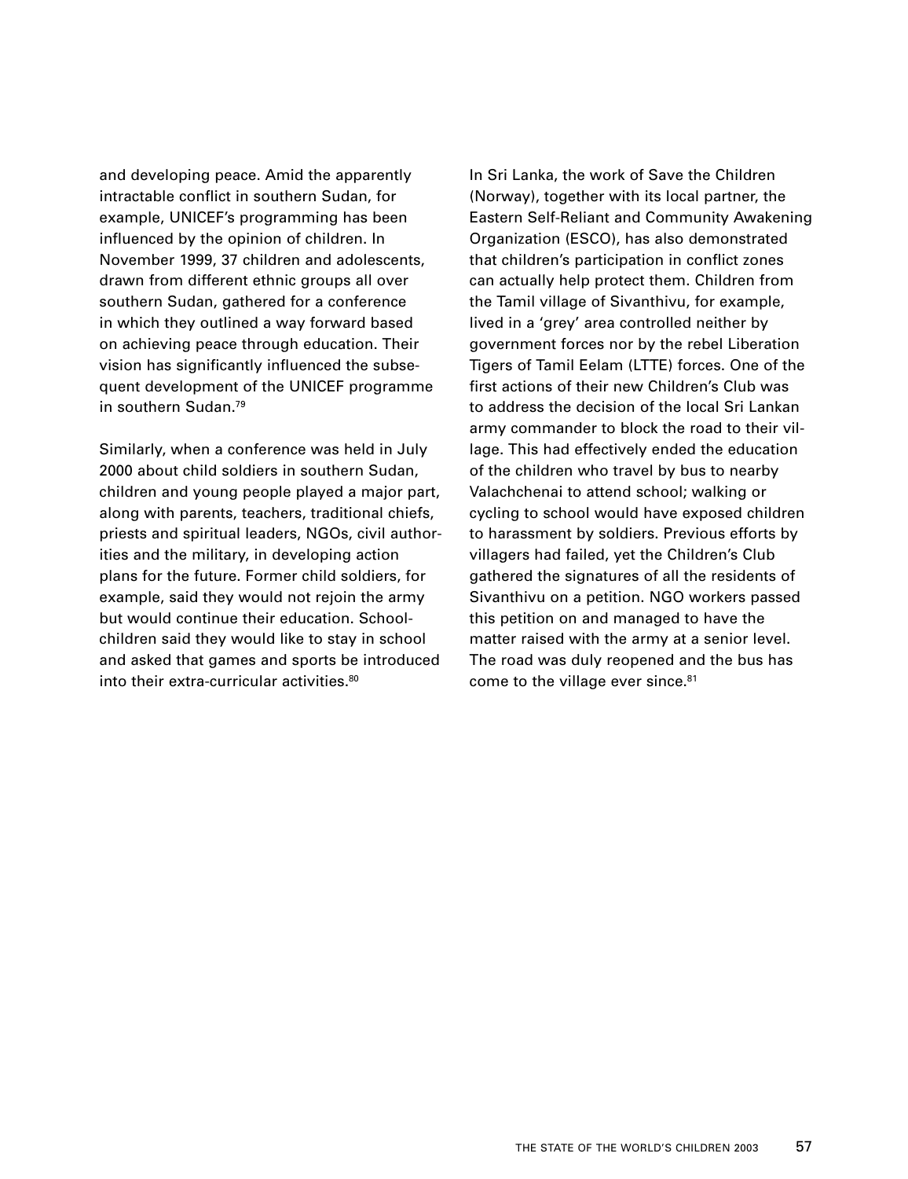and developing peace. Amid the apparently intractable conflict in southern Sudan, for example, UNICEF's programming has been influenced by the opinion of children. In November 1999, 37 children and adolescents, drawn from different ethnic groups all over southern Sudan, gathered for a conference in which they outlined a way forward based on achieving peace through education. Their vision has significantly influenced the subsequent development of the UNICEF programme in southern Sudan.79

Similarly, when a conference was held in July 2000 about child soldiers in southern Sudan, children and young people played a major part, along with parents, teachers, traditional chiefs, priests and spiritual leaders, NGOs, civil authorities and the military, in developing action plans for the future. Former child soldiers, for example, said they would not rejoin the army but would continue their education. Schoolchildren said they would like to stay in school and asked that games and sports be introduced into their extra-curricular activities.<sup>80</sup>

In Sri Lanka, the work of Save the Children (Norway), together with its local partner, the Eastern Self-Reliant and Community Awakening Organization (ESCO), has also demonstrated that children's participation in conflict zones can actually help protect them. Children from the Tamil village of Sivanthivu, for example, lived in a 'grey' area controlled neither by government forces nor by the rebel Liberation Tigers of Tamil Eelam (LTTE) forces. One of the first actions of their new Children's Club was to address the decision of the local Sri Lankan army commander to block the road to their village. This had effectively ended the education of the children who travel by bus to nearby Valachchenai to attend school; walking or cycling to school would have exposed children to harassment by soldiers. Previous efforts by villagers had failed, yet the Children's Club gathered the signatures of all the residents of Sivanthivu on a petition. NGO workers passed this petition on and managed to have the matter raised with the army at a senior level. The road was duly reopened and the bus has come to the village ever since.<sup>81</sup>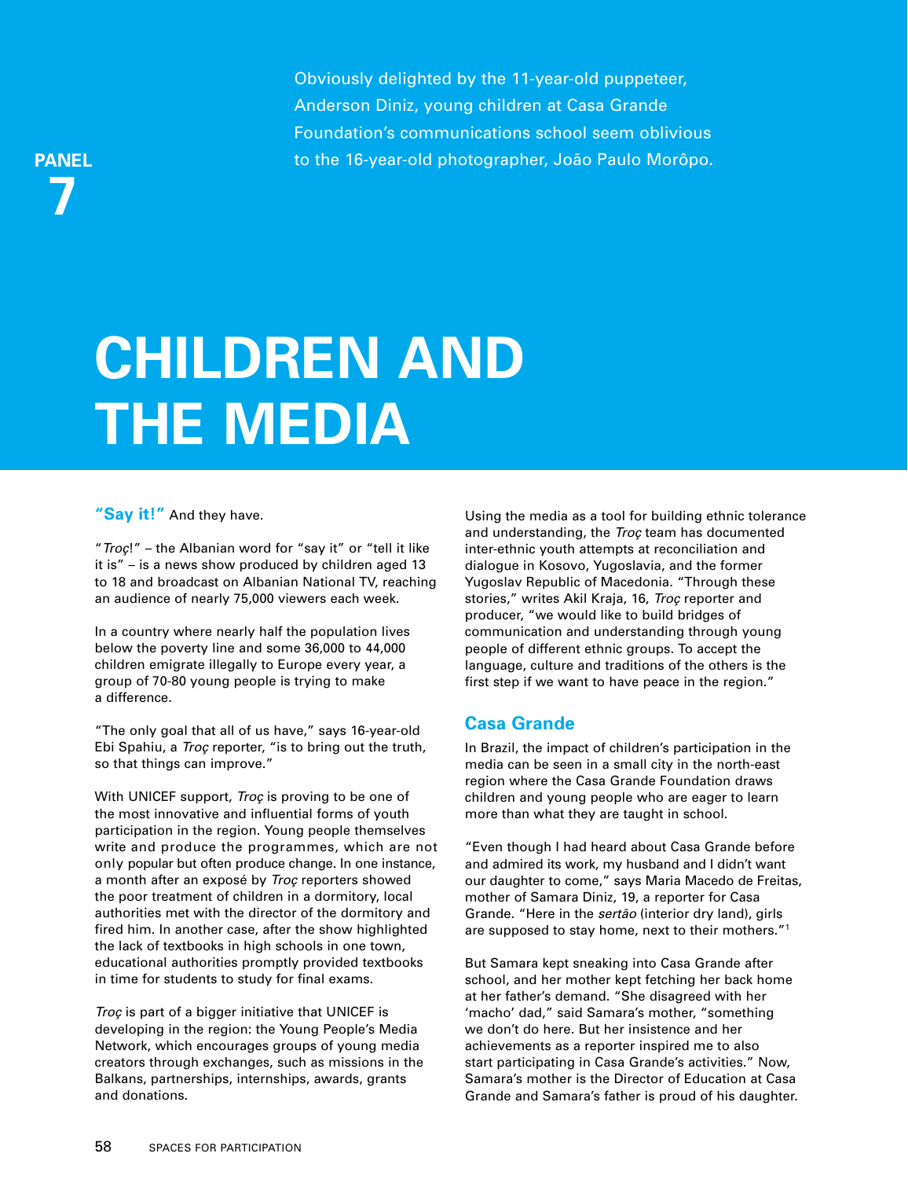Obviously delighted by the 11-year-old puppeteer, Anderson Diniz, young children at Casa Grande Foundation's communications school seem oblivious to the 16-year-old photographer, João Paulo Morôpo.

**PANEL 7**

### **CHILDREN AND THE MEDIA**

"Say it!" And they have.

"*Troç*!" – the Albanian word for "say it" or "tell it like it is" – is a news show produced by children aged 13 to 18 and broadcast on Albanian National TV, reaching an audience of nearly 75,000 viewers each week.

In a country where nearly half the population lives below the poverty line and some 36,000 to 44,000 children emigrate illegally to Europe every year, a group of 70-80 young people is trying to make a difference.

"The only goal that all of us have," says 16-year-old Ebi Spahiu, a *Troç* reporter, "is to bring out the truth, so that things can improve."

With UNICEF support, *Troç* is proving to be one of the most innovative and influential forms of youth participation in the region. Young people themselves write and produce the programmes, which are not only popular but often produce change. In one instance, a month after an exposé by *Troç* reporters showed the poor treatment of children in a dormitory, local authorities met with the director of the dormitory and fired him. In another case, after the show highlighted the lack of textbooks in high schools in one town, educational authorities promptly provided textbooks in time for students to study for final exams.

*Troç* is part of a bigger initiative that UNICEF is developing in the region: the Young People's Media Network, which encourages groups of young media creators through exchanges, such as missions in the Balkans, partnerships, internships, awards, grants and donations.

Using the media as a tool for building ethnic tolerance and understanding, the *Troç* team has documented inter-ethnic youth attempts at reconciliation and dialogue in Kosovo, Yugoslavia, and the former Yugoslav Republic of Macedonia. "Through these stories," writes Akil Kraja, 16, *Troç* reporter and producer, "we would like to build bridges of communication and understanding through young people of different ethnic groups. To accept the language, culture and traditions of the others is the first step if we want to have peace in the region."

#### **Casa Grande**

In Brazil, the impact of children's participation in the media can be seen in a small city in the north-east region where the Casa Grande Foundation draws children and young people who are eager to learn more than what they are taught in school.

"Even though I had heard about Casa Grande before and admired its work, my husband and I didn't want our daughter to come," says Maria Macedo de Freitas, mother of Samara Diniz, 19, a reporter for Casa Grande. "Here in the *sertão* (interior dry land), girls are supposed to stay home, next to their mothers."1

But Samara kept sneaking into Casa Grande after school, and her mother kept fetching her back home at her father's demand. "She disagreed with her 'macho' dad," said Samara's mother, "something we don't do here. But her insistence and her achievements as a reporter inspired me to also start participating in Casa Grande's activities." Now, Samara's mother is the Director of Education at Casa Grande and Samara's father is proud of his daughter.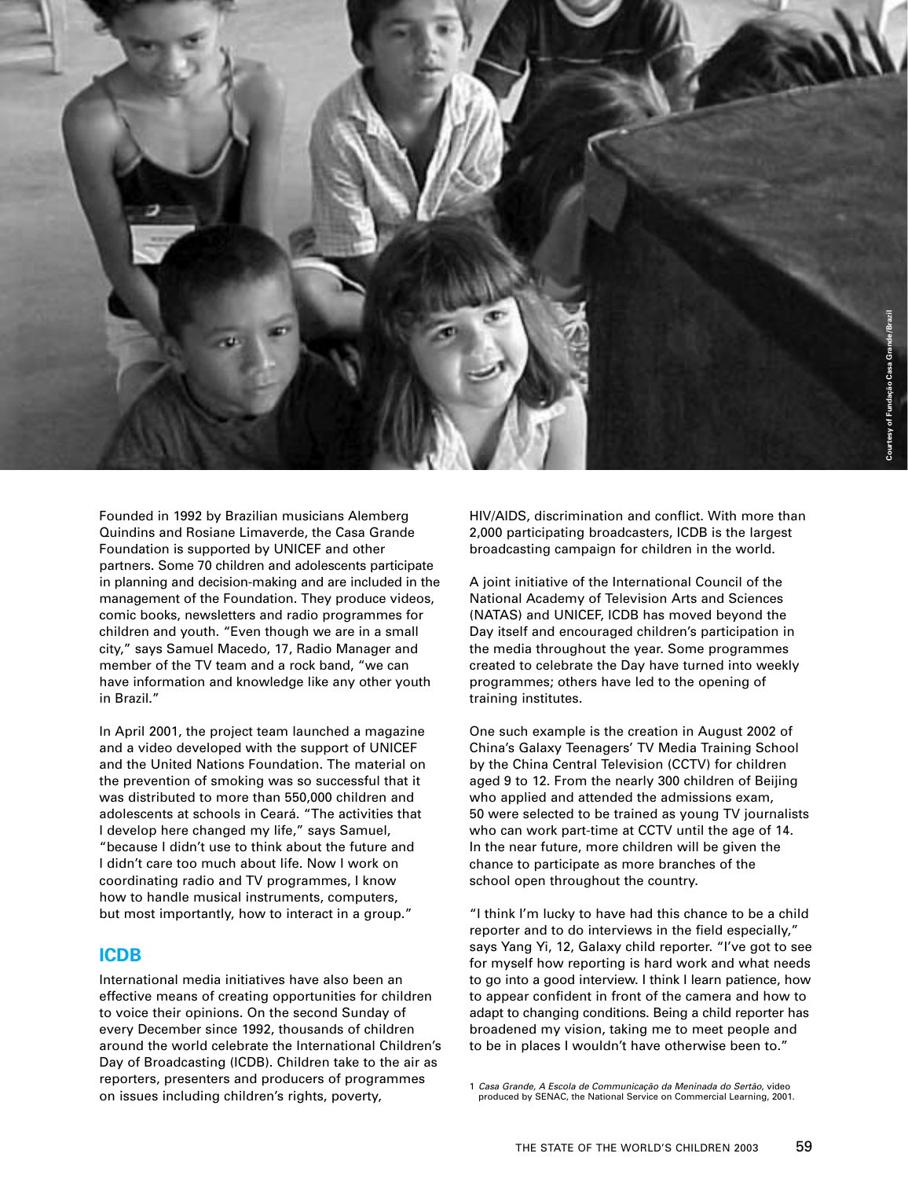

Founded in 1992 by Brazilian musicians Alemberg Quindins and Rosiane Limaverde, the Casa Grande Foundation is supported by UNICEF and other partners. Some 70 children and adolescents participate in planning and decision-making and are included in the management of the Foundation. They produce videos, comic books, newsletters and radio programmes for children and youth. "Even though we are in a small city," says Samuel Macedo, 17, Radio Manager and member of the TV team and a rock band, "we can have information and knowledge like any other youth in Brazil."

In April 2001, the project team launched a magazine and a video developed with the support of UNICEF and the United Nations Foundation. The material on the prevention of smoking was so successful that it was distributed to more than 550,000 children and adolescents at schools in Ceará. "The activities that I develop here changed my life," says Samuel, "because I didn't use to think about the future and I didn't care too much about life. Now I work on coordinating radio and TV programmes, I know how to handle musical instruments, computers, but most importantly, how to interact in a group."

#### **ICDB**

International media initiatives have also been an effective means of creating opportunities for children to voice their opinions. On the second Sunday of every December since 1992, thousands of children around the world celebrate the International Children's Day of Broadcasting (ICDB). Children take to the air as reporters, presenters and producers of programmes on issues including children's rights, poverty,

HIV/AIDS, discrimination and conflict. With more than 2,000 participating broadcasters, ICDB is the largest broadcasting campaign for children in the world.

A joint initiative of the International Council of the National Academy of Television Arts and Sciences (NATAS) and UNICEF, ICDB has moved beyond the Day itself and encouraged children's participation in the media throughout the year. Some programmes created to celebrate the Day have turned into weekly programmes; others have led to the opening of training institutes.

One such example is the creation in August 2002 of China's Galaxy Teenagers' TV Media Training School by the China Central Television (CCTV) for children aged 9 to 12. From the nearly 300 children of Beijing who applied and attended the admissions exam, 50 were selected to be trained as young TV journalists who can work part-time at CCTV until the age of 14. In the near future, more children will be given the chance to participate as more branches of the school open throughout the country.

"I think I'm lucky to have had this chance to be a child reporter and to do interviews in the field especially," says Yang Yi, 12, Galaxy child reporter. "I've got to see for myself how reporting is hard work and what needs to go into a good interview. I think I learn patience, how to appear confident in front of the camera and how to adapt to changing conditions. Being a child reporter has broadened my vision, taking me to meet people and to be in places I wouldn't have otherwise been to."

<sup>1</sup> *Casa Grande, A Escola de Communicação da Meninada do Sertão*, video produced by SENAC, the National Service on Commercial Learning, 2001.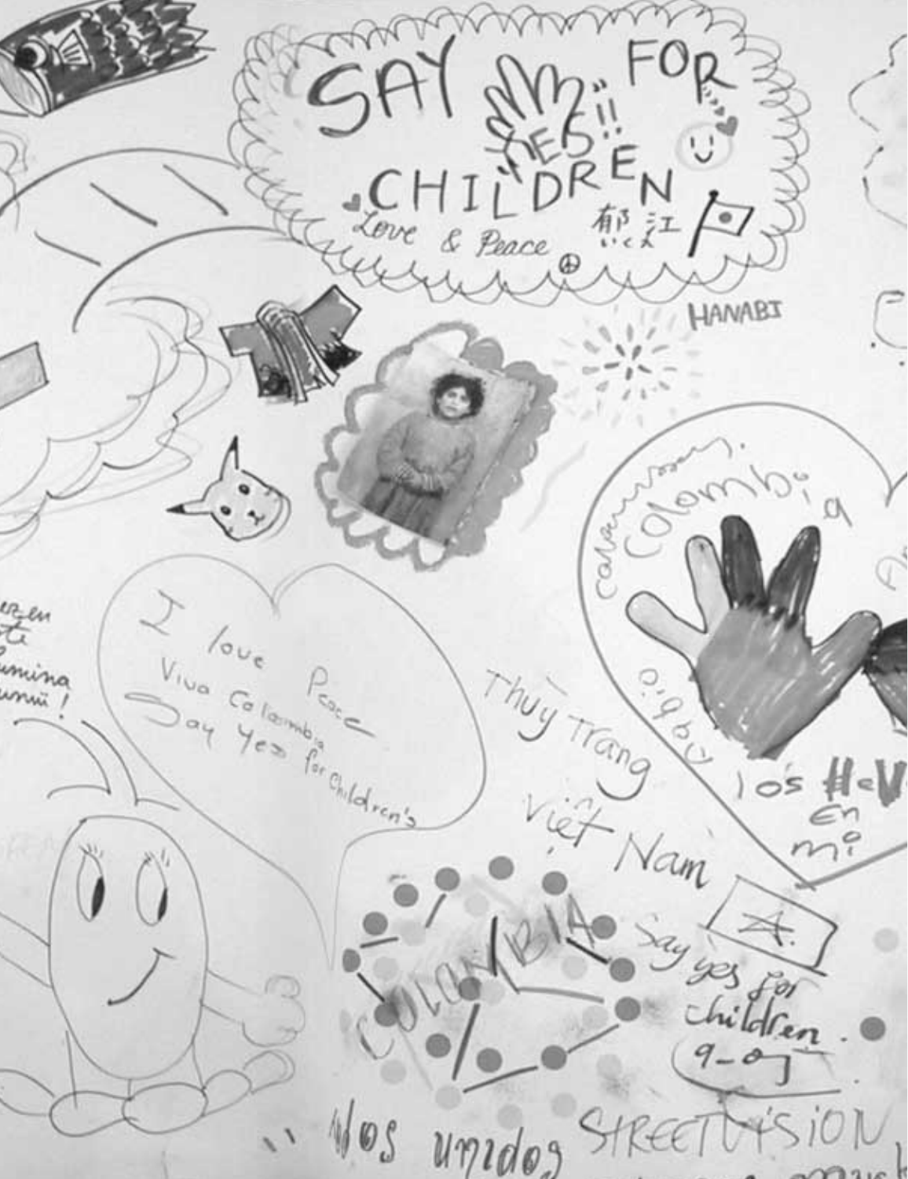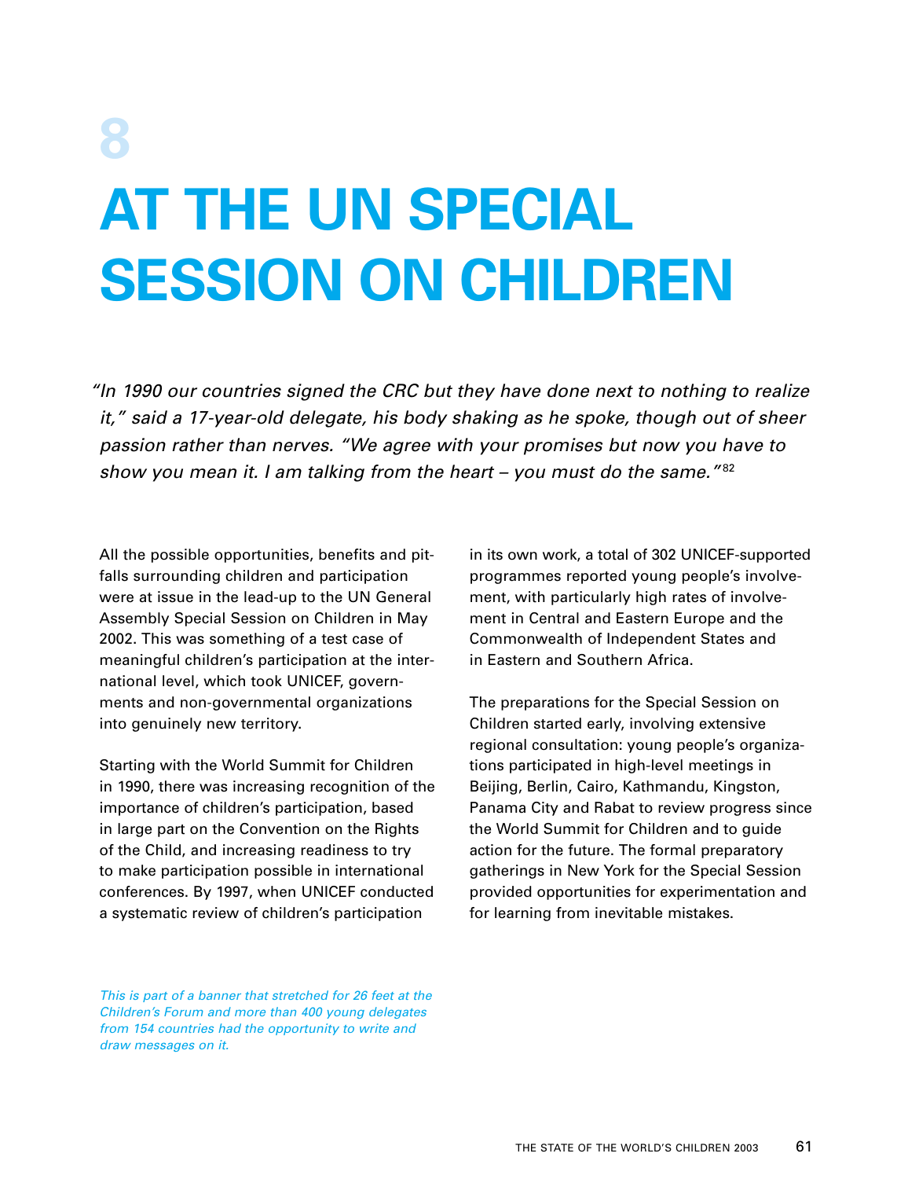# **AT THE UN SPECIAL SESSION ON CHILDREN**

*"In 1990 our countries signed the CRC but they have done next to nothing to realize it," said a 17-year-old delegate, his body shaking as he spoke, though out of sheer passion rather than nerves. "We agree with your promises but now you have to show you mean it. I am talking from the heart – you must do the same."*82

All the possible opportunities, benefits and pitfalls surrounding children and participation were at issue in the lead-up to the UN General Assembly Special Session on Children in May 2002. This was something of a test case of meaningful children's participation at the international level, which took UNICEF, governments and non-governmental organizations into genuinely new territory.

Starting with the World Summit for Children in 1990, there was increasing recognition of the importance of children's participation, based in large part on the Convention on the Rights of the Child, and increasing readiness to try to make participation possible in international conferences. By 1997, when UNICEF conducted a systematic review of children's participation

in its own work, a total of 302 UNICEF-supported programmes reported young people's involvement, with particularly high rates of involvement in Central and Eastern Europe and the Commonwealth of Independent States and in Eastern and Southern Africa.

The preparations for the Special Session on Children started early, involving extensive regional consultation: young people's organizations participated in high-level meetings in Beijing, Berlin, Cairo, Kathmandu, Kingston, Panama City and Rabat to review progress since the World Summit for Children and to guide action for the future. The formal preparatory gatherings in New York for the Special Session provided opportunities for experimentation and for learning from inevitable mistakes.

*This is part of a banner that stretched for 26 feet at the Children's Forum and more than 400 young delegates from 154 countries had the opportunity to write and draw messages on it.*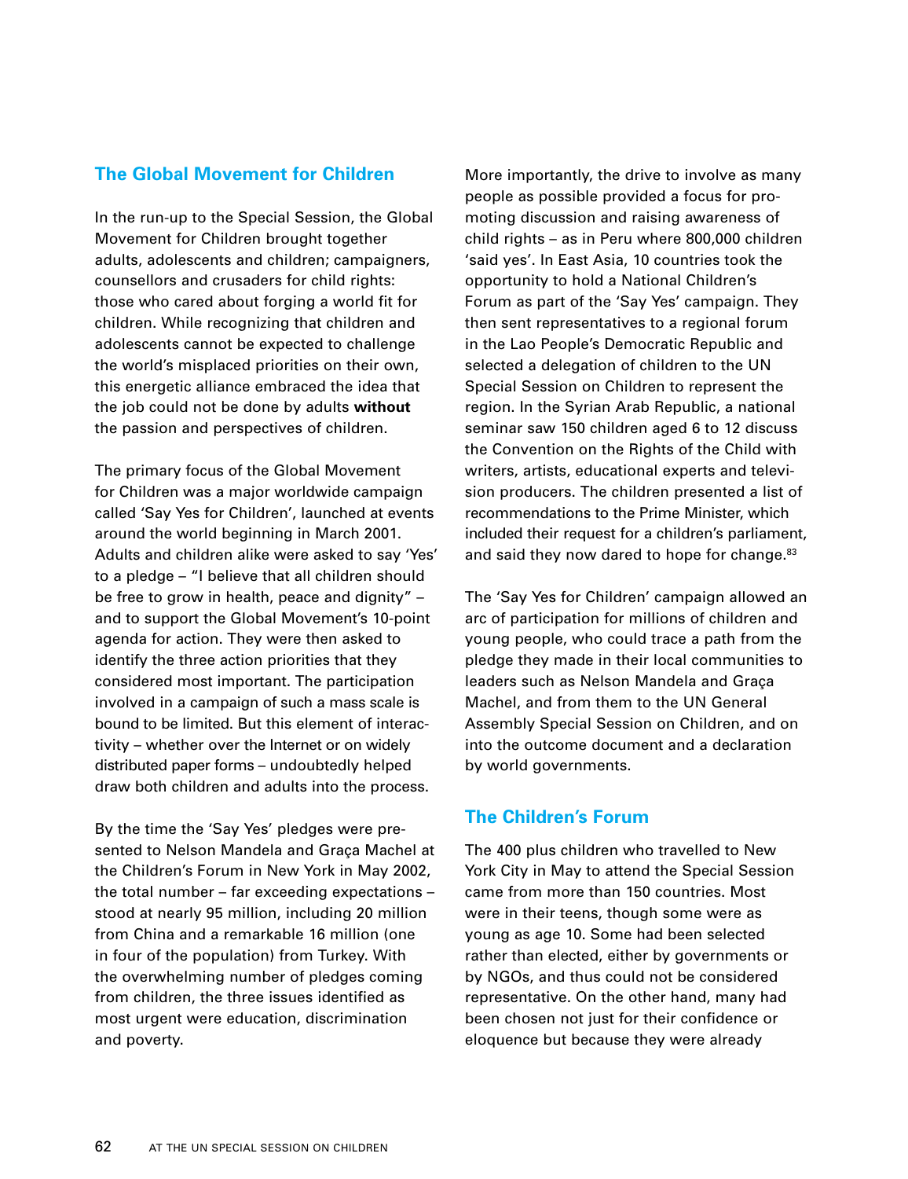#### **The Global Movement for Children**

In the run-up to the Special Session, the Global Movement for Children brought together adults, adolescents and children; campaigners, counsellors and crusaders for child rights: those who cared about forging a world fit for children. While recognizing that children and adolescents cannot be expected to challenge the world's misplaced priorities on their own, this energetic alliance embraced the idea that the job could not be done by adults **without** the passion and perspectives of children.

The primary focus of the Global Movement for Children was a major worldwide campaign called 'Say Yes for Children', launched at events around the world beginning in March 2001. Adults and children alike were asked to say 'Yes' to a pledge – "I believe that all children should be free to grow in health, peace and dignity" – and to support the Global Movement's 10-point agenda for action. They were then asked to identify the three action priorities that they considered most important. The participation involved in a campaign of such a mass scale is bound to be limited. But this element of interactivity – whether over the Internet or on widely distributed paper forms – undoubtedly helped draw both children and adults into the process.

By the time the 'Say Yes' pledges were presented to Nelson Mandela and Graça Machel at the Children's Forum in New York in May 2002, the total number – far exceeding expectations – stood at nearly 95 million, including 20 million from China and a remarkable 16 million (one in four of the population) from Turkey. With the overwhelming number of pledges coming from children, the three issues identified as most urgent were education, discrimination and poverty.

More importantly, the drive to involve as many people as possible provided a focus for promoting discussion and raising awareness of child rights – as in Peru where 800,000 children 'said yes'. In East Asia, 10 countries took the opportunity to hold a National Children's Forum as part of the 'Say Yes' campaign. They then sent representatives to a regional forum in the Lao People's Democratic Republic and selected a delegation of children to the UN Special Session on Children to represent the region. In the Syrian Arab Republic, a national seminar saw 150 children aged 6 to 12 discuss the Convention on the Rights of the Child with writers, artists, educational experts and television producers. The children presented a list of recommendations to the Prime Minister, which included their request for a children's parliament, and said they now dared to hope for change.<sup>83</sup>

The 'Say Yes for Children' campaign allowed an arc of participation for millions of children and young people, who could trace a path from the pledge they made in their local communities to leaders such as Nelson Mandela and Graça Machel, and from them to the UN General Assembly Special Session on Children, and on into the outcome document and a declaration by world governments.

#### **The Children's Forum**

The 400 plus children who travelled to New York City in May to attend the Special Session came from more than 150 countries. Most were in their teens, though some were as young as age 10. Some had been selected rather than elected, either by governments or by NGOs, and thus could not be considered representative. On the other hand, many had been chosen not just for their confidence or eloquence but because they were already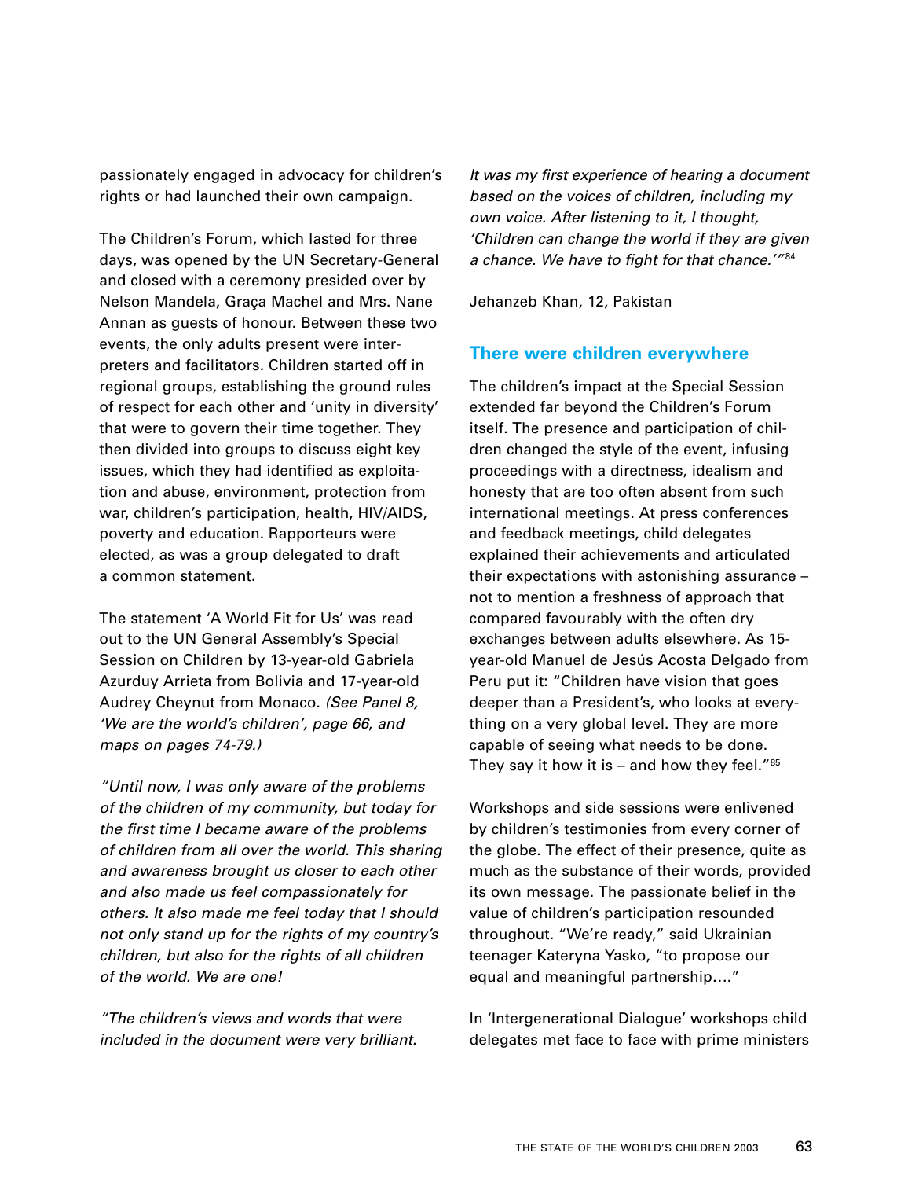passionately engaged in advocacy for children's rights or had launched their own campaign.

The Children's Forum, which lasted for three days, was opened by the UN Secretary-General and closed with a ceremony presided over by Nelson Mandela, Graça Machel and Mrs. Nane Annan as guests of honour. Between these two events, the only adults present were interpreters and facilitators. Children started off in regional groups, establishing the ground rules of respect for each other and 'unity in diversity' that were to govern their time together. They then divided into groups to discuss eight key issues, which they had identified as exploitation and abuse, environment, protection from war, children's participation, health, HIV/AIDS, poverty and education. Rapporteurs were elected, as was a group delegated to draft a common statement.

The statement 'A World Fit for Us' was read out to the UN General Assembly's Special Session on Children by 13-year-old Gabriela Azurduy Arrieta from Bolivia and 17-year-old Audrey Cheynut from Monaco. *(See Panel 8, 'We are the world's children', page 66*, *and maps on pages 74-79.)*

*"Until now, I was only aware of the problems of the children of my community, but today for the first time I became aware of the problems of children from all over the world. This sharing and awareness brought us closer to each other and also made us feel compassionately for others. It also made me feel today that I should not only stand up for the rights of my country's children, but also for the rights of all children of the world. We are one!*

*"The children's views and words that were included in the document were very brilliant.* *It was my first experience of hearing a document based on the voices of children, including my own voice. After listening to it, I thought, 'Children can change the world if they are given a chance. We have to fight for that chance.'"*<sup>84</sup>

Jehanzeb Khan, 12, Pakistan

#### **There were children everywhere**

The children's impact at the Special Session extended far beyond the Children's Forum itself. The presence and participation of children changed the style of the event, infusing proceedings with a directness, idealism and honesty that are too often absent from such international meetings. At press conferences and feedback meetings, child delegates explained their achievements and articulated their expectations with astonishing assurance – not to mention a freshness of approach that compared favourably with the often dry exchanges between adults elsewhere. As 15 year-old Manuel de Jesús Acosta Delgado from Peru put it: "Children have vision that goes deeper than a President's, who looks at everything on a very global level. They are more capable of seeing what needs to be done. They say it how it is – and how they feel." $85$ 

Workshops and side sessions were enlivened by children's testimonies from every corner of the globe. The effect of their presence, quite as much as the substance of their words, provided its own message. The passionate belief in the value of children's participation resounded throughout. "We're ready," said Ukrainian teenager Kateryna Yasko, "to propose our equal and meaningful partnership…."

In 'Intergenerational Dialogue' workshops child delegates met face to face with prime ministers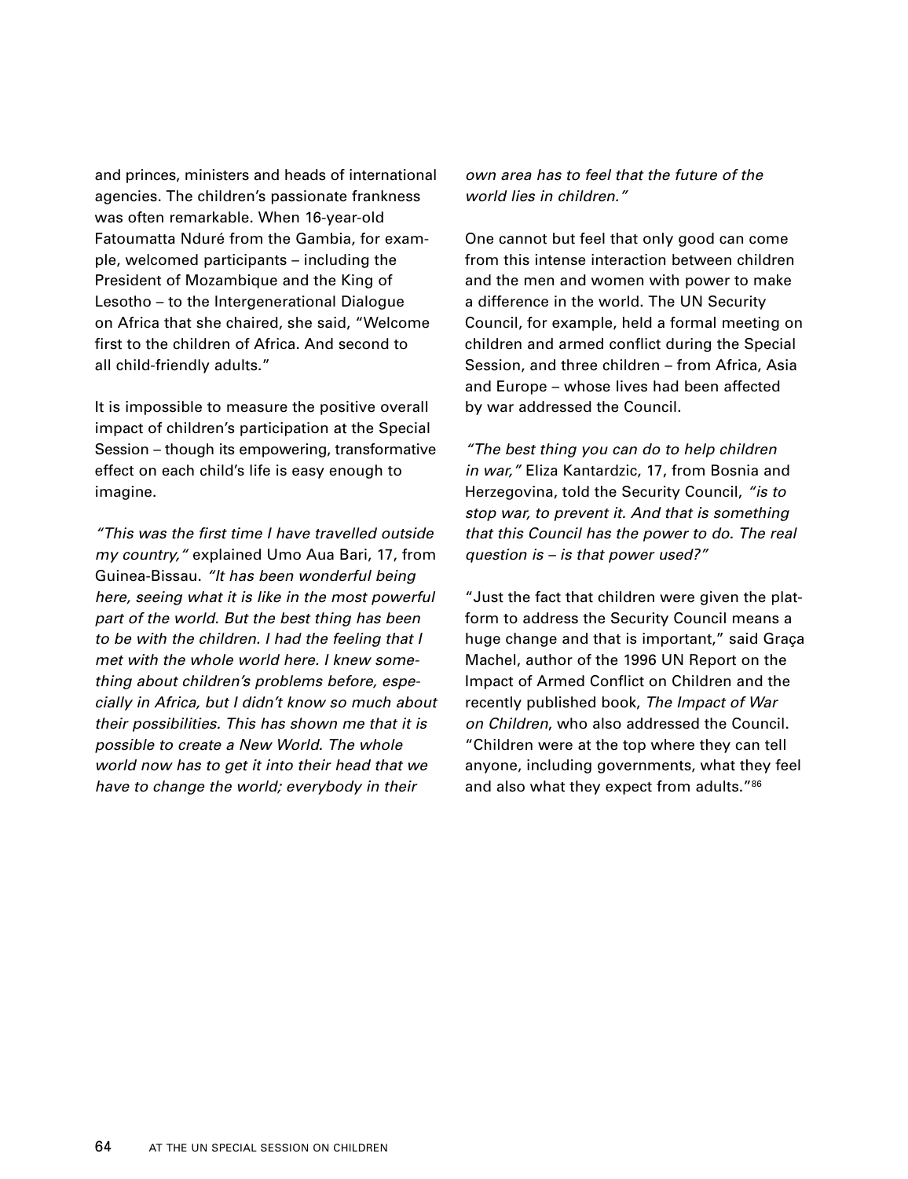and princes, ministers and heads of international agencies. The children's passionate frankness was often remarkable. When 16-year-old Fatoumatta Nduré from the Gambia, for example, welcomed participants – including the President of Mozambique and the King of Lesotho – to the Intergenerational Dialogue on Africa that she chaired, she said, "Welcome first to the children of Africa. And second to all child-friendly adults."

It is impossible to measure the positive overall impact of children's participation at the Special Session – though its empowering, transformative effect on each child's life is easy enough to imagine.

*"This was the first time I have travelled outside my country,"* explained Umo Aua Bari, 17, from Guinea-Bissau. *"It has been wonderful being here, seeing what it is like in the most powerful part of the world. But the best thing has been to be with the children. I had the feeling that I met with the whole world here. I knew something about children's problems before, especially in Africa, but I didn't know so much about their possibilities. This has shown me that it is possible to create a New World. The whole world now has to get it into their head that we have to change the world; everybody in their*

*own area has to feel that the future of the world lies in children."* 

One cannot but feel that only good can come from this intense interaction between children and the men and women with power to make a difference in the world. The UN Security Council, for example, held a formal meeting on children and armed conflict during the Special Session, and three children – from Africa, Asia and Europe – whose lives had been affected by war addressed the Council.

*"The best thing you can do to help children in war,"* Eliza Kantardzic, 17, from Bosnia and Herzegovina, told the Security Council, *"is to stop war, to prevent it. And that is something that this Council has the power to do. The real question is – is that power used?"*

"Just the fact that children were given the platform to address the Security Council means a huge change and that is important," said Graça Machel, author of the 1996 UN Report on the Impact of Armed Conflict on Children and the recently published book, *The Impact of War on Children*, who also addressed the Council. "Children were at the top where they can tell anyone, including governments, what they feel and also what they expect from adults."<sup>86</sup>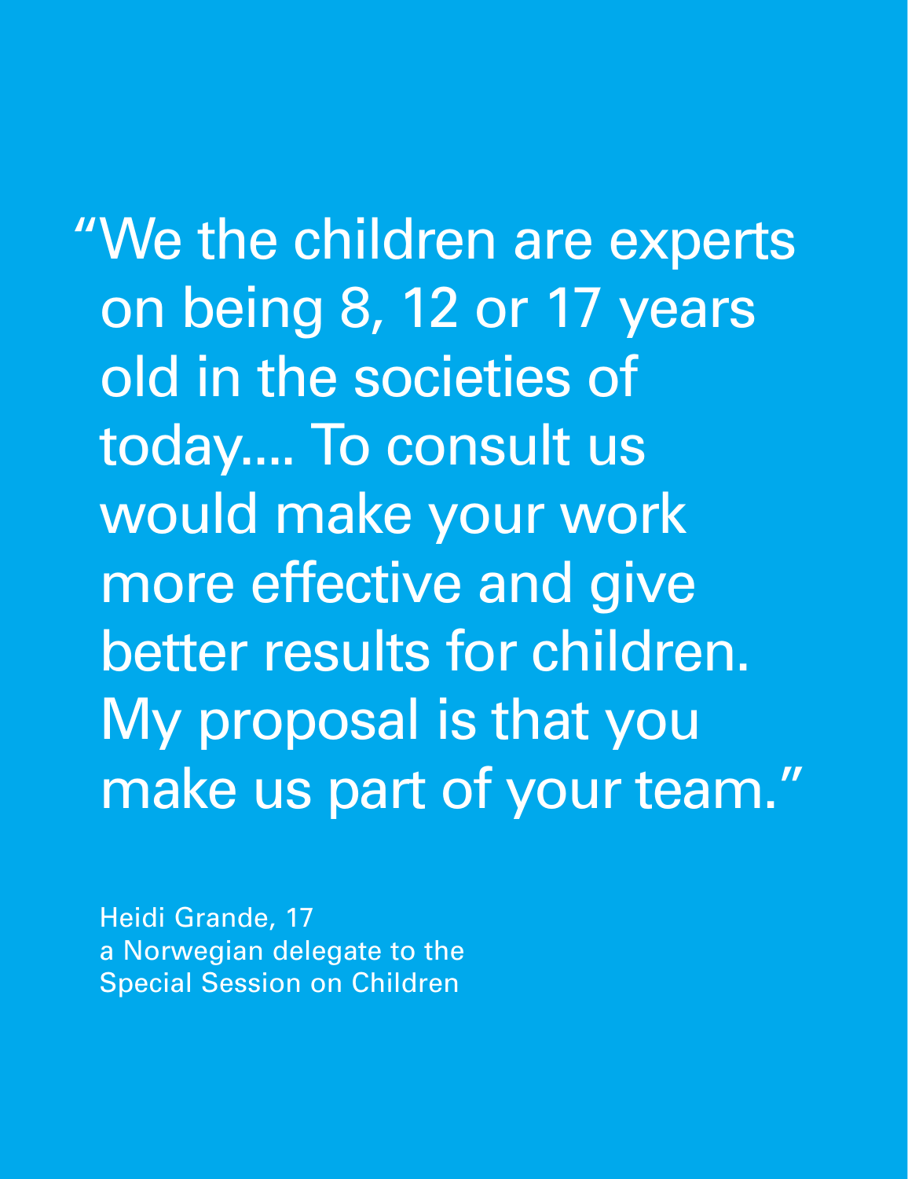"We the children are experts on being 8, 12 or 17 years old in the societies of today.... To consult us would make your work more effective and give better results for children. My proposal is that you make us part of your team."

Heidi Grande, 17 a Norwegian delegate to the Special Session on Children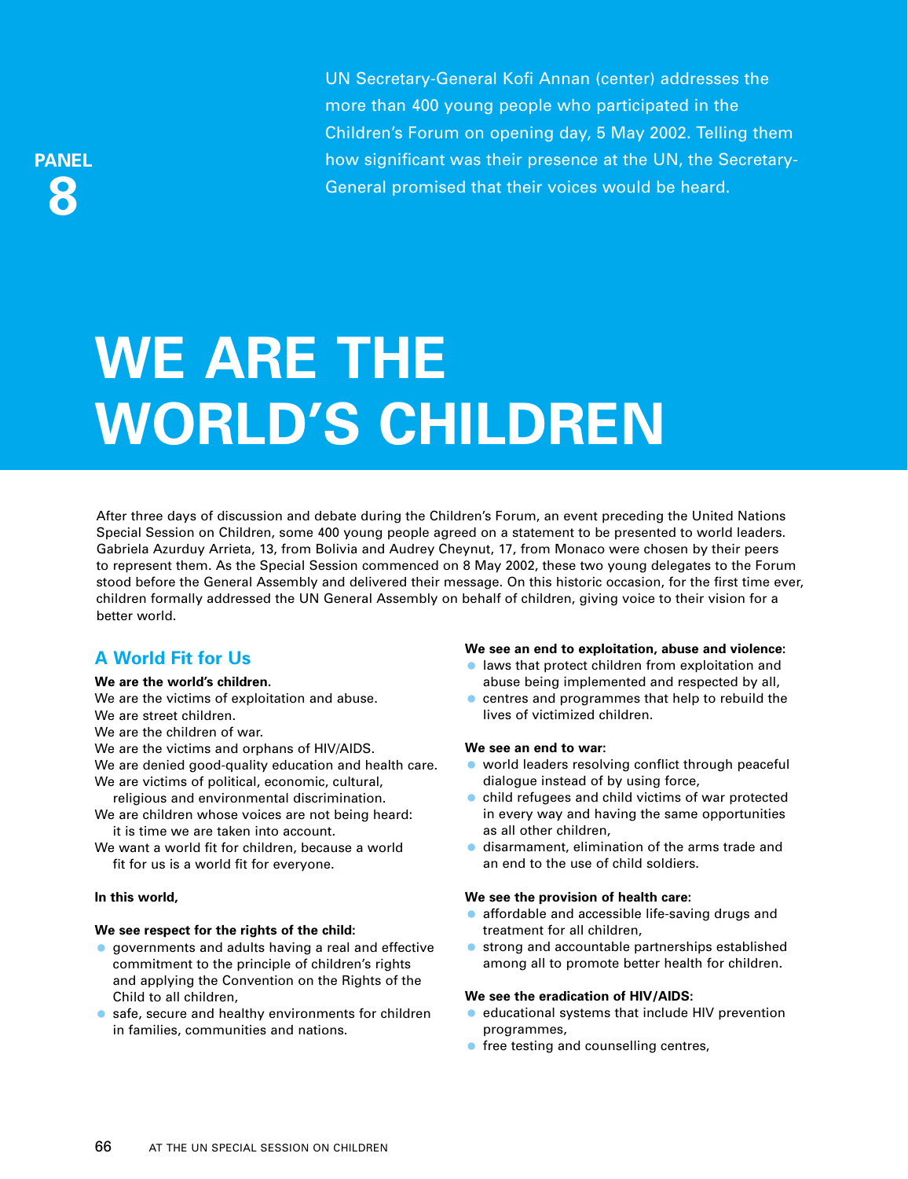UN Secretary-General Kofi Annan (center) addresses the more than 400 young people who participated in the Children's Forum on opening day, 5 May 2002. Telling them how significant was their presence at the UN, the Secretary-General promised that their voices would be heard.

### **WE ARE THE WORLD'S CHILDREN**

After three days of discussion and debate during the Children's Forum, an event preceding the United Nations Special Session on Children, some 400 young people agreed on a statement to be presented to world leaders. Gabriela Azurduy Arrieta, 13, from Bolivia and Audrey Cheynut, 17, from Monaco were chosen by their peers to represent them. As the Special Session commenced on 8 May 2002, these two young delegates to the Forum stood before the General Assembly and delivered their message. On this historic occasion, for the first time ever, children formally addressed the UN General Assembly on behalf of children, giving voice to their vision for a better world.

#### **A World Fit for Us**

**PANEL**

**8**

#### **We are the world's children.**

- We are the victims of exploitation and abuse.
- We are street children.
- We are the children of war.
- We are the victims and orphans of HIV/AIDS.
- We are denied good-quality education and health care. We are victims of political, economic, cultural,
- religious and environmental discrimination.
- We are children whose voices are not being heard: it is time we are taken into account.
- We want a world fit for children, because a world fit for us is a world fit for everyone.

#### **In this world,**

#### **We see respect for the rights of the child:**

- $\bullet$  governments and adults having a real and effective commitment to the principle of children's rights and applying the Convention on the Rights of the Child to all children,
- $\bullet$  safe, secure and healthy environments for children in families, communities and nations.

#### **We see an end to exploitation, abuse and violence:**

- $\bullet$  laws that protect children from exploitation and abuse being implemented and respected by all,
- **•** centres and programmes that help to rebuild the lives of victimized children.

#### **We see an end to war:**

- $\bullet$  world leaders resolving conflict through peaceful dialogue instead of by using force,
- child refugees and child victims of war protected in every way and having the same opportunities as all other children,
- $\bullet$  disarmament, elimination of the arms trade and an end to the use of child soldiers.

#### **We see the provision of health care:**

- affordable and accessible life-saving drugs and treatment for all children,
- $\bullet$  strong and accountable partnerships established among all to promote better health for children.

#### **We see the eradication of HIV/AIDS:**

- $\bullet$  educational systems that include HIV prevention programmes,
- $\bullet$  free testing and counselling centres,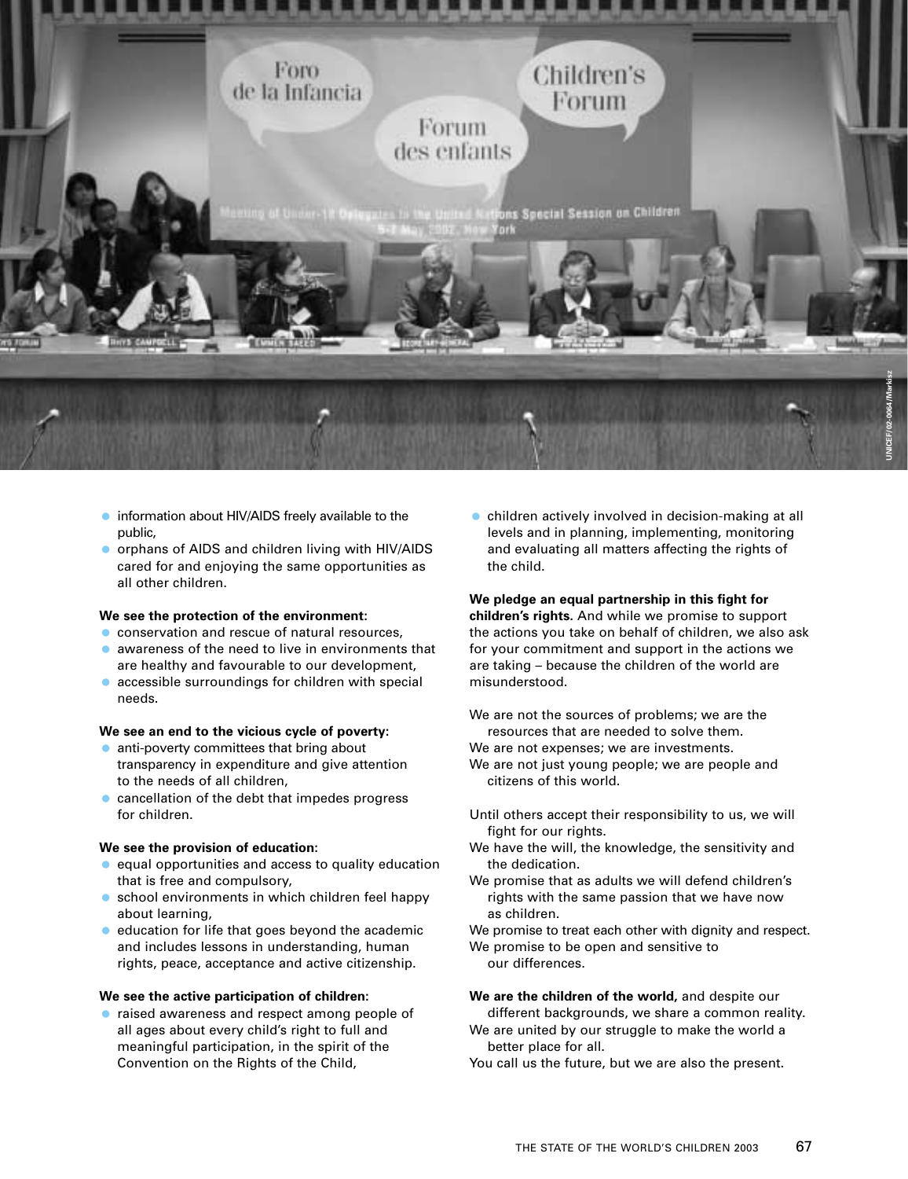

- $\bullet$  information about HIV/AIDS freely available to the public,
- orphans of AIDS and children living with HIV/AIDS cared for and enjoying the same opportunities as all other children.

#### **We see the protection of the environment:**

- $\bullet$  conservation and rescue of natural resources,
- awareness of the need to live in environments that are healthy and favourable to our development,
- $\bullet$  accessible surroundings for children with special needs.

#### **We see an end to the vicious cycle of poverty:**

- $\bullet$  anti-poverty committees that bring about transparency in expenditure and give attention to the needs of all children,
- $\bullet$  cancellation of the debt that impedes progress for children.

#### **We see the provision of education:**

- equal opportunities and access to quality education that is free and compulsory,
- $\bullet$  school environments in which children feel happy about learning,
- $\bullet$  education for life that goes beyond the academic and includes lessons in understanding, human rights, peace, acceptance and active citizenship.

#### **We see the active participation of children:**

**.** raised awareness and respect among people of all ages about every child's right to full and meaningful participation, in the spirit of the Convention on the Rights of the Child,

 $\bullet$  children actively involved in decision-making at all levels and in planning, implementing, monitoring and evaluating all matters affecting the rights of the child.

**We pledge an equal partnership in this fight for children's rights.** And while we promise to support the actions you take on behalf of children, we also ask for your commitment and support in the actions we are taking – because the children of the world are misunderstood.

We are not the sources of problems; we are the resources that are needed to solve them.

- We are not expenses; we are investments.
- We are not just young people; we are people and citizens of this world.
- Until others accept their responsibility to us, we will fight for our rights.
- We have the will, the knowledge, the sensitivity and the dedication.
- We promise that as adults we will defend children's rights with the same passion that we have now as children.

We promise to treat each other with dignity and respect. We promise to be open and sensitive to

our differences.

#### **We are the children of the world,** and despite our different backgrounds, we share a common reality.

- We are united by our struggle to make the world a better place for all.
- You call us the future, but we are also the present.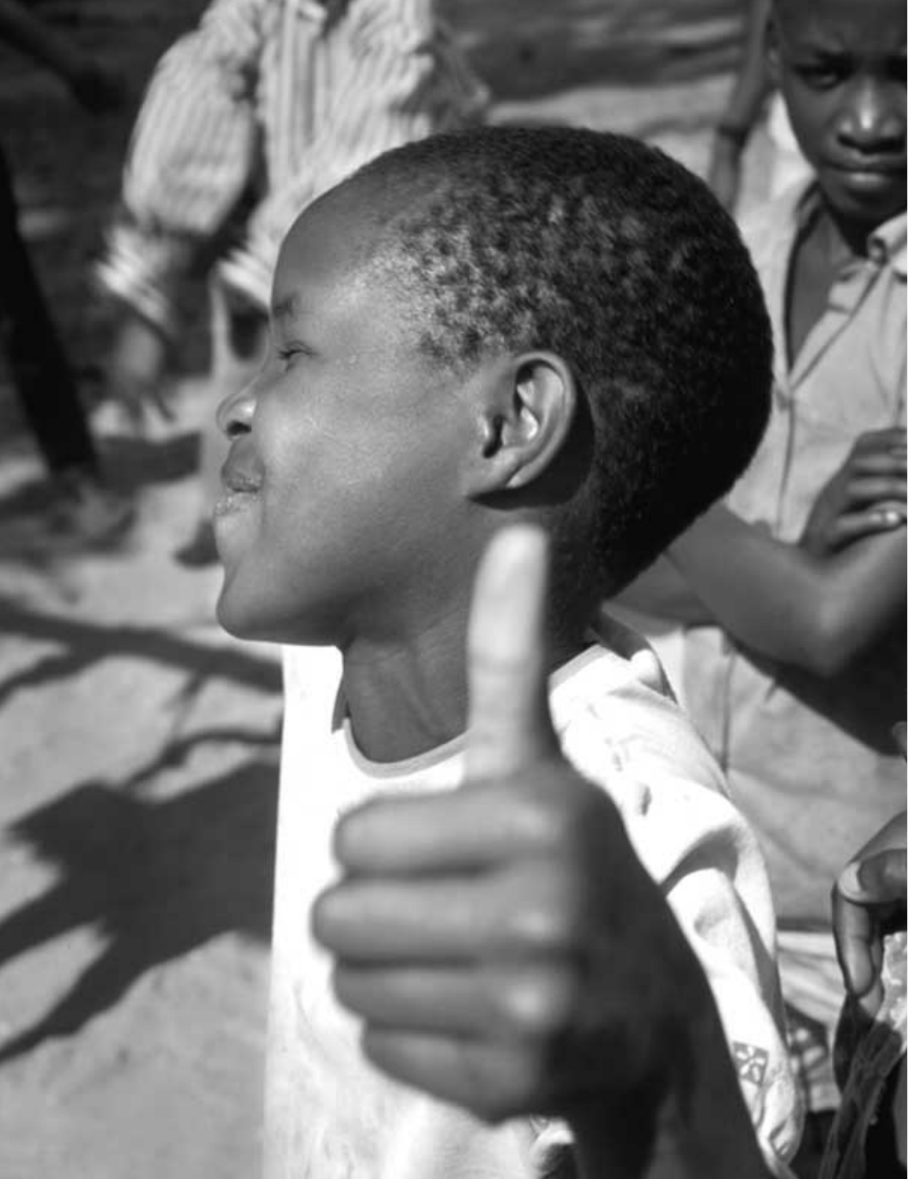